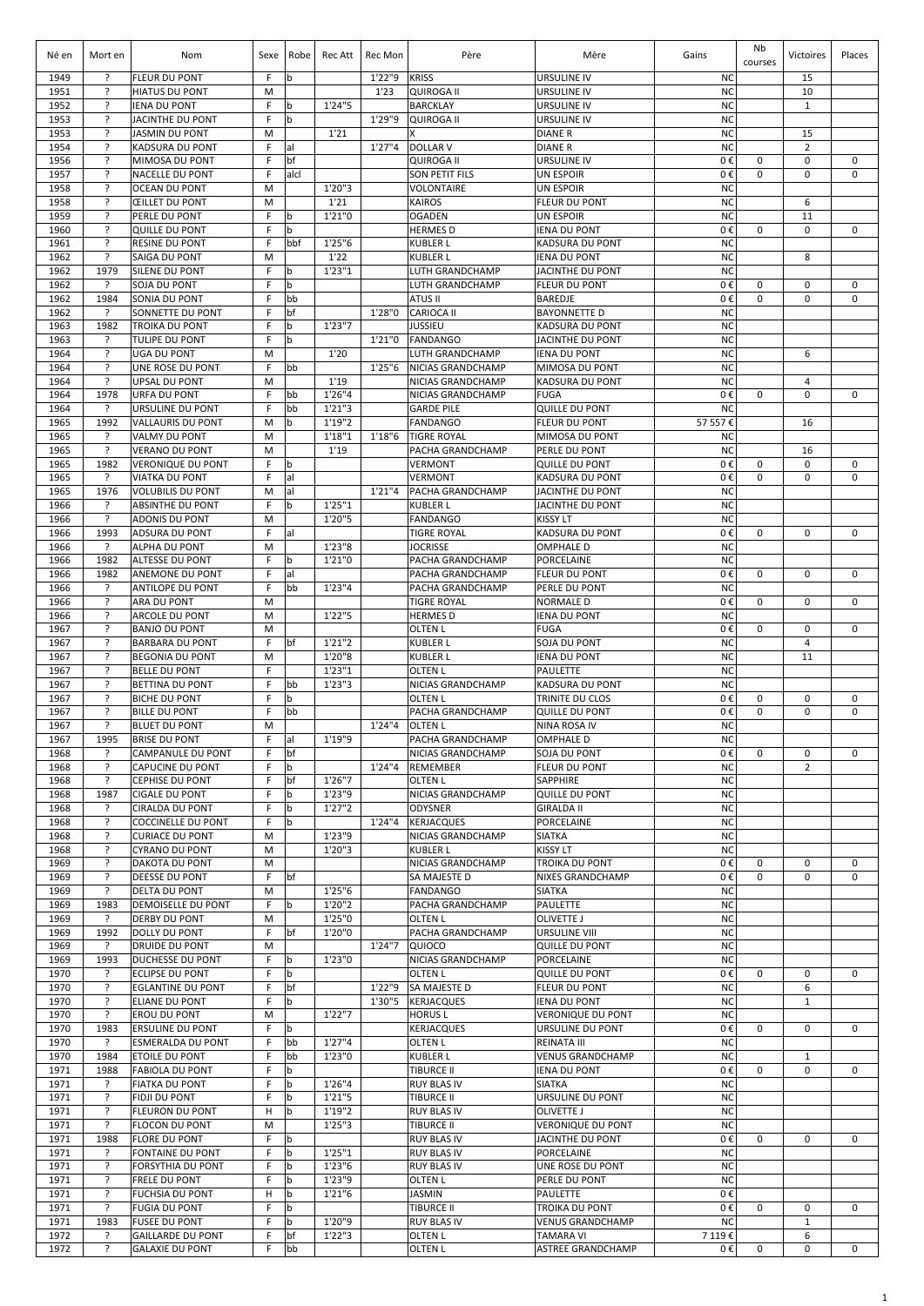| Né en        | Mort en                | Nom                                               | Sexe   | Robe      | Rec Att            | Rec Mon | Père                                     | Mère                                              | Gains                  | Nb<br>courses | Victoires                     | Places                     |
|--------------|------------------------|---------------------------------------------------|--------|-----------|--------------------|---------|------------------------------------------|---------------------------------------------------|------------------------|---------------|-------------------------------|----------------------------|
| 1949         | ?                      | FLEUR DU PONT                                     | F      | b         |                    | 1'22"9  | <b>KRISS</b>                             | <b>URSULINE IV</b>                                | <b>NC</b>              |               | 15                            |                            |
| 1951<br>1952 | ?<br>?                 | <b>HIATUS DU PONT</b><br><b>IENA DU PONT</b>      | M<br>F | b         | 1'24''5            | 1'23    | <b>QUIROGA II</b><br><b>BARCKLAY</b>     | <b>URSULINE IV</b><br><b>URSULINE IV</b>          | <b>NC</b><br><b>NC</b> |               | 10<br>$\mathbf{1}$            |                            |
| 1953         | ŗ                      | <b>JACINTHE DU PONT</b>                           | F      | b         |                    | 1'29"9  | <b>QUIROGA II</b>                        | <b>URSULINE IV</b>                                | <b>NC</b>              |               |                               |                            |
| 1953         | ?<br>ŗ                 | <b>JASMIN DU PONT</b>                             | M      |           | 1'21               | 1'27''4 | X                                        | <b>DIANER</b>                                     | <b>NC</b>              |               | 15                            |                            |
| 1954<br>1956 | ?                      | KADSURA DU PONT<br>MIMOSA DU PONT                 | F<br>F | lal<br>bf |                    |         | <b>DOLLAR V</b><br><b>QUIROGA II</b>     | <b>DIANER</b><br><b>URSULINE IV</b>               | <b>NC</b><br>0€        | 0             | $\overline{2}$<br>$\mathbf 0$ | $\mathbf 0$                |
| 1957         | ?                      | NACELLE DU PONT                                   | F      | alcl      |                    |         | <b>SON PETIT FILS</b>                    | UN ESPOIR                                         | 0€                     | 0             | 0                             | $\mathbf 0$                |
| 1958         | ŗ                      | <b>OCEAN DU PONT</b>                              | M      |           | 1'20''3            |         | <b>VOLONTAIRE</b>                        | UN ESPOIR                                         | <b>NC</b>              |               |                               |                            |
| 1958<br>1959 | ?<br>?                 | <b>ŒILLET DU PONT</b><br>PERLE DU PONT            | M<br>F | b         | 1'21<br>1'21''0    |         | <b>KAIROS</b><br><b>OGADEN</b>           | <b>FLEUR DU PONT</b><br><b>UN ESPOIR</b>          | <b>NC</b><br><b>NC</b> |               | 6<br>11                       |                            |
| 1960         | ?                      | <b>QUILLE DU PONT</b>                             | F      | b         |                    |         | <b>HERMES D</b>                          | <b>IENA DU PONT</b>                               | 0€                     | 0             | 0                             | $\mathbf 0$                |
| 1961         | ?                      | <b>RESINE DU PONT</b>                             | F      | bbf       | 1'25''6            |         | <b>KUBLER L</b>                          | <b>KADSURA DU PONT</b>                            | <b>NC</b>              |               |                               |                            |
| 1962<br>1962 | ?<br>1979              | SAIGA DU PONT<br>SILENE DU PONT                   | M<br>F | b         | 1'22<br>1'23''1    |         | <b>KUBLER L</b><br>LUTH GRANDCHAMP       | <b>IENA DU PONT</b><br><b>JACINTHE DU PONT</b>    | <b>NC</b><br><b>NC</b> |               | 8                             |                            |
| 1962         | ?                      | SOJA DU PONT                                      | F      | b         |                    |         | LUTH GRANDCHAMP                          | <b>FLEUR DU PONT</b>                              | 0€                     | 0             | 0                             | $\mathbf 0$                |
| 1962         | 1984                   | SONIA DU PONT                                     | F      | bb        |                    |         | ATUS II                                  | <b>BAREDJE</b>                                    | 0€                     | 0             | $\mathbf 0$                   | $\mathbf 0$                |
| 1962<br>1963 | ?                      | SONNETTE DU PONT                                  | F<br>F | bf<br>b   | 1'23''7            | 1'28"0  | <b>CARIOCA II</b>                        | <b>BAYONNETTE D</b>                               | <b>NC</b><br><b>NC</b> |               |                               |                            |
| 1963         | 1982<br>?              | TROIKA DU PONT<br><b>TULIPE DU PONT</b>           | F      | b         |                    | 1'21"0  | <b>JUSSIEU</b><br>FANDANGO               | <b>KADSURA DU PONT</b><br><b>JACINTHE DU PONT</b> | <b>NC</b>              |               |                               |                            |
| 1964         | ?                      | <b>UGA DU PONT</b>                                | M      |           | 1'20               |         | <b>LUTH GRANDCHAMP</b>                   | <b>IENA DU PONT</b>                               | <b>NC</b>              |               | 6                             |                            |
| 1964         | ?                      | UNE ROSE DU PONT                                  | F      | bb        |                    | 1'25''6 | NICIAS GRANDCHAMP                        | MIMOSA DU PONT                                    | <b>NC</b>              |               |                               |                            |
| 1964         | $\overline{?}$<br>1978 | <b>UPSAL DU PONT</b><br><b>URFA DU PONT</b>       | M<br>F | bb        | 1'19<br>1'26"4     |         | NICIAS GRANDCHAMP                        | <b>KADSURA DU PONT</b><br><b>FUGA</b>             | <b>NC</b><br>0€        | 0             | 4<br>$\mathbf 0$              | $\mathbf 0$                |
| 1964<br>1964 | ?                      | URSULINE DU PONT                                  | F      | bb        | 1'21''3            |         | NICIAS GRANDCHAMP<br><b>GARDE PILE</b>   | <b>QUILLE DU PONT</b>                             | <b>NC</b>              |               |                               |                            |
| 1965         | 1992                   | VALLAURIS DU PONT                                 | M      | þ         | 1'19"2             |         | <b>FANDANGO</b>                          | <b>FLEUR DU PONT</b>                              | 57 557€                |               | 16                            |                            |
| 1965         | ?                      | <b>VALMY DU PONT</b>                              | M      |           | 1'18''1            | 1'18''6 | <b>TIGRE ROYAL</b>                       | MIMOSA DU PONT                                    | <b>NC</b>              |               |                               |                            |
| 1965<br>1965 | ?<br>1982              | <b>VERANO DU PONT</b><br><b>VERONIQUE DU PONT</b> | M<br>F | b         | 1'19               |         | PACHA GRANDCHAMP<br><b>VERMONT</b>       | PERLE DU PONT<br><b>QUILLE DU PONT</b>            | <b>NC</b><br>0€        | 0             | 16<br>0                       | 0                          |
| 1965         | ?                      | <b>VIATKA DU PONT</b>                             | F      | al        |                    |         | <b>VERMONT</b>                           | <b>KADSURA DU PONT</b>                            | 0€                     | 0             | $\mathbf 0$                   | $\mathbf 0$                |
| 1965         | 1976                   | <b>VOLUBILIS DU PONT</b>                          | M      | al        |                    | 1'21''4 | <b>PACHA GRANDCHAMP</b>                  | JACINTHE DU PONT                                  | <b>NC</b>              |               |                               |                            |
| 1966         | ?                      | <b>ABSINTHE DU PONT</b>                           | F      | b         | 1'25"1             |         | <b>KUBLER L</b>                          | JACINTHE DU PONT                                  | <b>NC</b>              |               |                               |                            |
| 1966         | ?                      | <b>ADONIS DU PONT</b>                             | M      |           | 1'20"5             |         | <b>FANDANGO</b>                          | <b>KISSY LT</b>                                   | <b>NC</b>              |               |                               |                            |
| 1966<br>1966 | 1993<br>?              | <b>ADSURA DU PONT</b><br>ALPHA DU PONT            | F<br>M | al        | 1'23"8             |         | <b>TIGRE ROYAL</b><br><b>JOCRISSE</b>    | <b>KADSURA DU PONT</b><br><b>OMPHALE D</b>        | 0€<br><b>NC</b>        | 0             | 0                             | $\mathbf 0$                |
| 1966         | 1982                   | <b>ALTESSE DU PONT</b>                            | F      | b         | 1'21''0            |         | PACHA GRANDCHAMP                         | <b>PORCELAINE</b>                                 | <b>NC</b>              |               |                               |                            |
| 1966         | 1982                   | ANEMONE DU PONT                                   | F      | al        |                    |         | PACHA GRANDCHAMP                         | <b>FLEUR DU PONT</b>                              | 0€                     | 0             | 0                             | $\mathbf 0$                |
| 1966         | ?                      | ANTILOPE DU PONT                                  | F      | bb        | 1'23"4             |         | PACHA GRANDCHAMP                         | PERLE DU PONT                                     | <b>NC</b>              |               |                               |                            |
| 1966<br>1966 | ?<br>?                 | ARA DU PONT<br><b>ARCOLE DU PONT</b>              | M<br>M |           | 1'22"5             |         | <b>TIGRE ROYAL</b><br><b>HERMES D</b>    | <b>NORMALE D</b><br><b>IENA DU PONT</b>           | 0€<br><b>NC</b>        | $\mathbf 0$   | $\mathbf 0$                   | $\mathbf 0$                |
| 1967         | ?                      | <b>BANJO DU PONT</b>                              | M      |           |                    |         | <b>OLTEN L</b>                           | <b>FUGA</b>                                       | 0€                     | 0             | $\mathbf 0$                   | $\mathbf 0$                |
| 1967         | ?                      | <b>BARBARA DU PONT</b>                            | F      | bf        | 1'21"2             |         | <b>KUBLER L</b>                          | SOJA DU PONT                                      | <b>NC</b>              |               | 4                             |                            |
| 1967         | ?                      | <b>BEGONIA DU PONT</b>                            | M      |           | 1'20"8             |         | <b>KUBLER L</b>                          | <b>IENA DU PONT</b>                               | <b>NC</b>              |               | 11                            |                            |
| 1967<br>1967 | ?<br>$\overline{?}$    | <b>BELLE DU PONT</b><br>BETTINA DU PONT           | F<br>F | bb        | 1'23''1<br>1'23''3 |         | <b>OLTEN L</b><br>NICIAS GRANDCHAMP      | <b>PAULETTE</b><br>KADSURA DU PONT                | <b>NC</b><br><b>NC</b> |               |                               |                            |
| 1967         | ?                      | <b>BICHE DU PONT</b>                              | F      | b         |                    |         | <b>OLTEN L</b>                           | TRINITE DU CLOS                                   | 0€                     | 0             | 0                             | $\mathbf 0$                |
| 1967         | ?                      | <b>BILLE DU PONT</b>                              | F      | bb        |                    |         | PACHA GRANDCHAMP                         | <b>QUILLE DU PONT</b>                             | 0€                     | 0             | 0                             | $\Omega$                   |
| 1967         | ?                      | <b>BLUET DU PONT</b>                              | M      |           |                    | 1'24''4 | <b>OLTEN L</b>                           | <b>NINA ROSA IV</b>                               | <b>NC</b>              |               |                               |                            |
| 1967<br>1968 | 1995<br>?              | <b>BRISE DU PONT</b><br>CAMPANULE DU PONT         | F<br>F | lal<br>bf | 1'19"9             |         | PACHA GRANDCHAMP<br>NICIAS GRANDCHAMP    | <b>OMPHALE D</b><br>SOJA DU PONT                  | <b>NC</b><br>0€        | 0             | $\mathbf 0$                   | $\mathbf 0$                |
| 1968         | $\overline{?}$         | CAPUCINE DU PONT                                  | F      | b         |                    | 1'24"4  | REMEMBER                                 | FLEUR DU PONT                                     | <b>NC</b>              |               | $\overline{2}$                |                            |
| 1968         | ?                      | <b>CEPHISE DU PONT</b>                            | F      | bf        | 1'26"7             |         | OLTEN L                                  | SAPPHIRE                                          | <b>NC</b>              |               |                               |                            |
| 1968         | 1987                   | <b>CIGALE DU PONT</b>                             | F      | b         | 1'23"9             |         | NICIAS GRANDCHAMP                        | <b>QUILLE DU PONT</b>                             | <b>NC</b>              |               |                               |                            |
| 1968<br>1968 | ?<br>?                 | CIRALDA DU PONT<br><b>COCCINELLE DU PONT</b>      | F<br>F | b<br>b    | 1'27''2            | 1'24"4  | <b>ODYSNER</b><br><b>KERJACQUES</b>      | <b>GIRALDA II</b><br>PORCELAINE                   | <b>NC</b><br><b>NC</b> |               |                               |                            |
| 1968         | ?                      | <b>CURIACE DU PONT</b>                            | M      |           | 1'23"9             |         | NICIAS GRANDCHAMP                        | <b>SIATKA</b>                                     | <b>NC</b>              |               |                               |                            |
| 1968         | ?                      | <b>CYRANO DU PONT</b>                             | М      |           | 1'20''3            |         | <b>KUBLER L</b>                          | <b>KISSY LT</b>                                   | <b>NC</b>              |               |                               |                            |
| 1969<br>1969 | ?<br>?                 | DAKOTA DU PONT<br>DEESSE DU PONT                  | M<br>F | bf        |                    |         | NICIAS GRANDCHAMP<br><b>SA MAJESTE D</b> | <b>TROIKA DU PONT</b>                             | 0€<br>0€               | 0<br>0        | $\mathbf 0$<br>$\mathbf 0$    | $\mathbf 0$<br>$\mathbf 0$ |
| 1969         | ?                      | DELTA DU PONT                                     | M      |           | 1'25"6             |         | <b>FANDANGO</b>                          | <b>NIXES GRANDCHAMP</b><br><b>SIATKA</b>          | <b>NC</b>              |               |                               |                            |
| 1969         | 1983                   | DEMOISELLE DU PONT                                | F      | b         | 1'20"2             |         | PACHA GRANDCHAMP                         | PAULETTE                                          | <b>NC</b>              |               |                               |                            |
| 1969         | ?                      | <b>DERBY DU PONT</b>                              | M      |           | 1'25"0             |         | <b>OLTEN L</b>                           | <b>OLIVETTE J</b>                                 | <b>NC</b>              |               |                               |                            |
| 1969<br>1969 | 1992<br>?              | DOLLY DU PONT<br>DRUIDE DU PONT                   | F<br>M | bf        | 1'20"0             | 1'24"7  | PACHA GRANDCHAMP<br>QUIOCO               | URSULINE VIII<br><b>QUILLE DU PONT</b>            | <b>NC</b><br><b>NC</b> |               |                               |                            |
| 1969         | 1993                   | <b>DUCHESSE DU PONT</b>                           | F      | b         | 1'23"0             |         | NICIAS GRANDCHAMP                        | <b>PORCELAINE</b>                                 | <b>NC</b>              |               |                               |                            |
| 1970         | ?                      | <b>ECLIPSE DU PONT</b>                            | F      | b         |                    |         | <b>OLTEN L</b>                           | <b>QUILLE DU PONT</b>                             | 0€                     | 0             | 0                             | $\mathbf 0$                |
| 1970         | ?                      | <b>EGLANTINE DU PONT</b>                          | F      | bf        |                    | 1'22"9  | <b>SA MAJESTE D</b>                      | <b>FLEUR DU PONT</b>                              | <b>NC</b>              |               | 6                             |                            |
| 1970<br>1970 | ?<br>?                 | ELIANE DU PONT<br>EROU DU PONT                    | F<br>M | b         | 1'22"7             |         | 1'30"5 KERJACQUES<br><b>HORUSL</b>       | <b>IENA DU PONT</b><br><b>VERONIQUE DU PONT</b>   | <b>NC</b><br><b>NC</b> |               | $\mathbf{1}$                  |                            |
| 1970         | 1983                   | <b>ERSULINE DU PONT</b>                           | F      | b         |                    |         | <b>KERJACQUES</b>                        | URSULINE DU PONT                                  | 0€                     | 0             | $\mathbf 0$                   | 0                          |
| 1970         | ?                      | <b>ESMERALDA DU PONT</b>                          | F      | bb        | 1'27''4            |         | OLTEN L                                  | <b>REINATA III</b>                                | <b>NC</b>              |               |                               |                            |
| 1970         | 1984                   | ETOILE DU PONT                                    | F      | bb        | 1'23"0             |         | <b>KUBLER L</b>                          | <b>VENUS GRANDCHAMP</b>                           | <b>NC</b>              |               | 1                             |                            |
| 1971<br>1971 | 1988<br>?              | <b>FABIOLA DU PONT</b><br><b>FIATKA DU PONT</b>   | F<br>F | b<br>b    | 1'26''4            |         | <b>TIBURCE II</b><br><b>RUY BLAS IV</b>  | <b>IENA DU PONT</b><br><b>SIATKA</b>              | 0€<br><b>NC</b>        | 0             | $\mathbf 0$                   | 0                          |
| 1971         | ?                      | FIDJI DU PONT                                     | F      | b         | 1'21''5            |         | <b>TIBURCE II</b>                        | URSULINE DU PONT                                  | <b>NC</b>              |               |                               |                            |
| 1971         | ?                      | <b>FLEURON DU PONT</b>                            | н      | b         | 1'19"2             |         | <b>RUY BLAS IV</b>                       | <b>OLIVETTE J</b>                                 | <b>NC</b>              |               |                               |                            |
| 1971         | ?                      | <b>FLOCON DU PONT</b>                             | M      |           | 1'25''3            |         | <b>TIBURCE II</b>                        | <b>VERONIQUE DU PONT</b>                          | <b>NC</b>              |               |                               |                            |
| 1971<br>1971 | 1988<br>?              | <b>FLORE DU PONT</b><br><b>FONTAINE DU PONT</b>   | F<br>F | b<br>b    | 1'25"1             |         | <b>RUY BLAS IV</b><br><b>RUY BLAS IV</b> | JACINTHE DU PONT<br>PORCELAINE                    | 0€<br><b>NC</b>        | $\mathbf 0$   | 0                             | 0                          |
| 1971         | ?                      | FORSYTHIA DU PONT                                 | F      | b         | 1'23''6            |         | <b>RUY BLAS IV</b>                       | UNE ROSE DU PONT                                  | <b>NC</b>              |               |                               |                            |
| 1971         | ?                      | FRELE DU PONT                                     | F      | b         | 1'23"9             |         | <b>OLTEN L</b>                           | PERLE DU PONT                                     | <b>NC</b>              |               |                               |                            |
| 1971         | ?                      | <b>FUCHSIA DU PONT</b>                            | H      | b         | 1'21''6            |         | <b>JASMIN</b>                            | <b>PAULETTE</b>                                   | 0€                     |               |                               |                            |
| 1971<br>1971 | ?<br>1983              | <b>FUGIA DU PONT</b><br><b>FUSEE DU PONT</b>      | F<br>F | b<br>b    | 1'20"9             |         | <b>TIBURCE II</b><br><b>RUY BLAS IV</b>  | TROIKA DU PONT<br><b>VENUS GRANDCHAMP</b>         | 0€<br><b>NC</b>        | 0             | 0<br>$\mathbf{1}$             | $\mathbf 0$                |
| 1972         | ?                      | <b>GAILLARDE DU PONT</b>                          | F      | bf        | 1'22''3            |         | OLTEN L                                  | <b>TAMARA VI</b>                                  | 7 119€                 |               | 6                             |                            |
| 1972         | ?                      | <b>GALAXIE DU PONT</b>                            | F      | bb        |                    |         | <b>OLTEN L</b>                           | ASTREE GRANDCHAMP                                 | 0€                     | 0             | 0                             | 0                          |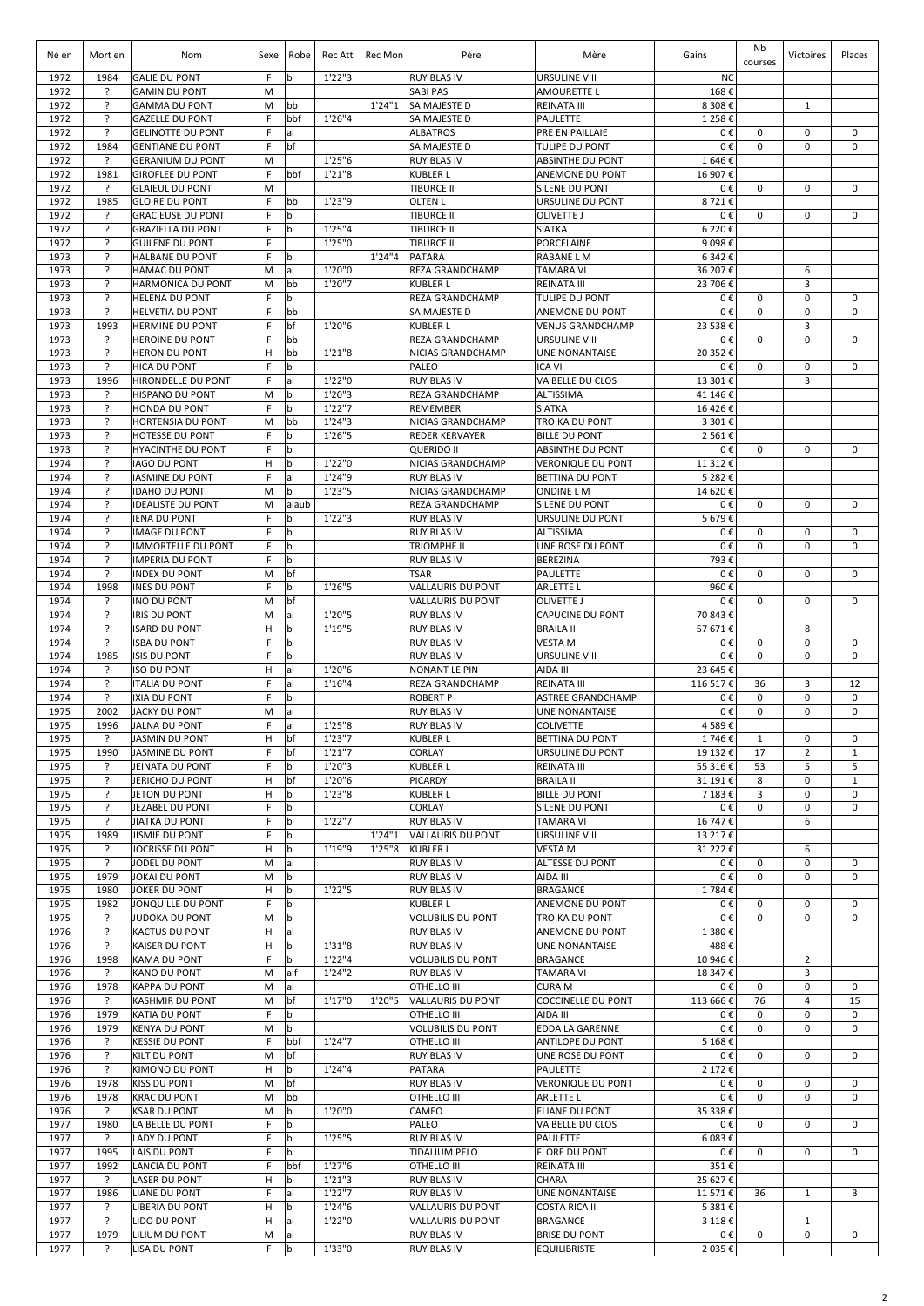| Né en        | Mort en             | Nom                                                | Sexe    | Robe             | Rec Att           | Rec Mon | Père                                           | Mère                                            | Gains               | Nb<br>courses | Victoires           | Places                     |
|--------------|---------------------|----------------------------------------------------|---------|------------------|-------------------|---------|------------------------------------------------|-------------------------------------------------|---------------------|---------------|---------------------|----------------------------|
| 1972<br>1972 | 1984<br>?           | <b>GALIE DU PONT</b><br><b>GAMIN DU PONT</b>       | F.<br>M | b                | 1'22''3           |         | <b>RUY BLAS IV</b><br><b>SABI PAS</b>          | <b>URSULINE VIII</b><br><b>AMOURETTE L</b>      | <b>NC</b><br>168€   |               |                     |                            |
| 1972         | ?                   | <b>GAMMA DU PONT</b>                               | M       | bb               |                   | 1'24''1 | <b>SA MAJESTE D</b>                            | <b>REINATA III</b>                              | 8 308€              |               | $\mathbf{1}$        |                            |
| 1972         | ?                   | <b>GAZELLE DU PONT</b>                             | F       | bbf              | 1'26"4            |         | SA MAJESTE D                                   | <b>PAULETTE</b>                                 | 1 2 5 8€            |               |                     |                            |
| 1972         | ?                   | <b>GELINOTTE DU PONT</b>                           | F       | al               |                   |         | <b>ALBATROS</b>                                | PRE EN PAILLAIE                                 | 0€                  | 0             | $\mathbf 0$         | $\mathbf 0$                |
| 1972         | 1984                | <b>GENTIANE DU PONT</b>                            | F       | bf               |                   |         | <b>SA MAJESTE D</b>                            | <b>TULIPE DU PONT</b>                           | 0€                  | 0             | 0                   | $\Omega$                   |
| 1972<br>1972 | ?<br>1981           | <b>GERANIUM DU PONT</b><br><b>GIROFLEE DU PONT</b> | M<br>F  | bbf              | 1'25''6<br>1'21"8 |         | <b>RUY BLAS IV</b><br><b>KUBLER L</b>          | <b>ABSINTHE DU PONT</b><br>ANEMONE DU PONT      | 1646€<br>16 907€    |               |                     |                            |
| 1972         | ?                   | <b>GLAIEUL DU PONT</b>                             | M       |                  |                   |         | <b>TIBURCE II</b>                              | <b>SILENE DU PONT</b>                           | 0€                  | 0             | $\mathbf 0$         | 0                          |
| 1972         | 1985                | <b>GLOIRE DU PONT</b>                              | F       | bb               | 1'23"9            |         | <b>OLTEN L</b>                                 | URSULINE DU PONT                                | 8721€               |               |                     |                            |
| 1972         | ?                   | <b>GRACIEUSE DU PONT</b>                           | F       | b                |                   |         | <b>TIBURCE II</b>                              | <b>OLIVETTE J</b>                               | 0€                  | 0             | 0                   | $\Omega$                   |
| 1972         | ?                   | <b>GRAZIELLA DU PONT</b>                           | F.      | l b              | 1'25''4           |         | <b>TIBURCE II</b>                              | <b>SIATKA</b>                                   | 6 2 2 0€            |               |                     |                            |
| 1972<br>1973 | ?<br>?              | <b>GUILENE DU PONT</b><br><b>HALBANE DU PONT</b>   | F<br>F. | l b              | 1'25"0            | 1'24"4  | <b>TIBURCE II</b><br>PATARA                    | <b>PORCELAINE</b><br><b>RABANE LM</b>           | 9 098€              |               |                     |                            |
| 1973         | ?                   | <b>HAMAC DU PONT</b>                               | M       | lal              | 1'20"0            |         | <b>REZA GRANDCHAMP</b>                         | <b>TAMARA VI</b>                                | 6 342€<br>36 207€   |               | 6                   |                            |
| 1973         | ?                   | <b>HARMONICA DU PONT</b>                           | M       | bb               | 1'20"7            |         | <b>KUBLER L</b>                                | <b>REINATA III</b>                              | 23 706€             |               | 3                   |                            |
| 1973         | ?                   | <b>HELENA DU PONT</b>                              | F       | lb.              |                   |         | <b>REZA GRANDCHAMP</b>                         | <b>TULIPE DU PONT</b>                           | 0€                  | 0             | $\mathbf 0$         | $\mathbf 0$                |
| 1973         | ?                   | <b>HELVETIA DU PONT</b>                            | F       | bb               |                   |         | SA MAJESTE D                                   | ANEMONE DU PONT                                 | 0€                  | 0             | $\mathbf 0$         | $\mathbf 0$                |
| 1973         | 1993                | <b>HERMINE DU PONT</b>                             | F       | bf               | 1'20"6            |         | <b>KUBLER L</b>                                | <b>VENUS GRANDCHAMP</b>                         | 23 538€             |               | 3                   |                            |
| 1973<br>1973 | ?<br>?              | <b>HEROINE DU PONT</b><br><b>HERON DU PONT</b>     | F<br>н  | bb<br>bb         | 1'21"8            |         | REZA GRANDCHAMP<br>NICIAS GRANDCHAMP           | <b>URSULINE VIII</b><br><b>UNE NONANTAISE</b>   | 0€<br>20 352€       | 0             | $\mathbf 0$         | $\mathbf 0$                |
| 1973         | ?                   | <b>HICA DU PONT</b>                                | F       | $\mathsf b$      |                   |         | PALEO                                          | <b>ICA VI</b>                                   | 0€                  | 0             | $\mathbf 0$         | $\mathbf 0$                |
| 1973         | 1996                | HIRONDELLE DU PONT                                 | F       | al               | 1'22"0            |         | <b>RUY BLAS IV</b>                             | VA BELLE DU CLOS                                | 13 301€             |               | 3                   |                            |
| 1973         | ?                   | <b>HISPANO DU PONT</b>                             | M       | b                | 1'20"3            |         | REZA GRANDCHAMP                                | ALTISSIMA                                       | 41 146 €            |               |                     |                            |
| 1973         | ?                   | <b>HONDA DU PONT</b>                               | F       | <b>b</b>         | 1'22"7            |         | <b>REMEMBER</b>                                | <b>SIATKA</b>                                   | 16 426€             |               |                     |                            |
| 1973         | ?                   | HORTENSIA DU PONT                                  | M       | bb               | 1'24''3           |         | NICIAS GRANDCHAMP                              | <b>TROIKA DU PONT</b>                           | 3 301€              |               |                     |                            |
| 1973<br>1973 | ?<br><sup>2</sup>   | <b>HOTESSE DU PONT</b><br><b>HYACINTHE DU PONT</b> | F<br>F  | $\mathbf b$<br>b | 1'26"5            |         | <b>REDER KERVAYER</b><br><b>QUERIDO II</b>     | <b>BILLE DU PONT</b><br><b>ABSINTHE DU PONT</b> | 2 5 6 1€<br>0€      | 0             | 0                   | 0                          |
| 1974         | ?                   | <b>IAGO DU PONT</b>                                | н       | b                | 1'22"0            |         | NICIAS GRANDCHAMP                              | <b>VERONIQUE DU PONT</b>                        | 11 312 €            |               |                     |                            |
| 1974         | ?                   | <b>IASMINE DU PONT</b>                             | F       | al               | 1'24"9            |         | <b>RUY BLAS IV</b>                             | <b>BETTINA DU PONT</b>                          | 5 282€              |               |                     |                            |
| 1974         | ?                   | <b>IDAHO DU PONT</b>                               | M       | $\mathsf b$      | 1'23''5           |         | NICIAS GRANDCHAMP                              | <b>ONDINE L M</b>                               | 14 620€             |               |                     |                            |
| 1974         | ?                   | <b>IDEALISTE DU PONT</b>                           | M       | alaub            |                   |         | REZA GRANDCHAMP                                | SILENE DU PONT                                  | 0€                  | 0             | $\mathbf 0$         | $\mathbf 0$                |
| 1974         | ?                   | <b>IENA DU PONT</b>                                | F       | b                | 1'22''3           |         | <b>RUY BLAS IV</b>                             | URSULINE DU PONT                                | 5679€               |               |                     |                            |
| 1974<br>1974 | ?<br>?              | <b>IMAGE DU PONT</b><br><b>IMMORTELLE DU PONT</b>  | F<br>F  | b<br>b           |                   |         | <b>RUY BLAS IV</b><br><b>TRIOMPHE II</b>       | ALTISSIMA<br>UNE ROSE DU PONT                   | 0€<br>0€            | 0<br>0        | 0<br>$\mathbf 0$    | $\mathbf 0$<br>$\Omega$    |
| 1974         | ?                   | <b>IMPERIA DU PONT</b>                             | F       | b                |                   |         | <b>RUY BLAS IV</b>                             | <b>BEREZINA</b>                                 | 793€                |               |                     |                            |
| 1974         | ?                   | <b>INDEX DU PONT</b>                               | M       | bf               |                   |         | <b>TSAR</b>                                    | <b>PAULETTE</b>                                 | 0€                  | 0             | $\mathbf 0$         | $\mathbf 0$                |
| 1974         | 1998                | <b>INES DU PONT</b>                                | F       | l b              | 1'26"5            |         | <b>VALLAURIS DU PONT</b>                       | <b>ARLETTE L</b>                                | 960€                |               |                     |                            |
| 1974         | ?                   | <b>INO DU PONT</b>                                 | M       | bf               |                   |         | <b>VALLAURIS DU PONT</b>                       | <b>OLIVETTE J</b>                               | 0€                  | 0             | $\mathbf 0$         | $\mathbf 0$                |
| 1974         | ?                   | <b>IRIS DU PONT</b>                                | M       | lal              | 1'20"5            |         | <b>RUY BLAS IV</b>                             | <b>CAPUCINE DU PONT</b>                         | 70 843€             |               |                     |                            |
| 1974<br>1974 | $\overline{?}$<br>? | <b>ISARD DU PONT</b>                               | H<br>F  | <b>b</b><br>lb.  | 1'19''5           |         | <b>RUY BLAS IV</b>                             | <b>BRAILA II</b>                                | 57 671€             | 0             | 8<br>$\mathbf 0$    | $\mathbf 0$                |
| 1974         | 1985                | <b>ISBA DU PONT</b><br><b>ISIS DU PONT</b>         | F.      | b                |                   |         | <b>RUY BLAS IV</b><br><b>RUY BLAS IV</b>       | <b>VESTAM</b><br><b>URSULINE VIII</b>           | 0€<br>0€            | 0             | $\mathbf 0$         | $\Omega$                   |
| 1974         | ?                   | <b>ISO DU PONT</b>                                 | н       | lal              | 1'20"6            |         | <b>NONANT LE PIN</b>                           | AIDA III                                        | 23 645 €            |               |                     |                            |
| 1974         | ?                   | <b>ITALIA DU PONT</b>                              | F       | al               | 1'16''4           |         | REZA GRANDCHAMP                                | <b>REINATA III</b>                              | 116 517€            | 36            | 3                   | 12                         |
| 1974         | ?                   | <b>IXIA DU PONT</b>                                | F       | l b              |                   |         | <b>ROBERT P</b>                                | <b>ASTREE GRANDCHAMP</b>                        | 0€                  | 0             | 0                   | 0                          |
| 1975         | 2002                | <b>JACKY DU PONT</b>                               | M       | al               |                   |         | <b>RUY BLAS IV</b>                             | <b>UNE NONANTAISE</b>                           | 0€                  | 0             | $\mathbf 0$         | $\mathbf 0$                |
| 1975         | 1996<br>?           | <b>JALNA DU PONT</b><br>JASMIN DU PONT             | F.<br>н | lal              | 1'25"8            |         | <b>RUY BLAS IV</b><br><b>KUBLER L</b>          | <b>COLIVETTE</b>                                | 4 589€              |               | 0                   | 0                          |
| 1975<br>1975 | 1990                | <b>JASMINE DU PONT</b>                             | F       | bf<br>bf         | 1'23"7<br>1'21''7 |         | CORLAY                                         | <b>BETTINA DU PONT</b><br>URSULINE DU PONT      | 1 746 €<br>19 132€  | 1<br>17       | $\overline{2}$      | $\mathbf{1}$               |
| 1975         | ć.                  | <b>JEINATA DU PONT</b>                             | F       | b                | 1'20"3            |         | <b>KUBLER L</b>                                | <b>REINATA III</b>                              | 55 316€             | 53            | 5                   | 5                          |
| 1975         | ?                   | JERICHO DU PONT                                    | н       | bf               | 1'20"6            |         | PICARDY                                        | <b>BRAILA II</b>                                | 31 191€             | 8             | $\mathbf 0$         | $\mathbf{1}$               |
| 1975         | ?                   | JETON DU PONT                                      | н       | l b              | 1'23''8           |         | <b>KUBLER L</b>                                | <b>BILLE DU PONT</b>                            | 7 183€              | 3             | 0                   | 0                          |
| 1975         | ?                   | JEZABEL DU PONT                                    | F       | b                |                   |         | CORLAY                                         | SILENE DU PONT                                  | 0€                  | 0             | $\mathbf 0$         | $\mathbf 0$                |
| 1975<br>1975 | ?<br>1989           | <b>JIATKA DU PONT</b><br><b>JISMIE DU PONT</b>     | F<br>F  | b<br>b           | 1'22"7            | 1'24''1 | <b>RUY BLAS IV</b><br><b>VALLAURIS DU PONT</b> | <b>TAMARA VI</b><br><b>URSULINE VIII</b>        | 16 747€<br>13 217€  |               | 6                   |                            |
| 1975         | ?                   | JOCRISSE DU PONT                                   | н       | b                | 1'19"9            | 1'25''8 | <b>KUBLER L</b>                                | <b>VESTAM</b>                                   | 31 222 €            |               | 6                   |                            |
| 1975         | ?                   | JODEL DU PONT                                      | M       | al               |                   |         | <b>RUY BLAS IV</b>                             | ALTESSE DU PONT                                 | 0€                  | 0             | $\mathbf 0$         | 0                          |
| 1975         | 1979                | <b>JOKAI DU PONT</b>                               | M       | b                |                   |         | <b>RUY BLAS IV</b>                             | AIDA III                                        | 0€                  | 0             | $\mathbf 0$         | $\mathbf 0$                |
| 1975         | 1980                | <b>JOKER DU PONT</b>                               | н       | l b              | 1'22"5            |         | <b>RUY BLAS IV</b>                             | <b>BRAGANCE</b>                                 | 1784€               |               |                     |                            |
| 1975<br>1975 | 1982<br>?           | JONQUILLE DU PONT<br><b>JUDOKA DU PONT</b>         | F<br>M  | b<br>b           |                   |         | <b>KUBLER L</b><br><b>VOLUBILIS DU PONT</b>    | ANEMONE DU PONT<br>TROIKA DU PONT               | 0€<br>0€            | 0<br>0        | 0<br>$\mathbf 0$    | $\mathbf 0$<br>$\mathbf 0$ |
| 1976         | ?                   | <b>KACTUS DU PONT</b>                              | н       | lal              |                   |         | <b>RUY BLAS IV</b>                             | ANEMONE DU PONT                                 | 1 380€              |               |                     |                            |
| 1976         | ?                   | <b>KAISER DU PONT</b>                              | н       | b                | 1'31"8            |         | <b>RUY BLAS IV</b>                             | <b>UNE NONANTAISE</b>                           | 488€                |               |                     |                            |
| 1976         | 1998                | KAMA DU PONT                                       | F.      | l b              | 1'22''4           |         | <b>VOLUBILIS DU PONT</b>                       | <b>BRAGANCE</b>                                 | 10 946€             |               | $\overline{2}$      |                            |
| 1976         | ?                   | KANO DU PONT                                       | M       | alf              | 1'24''2           |         | <b>RUY BLAS IV</b>                             | <b>TAMARA VI</b>                                | 18 347€             |               | 3                   |                            |
| 1976<br>1976 | 1978<br>?           | <b>KAPPA DU PONT</b><br><b>KASHMIR DU PONT</b>     | M<br>M  | lal<br>bf        | 1'17"0            | 1'20"5  | OTHELLO III<br><b>VALLAURIS DU PONT</b>        | <b>CURA M</b><br><b>COCCINELLE DU PONT</b>      | 0€<br>113 666€      | 0<br>76       | 0<br>$\overline{4}$ | 0<br>15                    |
| 1976         | 1979                | KATIA DU PONT                                      | F.      | l b              |                   |         | OTHELLO III                                    | AIDA III                                        | 0€                  | 0             | $\mathbf 0$         | 0                          |
| 1976         | 1979                | <b>KENYA DU PONT</b>                               | M       | b                |                   |         | <b>VOLUBILIS DU PONT</b>                       | <b>EDDA LA GARENNE</b>                          | 0€                  | 0             | 0                   | $\mathbf 0$                |
| 1976         | ?                   | <b>KESSIE DU PONT</b>                              | F       | bbf              | 1'24"7            |         | OTHELLO III                                    | <b>ANTILOPE DU PONT</b>                         | 5 168€              |               |                     |                            |
| 1976         | ?                   | KILT DU PONT                                       | M       | bf               |                   |         | <b>RUY BLAS IV</b>                             | UNE ROSE DU PONT                                | 0€                  | 0             | 0                   | $\mathbf 0$                |
| 1976         | ?                   | KIMONO DU PONT                                     | н       | l b              | 1'24''4           |         | PATARA                                         | <b>PAULETTE</b>                                 | 2 172 €             |               |                     |                            |
| 1976<br>1976 | 1978<br>1978        | <b>KISS DU PONT</b><br><b>KRAC DU PONT</b>         | M<br>M  | bf<br>bb         |                   |         | <b>RUY BLAS IV</b><br>OTHELLO III              | <b>VERONIQUE DU PONT</b><br><b>ARLETTE L</b>    | 0€<br>0€            | 0<br>0        | 0<br>0              | $\mathbf 0$<br>$\mathbf 0$ |
| 1976         | ?                   | <b>KSAR DU PONT</b>                                | M       | b                | 1'20"0            |         | CAMEO                                          | <b>ELIANE DU PONT</b>                           | 35 338€             |               |                     |                            |
| 1977         | 1980                | LA BELLE DU PONT                                   | F       | b                |                   |         | PALEO                                          | VA BELLE DU CLOS                                | 0€                  | 0             | $\mathbf 0$         | $\mathbf 0$                |
| 1977         | ?                   | LADY DU PONT                                       | F       | $\mathbf b$      | 1'25"5            |         | <b>RUY BLAS IV</b>                             | <b>PAULETTE</b>                                 | 6 083€              |               |                     |                            |
| 1977         | 1995                | LAIS DU PONT                                       | F       | $\mathbf b$      |                   |         | <b>TIDALIUM PELO</b>                           | <b>FLORE DU PONT</b>                            | 0€                  | 0             | 0                   | $\mathbf 0$                |
| 1977         | 1992                | LANCIA DU PONT                                     | F       | bbf              | 1'27''6           |         | OTHELLO III                                    | <b>REINATA III</b>                              | 351€                |               |                     |                            |
| 1977<br>1977 | ?<br>1986           | LASER DU PONT<br><b>LIANE DU PONT</b>              | н<br>F  | b<br>al          | 1'21''3<br>1'22"7 |         | <b>RUY BLAS IV</b><br><b>RUY BLAS IV</b>       | CHARA<br><b>UNE NONANTAISE</b>                  | 25 627€<br>11 571 € | 36            | $\mathbf{1}$        | 3                          |
| 1977         | ?                   | LIBERIA DU PONT                                    | н       | b                | 1'24''6           |         | <b>VALLAURIS DU PONT</b>                       | <b>COSTA RICA II</b>                            | 5 381€              |               |                     |                            |
| 1977         | ?                   | LIDO DU PONT                                       | н       | lal              | 1'22"0            |         | VALLAURIS DU PONT                              | <b>BRAGANCE</b>                                 | 3 118€              |               | $\mathbf{1}$        |                            |
| 1977         | 1979                | LILIUM DU PONT                                     | M       | lal              |                   |         | <b>RUY BLAS IV</b>                             | <b>BRISE DU PONT</b>                            | 0€                  | 0             | 0                   | 0                          |
| 1977         | ?                   | LISA DU PONT                                       | F       | l b              | 1'33"0            |         | <b>RUY BLAS IV</b>                             | <b>EQUILIBRISTE</b>                             | 2 035€              |               |                     |                            |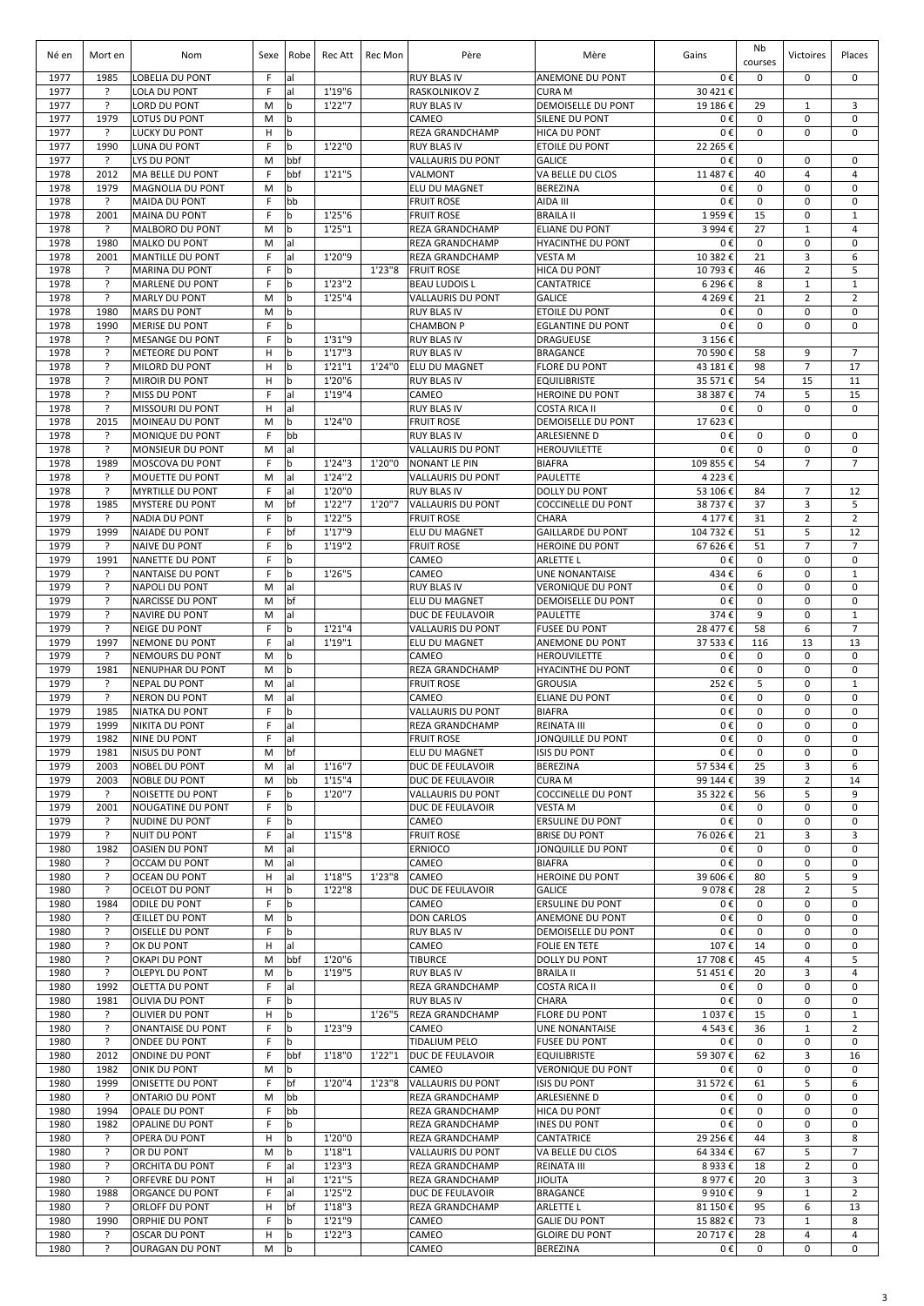| Né en        | Mort en             | Nom                                               | Sexe   | Robe              | Rec Att            | Rec Mon | Père                                           | Mère                                              | Gains                | Nb<br>courses     | Victoires                      | Places                         |
|--------------|---------------------|---------------------------------------------------|--------|-------------------|--------------------|---------|------------------------------------------------|---------------------------------------------------|----------------------|-------------------|--------------------------------|--------------------------------|
| 1977         | 1985                | LOBELIA DU PONT                                   | F      | al                |                    |         | <b>RUY BLAS IV</b>                             | ANEMONE DU PONT                                   | 0€                   | 0                 | 0                              | $\mathbf 0$                    |
| 1977         | ?                   | <b>LOLA DU PONT</b>                               | F      | al                | 1'19"6             |         | RASKOLNIKOV Z                                  | <b>CURA M</b>                                     | 30 421€              |                   |                                |                                |
| 1977<br>1977 | ?<br>1979           | LORD DU PONT<br>LOTUS DU PONT                     | M<br>M | b<br>b            | 1'22''7            |         | <b>RUY BLAS IV</b><br>CAMEO                    | DEMOISELLE DU PONT<br><b>SILENE DU PONT</b>       | 19 186€<br>0€        | 29<br>0           | 1<br>$\mathbf 0$               | 3<br>$\mathbf 0$               |
| 1977         | ?                   | LUCKY DU PONT                                     | н      | b                 |                    |         | REZA GRANDCHAMP                                | <b>HICA DU PONT</b>                               | 0€                   | 0                 | 0                              | $\mathbf 0$                    |
| 1977         | 1990                | <b>LUNA DU PONT</b>                               | F      | b                 | 1'22"0             |         | <b>RUY BLAS IV</b>                             | <b>ETOILE DU PONT</b>                             | 22 265 €             |                   |                                |                                |
| 1977<br>1978 | ?<br>2012           | LYS DU PONT<br>MA BELLE DU PONT                   | M<br>F | bbf<br>bbf        | 1'21"5             |         | <b>VALLAURIS DU PONT</b><br>VALMONT            | <b>GALICE</b><br>VA BELLE DU CLOS                 | 0€<br>11 487€        | $\mathbf 0$<br>40 | 0<br>$\overline{4}$            | $\mathbf 0$<br>$\overline{4}$  |
| 1978         | 1979                | <b>MAGNOLIA DU PONT</b>                           | M      | b                 |                    |         | ELU DU MAGNET                                  | <b>BEREZINA</b>                                   | 0€                   | 0                 | $\mathbf 0$                    | $\mathbf 0$                    |
| 1978         | ?                   | <b>MAIDA DU PONT</b>                              | F      | bb                |                    |         | <b>FRUIT ROSE</b>                              | AIDA III                                          | 0€                   | 0                 | 0                              | $\mathbf 0$                    |
| 1978         | 2001                | <b>MAINA DU PONT</b>                              | F      | b                 | 1'25"6             |         | <b>FRUIT ROSE</b>                              | <b>BRAILA II</b><br><b>ELIANE DU PONT</b>         | 1959€                | 15                | 0                              | $\mathbf{1}$                   |
| 1978<br>1978 | ?<br>1980           | MALBORO DU PONT<br><b>MALKO DU PONT</b>           | M<br>M | b<br>al           | 1'25"1             |         | <b>REZA GRANDCHAMP</b><br>REZA GRANDCHAMP      | <b>HYACINTHE DU PONT</b>                          | 3 994€<br>0€         | 27<br>$\mathbf 0$ | $\mathbf{1}$<br>$\mathbf 0$    | $\overline{4}$<br>$\mathbf 0$  |
| 1978         | 2001                | <b>MANTILLE DU PONT</b>                           | F      | al                | 1'20"9             |         | REZA GRANDCHAMP                                | <b>VESTA M</b>                                    | 10 382€              | 21                | 3                              | 6                              |
| 1978         | ?                   | <b>MARINA DU PONT</b>                             | F      | b                 |                    | 1'23''8 | <b>FRUIT ROSE</b>                              | <b>HICA DU PONT</b>                               | 10 793€              | 46                | $\overline{2}$                 | 5                              |
| 1978<br>1978 | ?<br>$\overline{?}$ | <b>MARLENE DU PONT</b><br><b>MARLY DU PONT</b>    | F<br>M | b<br>b            | 1'23''2<br>1'25''4 |         | <b>BEAU LUDOIS L</b><br>VALLAURIS DU PONT      | CANTATRICE<br><b>GALICE</b>                       | 6 296€<br>4 2 6 9€   | 8<br>21           | $\mathbf{1}$<br>$\overline{2}$ | $\mathbf{1}$<br>$\overline{2}$ |
| 1978         | 1980                | <b>MARS DU PONT</b>                               | M      | b                 |                    |         | <b>RUY BLAS IV</b>                             | ETOILE DU PONT                                    | 0€                   | $\mathbf 0$       | $\mathbf 0$                    | $\mathbf 0$                    |
| 1978         | 1990                | <b>MERISE DU PONT</b>                             | F      | $\mathsf b$       |                    |         | <b>CHAMBON P</b>                               | <b>EGLANTINE DU PONT</b>                          | 0€                   | $\mathbf 0$       | $\mathbf 0$                    | $\mathbf 0$                    |
| 1978         | ?                   | <b>MESANGE DU PONT</b>                            | F      | b                 | 1'31"9             |         | <b>RUY BLAS IV</b>                             | <b>DRAGUEUSE</b>                                  | 3 156€               |                   |                                |                                |
| 1978<br>1978 | ?<br>?              | <b>METEORE DU PONT</b><br>MILORD DU PONT          | H<br>H | b<br>b            | 1'17''3<br>1'21''1 | 1'24"0  | <b>RUY BLAS IV</b><br><b>ELU DU MAGNET</b>     | <b>BRAGANCE</b><br><b>FLORE DU PONT</b>           | 70 590€<br>43 181€   | 58<br>98          | 9<br>$\overline{7}$            | $\overline{7}$<br>17           |
| 1978         | ?                   | <b>MIROIR DU PONT</b>                             | H      | $\mathbf b$       | 1'20"6             |         | <b>RUY BLAS IV</b>                             | <b>EQUILIBRISTE</b>                               | 35 571€              | 54                | 15                             | 11                             |
| 1978         | ŗ                   | <b>MISS DU PONT</b>                               | F      | al                | 1'19"4             |         | CAMEO                                          | <b>HEROINE DU PONT</b>                            | 38 387€              | 74                | 5                              | 15                             |
| 1978         | ?                   | MISSOURI DU PONT                                  | H      | al                |                    |         | <b>RUY BLAS IV</b>                             | <b>COSTA RICA II</b>                              | 0€                   | 0                 | 0                              | $\mathbf 0$                    |
| 1978<br>1978 | 2015<br>?           | MOINEAU DU PONT<br><b>MONIQUE DU PONT</b>         | M<br>F | b<br>bb           | 1'24"0             |         | <b>FRUIT ROSE</b><br><b>RUY BLAS IV</b>        | <b>DEMOISELLE DU PONT</b><br><b>ARLESIENNE D</b>  | 17 623€<br>0€        | 0                 | $\mathbf 0$                    | 0                              |
| 1978         | $\overline{?}$      | <b>MONSIEUR DU PONT</b>                           | M      | al                |                    |         | <b>VALLAURIS DU PONT</b>                       | <b>HEROUVILETTE</b>                               | 0€                   | 0                 | 0                              | $\mathbf 0$                    |
| 1978         | 1989                | MOSCOVA DU PONT                                   | F      | b                 | 1'24''3            | 1'20"0  | <b>NONANT LE PIN</b>                           | <b>BIAFRA</b>                                     | 109 855€             | 54                | $\overline{7}$                 | $\overline{7}$                 |
| 1978         | ?                   | MOUETTE DU PONT                                   | M      | al                | 1'24''2            |         | <b>VALLAURIS DU PONT</b>                       | <b>PAULETTE</b>                                   | 4 2 2 3€             |                   |                                |                                |
| 1978<br>1978 | ?<br>1985           | <b>MYRTILLE DU PONT</b><br><b>MYSTERE DU PONT</b> | F<br>M | al<br>bf          | 1'20"0<br>1'22"7   | 1'20"7  | <b>RUY BLAS IV</b><br><b>VALLAURIS DU PONT</b> | <b>DOLLY DU PONT</b><br><b>COCCINELLE DU PONT</b> | 53 106 €<br>38 737 € | 84<br>37          | $\overline{7}$<br>3            | 12<br>5                        |
| 1979         | ?                   | <b>NADIA DU PONT</b>                              | F      | b                 | 1'22"5             |         | <b>FRUIT ROSE</b>                              | CHARA                                             | 4 177 €              | 31                | $\overline{2}$                 | $\overline{2}$                 |
| 1979         | 1999                | <b>NAIADE DU PONT</b>                             | F      | bf                | 1'17"9             |         | ELU DU MAGNET                                  | <b>GAILLARDE DU PONT</b>                          | 104 732€             | 51                | 5                              | 12                             |
| 1979         | ?                   | <b>NAIVE DU PONT</b>                              | F      | b                 | 1'19"2             |         | <b>FRUIT ROSE</b>                              | <b>HEROINE DU PONT</b>                            | 67 626€              | 51                | $\overline{7}$                 | $\overline{7}$<br>$\mathbf 0$  |
| 1979<br>1979 | 1991<br>?           | <b>NANETTE DU PONT</b><br><b>NANTAISE DU PONT</b> | F<br>F | b<br>b            | 1'26"5             |         | CAMEO<br>CAMEO                                 | <b>ARLETTE L</b><br><b>UNE NONANTAISE</b>         | 0€<br>434€           | 0<br>6            | $\mathbf 0$<br>$\mathbf 0$     | $\mathbf{1}$                   |
| 1979         | ?                   | <b>NAPOLI DU PONT</b>                             | M      | al                |                    |         | <b>RUY BLAS IV</b>                             | <b>VERONIQUE DU PONT</b>                          | 0€                   | 0                 | 0                              | $\mathbf 0$                    |
| 1979         | ?                   | NARCISSE DU PONT                                  | M      | bf                |                    |         | ELU DU MAGNET                                  | <b>DEMOISELLE DU PONT</b>                         | 0€                   | 0                 | 0                              | 0                              |
| 1979<br>1979 | ?<br>$\overline{?}$ | NAVIRE DU PONT<br><b>NEIGE DU PONT</b>            | M<br>F | al<br>b           | 1'21''4            |         | DUC DE FEULAVOIR<br><b>VALLAURIS DU PONT</b>   | PAULETTE<br><b>FUSEE DU PONT</b>                  | 374€<br>28 477 €     | 9<br>58           | $\mathbf 0$<br>6               | $\mathbf{1}$<br>$\overline{7}$ |
| 1979         | 1997                | NEMONE DU PONT                                    | F      | al                | 1'19''1            |         | ELU DU MAGNET                                  | ANEMONE DU PONT                                   | 37 533€              | 116               | 13                             | 13                             |
| 1979         | $\overline{?}$      | NEMOURS DU PONT                                   | M      | b                 |                    |         | CAMEO                                          | <b>HEROUVILETTE</b>                               | 0€                   | $\mathbf 0$       | $\mathbf 0$                    | $\mathbf 0$                    |
| 1979         | 1981                | <b>NENUPHAR DU PONT</b>                           | M      | b                 |                    |         | REZA GRANDCHAMP                                | <b>HYACINTHE DU PONT</b>                          | 0€                   | $\mathbf 0$       | $\mathbf 0$                    | $\mathbf 0$                    |
| 1979<br>1979 | ?<br>?              | <b>NEPAL DU PONT</b><br><b>NERON DU PONT</b>      | M<br>M | al<br>al          |                    |         | <b>FRUIT ROSE</b><br>CAMEO                     | <b>GROUSIA</b><br>ELIANE DU PONT                  | 252€<br>0€           | 5<br>0            | $\mathbf 0$<br>$\mathbf 0$     | $\mathbf{1}$<br>$\mathsf 0$    |
| 1979         | 1985                | <b>NIATKA DU PONT</b>                             | F      | b                 |                    |         | <b>VALLAURIS DU PONT</b>                       | <b>BIAFRA</b>                                     | 0€                   | 0                 | 0                              | $\mathbf 0$                    |
| 1979         | 1999                | <b>NIKITA DU PONT</b>                             | F      | al                |                    |         | <b>REZA GRANDCHAMP</b>                         | <b>REINATA III</b>                                | 0€                   | 0                 | 0                              | $\mathbf 0$                    |
| 1979         | 1982                | <b>NINE DU PONT</b>                               | F      | lal               |                    |         | <b>FRUIT ROSE</b>                              | JONQUILLE DU PONT                                 | 0€                   | 0                 | 0                              | 0                              |
| 1979<br>1979 | 1981<br>2003        | <b>NISUS DU PONT</b><br><b>NOBEL DU PONT</b>      | M<br>M | bf<br>al          | 1'16''7            |         | ELU DU MAGNET<br>DUC DE FEULAVOIR              | <b>ISIS DU PONT</b><br><b>BEREZINA</b>            | 0€<br>57 534 €       | 0<br>25           | $\mathbf 0$<br>3               | $\mathbf 0$<br>6               |
| 1979         | 2003                | <b>NOBLE DU PONT</b>                              | M      | bb                | 1'15''4            |         | DUC DE FEULAVOIR                               | <b>CURA M</b>                                     | 99 144 €             | 39                | $\overline{2}$                 | 14                             |
| 1979         | ?                   | NOISETTE DU PONT                                  | F      | b                 | 1'20"7             |         | <b>VALLAURIS DU PONT</b>                       | <b>COCCINELLE DU PONT</b>                         | 35 322€              | 56                | 5                              | 9                              |
| 1979<br>1979 | 2001<br>?           | <b>NOUGATINE DU PONT</b><br>NUDINE DU PONT        | F<br>F | b<br>b            |                    |         | DUC DE FEULAVOIR<br>CAMEO                      | <b>VESTAM</b><br><b>ERSULINE DU PONT</b>          | 0€<br>0€             | 0<br>0            | $\mathbf 0$<br>$\mathbf 0$     | $\mathbf 0$<br>$\mathbf 0$     |
| 1979         | $\overline{?}$      | <b>NUIT DU PONT</b>                               | F      | al                | 1'15''8            |         | <b>FRUIT ROSE</b>                              | <b>BRISE DU PONT</b>                              | 76 026€              | 21                | 3                              | 3                              |
| 1980         | 1982                | <b>OASIEN DU PONT</b>                             | M      | al                |                    |         | <b>ERNIOCO</b>                                 | JONQUILLE DU PONT                                 | 0€                   | 0                 | 0                              | $\mathbf 0$                    |
| 1980         | ŗ                   | OCCAM DU PONT                                     | M      | al                |                    |         | CAMEO                                          | <b>BIAFRA</b>                                     | 0€                   | $\mathbf 0$       | 0                              | $\mathbf 0$                    |
| 1980<br>1980 | ŗ<br>?              | <b>OCEAN DU PONT</b><br><b>OCELOT DU PONT</b>     | H<br>H | al<br>b           | 1'18"5<br>1'22"8   | 1'23"8  | CAMEO<br>DUC DE FEULAVOIR                      | <b>HEROINE DU PONT</b><br><b>GALICE</b>           | 39 606€<br>9 0 78€   | 80<br>28          | 5<br>$\overline{2}$            | 9<br>5                         |
| 1980         | 1984                | ODILE DU PONT                                     | F      | b                 |                    |         | CAMEO                                          | <b>ERSULINE DU PONT</b>                           | 0€                   | 0                 | 0                              | $\mathbf 0$                    |
| 1980         | ?                   | <b>ŒILLET DU PONT</b>                             | M      | b                 |                    |         | <b>DON CARLOS</b>                              | ANEMONE DU PONT                                   | 0€                   | 0                 | 0                              | $\mathbf 0$                    |
| 1980<br>1980 | ŗ<br>?              | <b>OISELLE DU PONT</b><br>OK DU PONT              | F<br>H | $\mathbf b$<br>al |                    |         | <b>RUY BLAS IV</b><br>CAMEO                    | <b>DEMOISELLE DU PONT</b><br><b>FOLIE EN TETE</b> | 0€<br>107€           | 0<br>14           | 0<br>0                         | 0<br>$\mathbf 0$               |
| 1980         | ?                   | OKAPI DU PONT                                     | M      | bbf               | 1'20"6             |         | <b>TIBURCE</b>                                 | DOLLY DU PONT                                     | 17 708€              | 45                | 4                              | 5                              |
| 1980         | $\overline{?}$      | <b>OLEPYL DU PONT</b>                             | M      | b                 | 1'19"5             |         | <b>RUY BLAS IV</b>                             | <b>BRAILA II</b>                                  | 51 451 €             | 20                | 3                              | 4                              |
| 1980         | 1992                | <b>OLETTA DU PONT</b>                             | F      | al                |                    |         | REZA GRANDCHAMP                                | <b>COSTA RICA II</b>                              | 0€                   | 0                 | $\mathbf 0$                    | $\mathbf 0$                    |
| 1980<br>1980 | 1981<br>?           | OLIVIA DU PONT<br><b>OLIVIER DU PONT</b>          | F<br>н | b<br>b            |                    | 1'26"5  | <b>RUY BLAS IV</b><br><b>REZA GRANDCHAMP</b>   | CHARA<br><b>FLORE DU PONT</b>                     | 0€<br>1 037€         | 0<br>15           | 0<br>$\mathbf 0$               | 0<br>$\mathbf{1}$              |
| 1980         | ?                   | <b>ONANTAISE DU PONT</b>                          | F      | b                 | 1'23"9             |         | CAMEO                                          | <b>UNE NONANTAISE</b>                             | 4543€                | 36                | $1\,$                          | $\overline{2}$                 |
| 1980         | ?                   | <b>ONDEE DU PONT</b>                              | F      | $\mathbf b$       |                    |         | TIDALIUM PELO                                  | <b>FUSEE DU PONT</b>                              | 0€                   | $\mathbf 0$       | $\mathbf 0$                    | 0                              |
| 1980         | 2012                | ONDINE DU PONT                                    | F      | bbf               | 1'18''0            | 1'22"1  | DUC DE FEULAVOIR                               | <b>EQUILIBRISTE</b>                               | 59 307€              | 62                | 3                              | 16                             |
| 1980<br>1980 | 1982<br>1999        | ONIK DU PONT<br>ONISETTE DU PONT                  | M<br>F | b<br>bf           | 1'20"4             | 1'23''8 | CAMEO<br><b>VALLAURIS DU PONT</b>              | <b>VERONIQUE DU PONT</b><br><b>ISIS DU PONT</b>   | 0€<br>31 572€        | 0<br>61           | 0<br>5                         | $\mathsf 0$<br>6               |
| 1980         | ?                   | <b>ONTARIO DU PONT</b>                            | M      | bb                |                    |         | REZA GRANDCHAMP                                | ARLESIENNE D                                      | 0€                   | 0                 | 0                              | 0                              |
| 1980         | 1994                | OPALE DU PONT                                     | F      | bb                |                    |         | <b>REZA GRANDCHAMP</b>                         | <b>HICA DU PONT</b>                               | 0€                   | 0                 | 0                              | $\mathbf 0$                    |
| 1980<br>1980 | 1982<br>?           | OPALINE DU PONT<br>OPERA DU PONT                  | F<br>H | b<br>b            | 1'20"0             |         | REZA GRANDCHAMP<br><b>REZA GRANDCHAMP</b>      | <b>INES DU PONT</b><br>CANTATRICE                 | 0€                   | 0<br>44           | 0<br>3                         | 0<br>8                         |
| 1980         | ?                   | OR DU PONT                                        | M      | b                 | 1'18''1            |         | <b>VALLAURIS DU PONT</b>                       | VA BELLE DU CLOS                                  | 29 256€<br>64 334 €  | 67                | 5                              | $\overline{7}$                 |
| 1980         | ?                   | ORCHITA DU PONT                                   | F      | al                | 1'23''3            |         | REZA GRANDCHAMP                                | <b>REINATA III</b>                                | 8933€                | 18                | $\overline{2}$                 | 0                              |
| 1980         | ?                   | ORFEVRE DU PONT                                   | H      | al                | 1'21''5            |         | REZA GRANDCHAMP                                | <b>JIOLITA</b>                                    | 8977€                | 20                | 3                              | 3                              |
| 1980<br>1980 | 1988<br>?           | ORGANCE DU PONT<br>ORLOFF DU PONT                 | F<br>н | al<br>bf          | 1'25''2<br>1'18''3 |         | DUC DE FEULAVOIR<br>REZA GRANDCHAMP            | <b>BRAGANCE</b><br><b>ARLETTE L</b>               | 9910€<br>81 150€     | 9<br>95           | $\mathbf 1$<br>6               | $\overline{2}$<br>13           |
| 1980         | 1990                | ORPHIE DU PONT                                    | F      | b                 | 1'21"9             |         | CAMEO                                          | <b>GALIE DU PONT</b>                              | 15 882€              | 73                | $\mathbf 1$                    | 8                              |
| 1980         | ŗ                   | <b>OSCAR DU PONT</b>                              | H      | b                 | 1'22''3            |         | CAMEO                                          | <b>GLOIRE DU PONT</b>                             | 20 717€              | 28                | 4                              | 4                              |
| 1980         | ?                   | <b>OURAGAN DU PONT</b>                            | M      | b                 |                    |         | CAMEO                                          | <b>BEREZINA</b>                                   | 0€                   | $\mathbf 0$       | 0                              | $\mathbf 0$                    |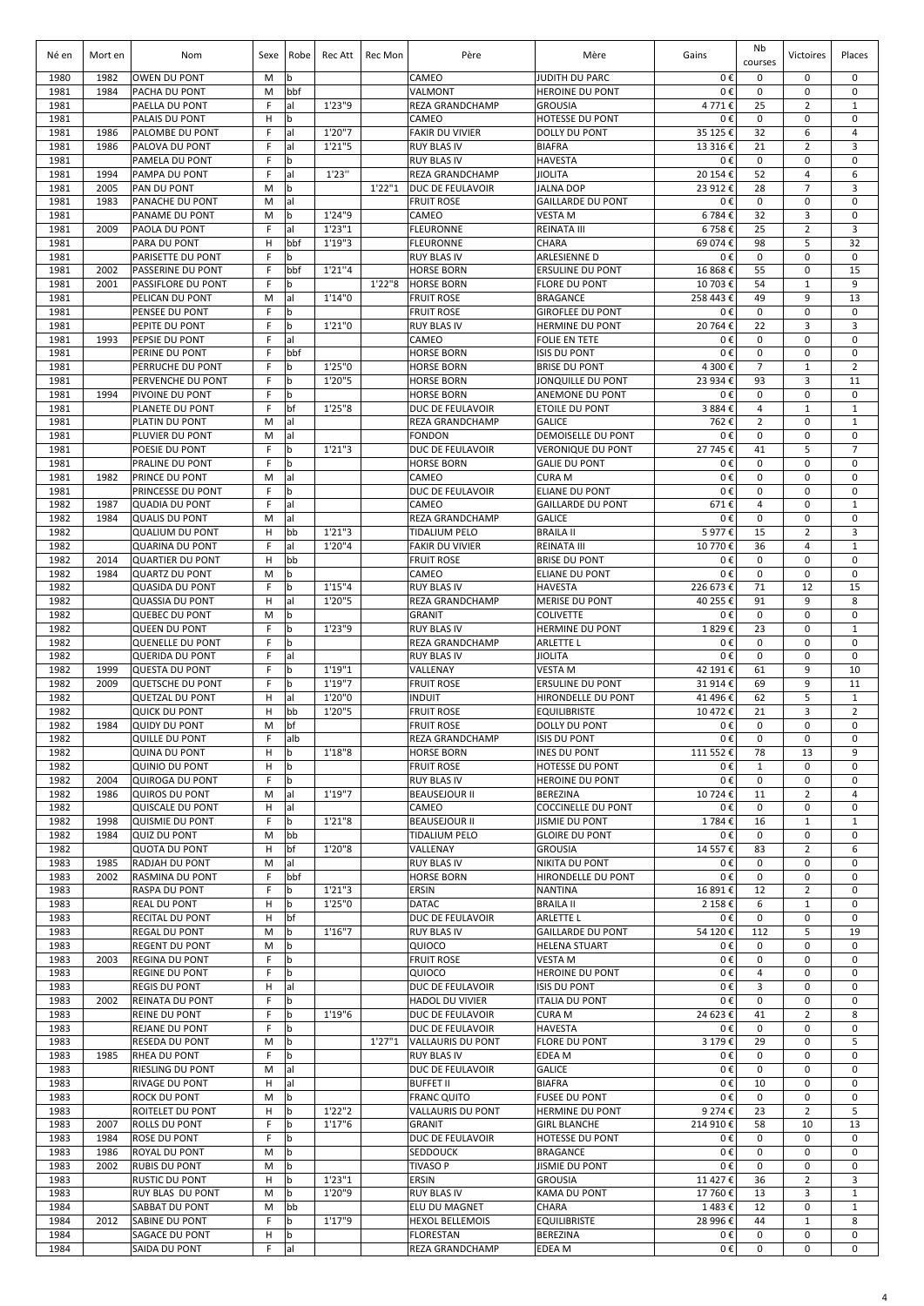| Né en        | Mort en      | Nom                                             | Sexe    | Robe               | Rec Att           | Rec Mon | Père                                              | Mère                                               | Gains               | Nb<br>courses       | Victoires                        | Places                       |
|--------------|--------------|-------------------------------------------------|---------|--------------------|-------------------|---------|---------------------------------------------------|----------------------------------------------------|---------------------|---------------------|----------------------------------|------------------------------|
| 1980         | 1982         | <b>OWEN DU PONT</b>                             | M       | b                  |                   |         | CAMEO                                             | JUDITH DU PARC                                     | 0€                  | 0                   | 0                                | 0                            |
| 1981         | 1984         | PACHA DU PONT                                   | M       | bbf                |                   |         | VALMONT                                           | <b>HEROINE DU PONT</b>                             | 0€                  | 0                   | 0                                | $\mathbf 0$                  |
| 1981<br>1981 |              | PAELLA DU PONT<br>PALAIS DU PONT                | F<br>H  | al<br>b            | 1'23"9            |         | <b>REZA GRANDCHAMP</b><br>CAMEO                   | <b>GROUSIA</b><br><b>HOTESSE DU PONT</b>           | 4771€<br>0€         | 25<br>0             | $\overline{2}$<br>$\mathbf 0$    | $\mathbf{1}$<br>0            |
| 1981         | 1986         | PALOMBE DU PONT                                 | F       | lal                | 1'20"7            |         | <b>FAKIR DU VIVIER</b>                            | <b>DOLLY DU PONT</b>                               | 35 125 €            | 32                  | 6                                | 4                            |
| 1981         | 1986         | PALOVA DU PONT                                  | F       | lal                | 1'21''5           |         | <b>RUY BLAS IV</b>                                | <b>BIAFRA</b>                                      | 13 316€             | 21                  | $\overline{2}$                   | 3                            |
| 1981         |              | PAMELA DU PONT                                  | F       | b                  |                   |         | <b>RUY BLAS IV</b>                                | <b>HAVESTA</b>                                     | 0€                  | $\mathbf 0$         | $\mathbf 0$                      | $\mathbf 0$                  |
| 1981<br>1981 | 1994<br>2005 | PAMPA DU PONT<br>PAN DU PONT                    | F<br>M  | al<br>b            | 1'23''            | 1'22"1  | <b>REZA GRANDCHAMP</b><br><b>DUC DE FEULAVOIR</b> | <b>JIOLITA</b><br><b>JALNA DOP</b>                 | 20 154 €<br>23 912€ | 52<br>28            | $\overline{4}$<br>$\overline{7}$ | 6<br>3                       |
| 1981         | 1983         | PANACHE DU PONT                                 | M       | al                 |                   |         | <b>FRUIT ROSE</b>                                 | <b>GAILLARDE DU PONT</b>                           | 0€                  | $\mathsf 0$         | 0                                | $\mathbf 0$                  |
| 1981         |              | PANAME DU PONT                                  | M       | b                  | 1'24"9            |         | CAMEO                                             | <b>VESTAM</b>                                      | 6784€               | 32                  | 3                                | $\mathbf 0$                  |
| 1981         | 2009         | PAOLA DU PONT                                   | F       | al                 | 1'23''1           |         | <b>FLEURONNE</b>                                  | <b>REINATA III</b>                                 | 6758€               | 25                  | 2                                | 3                            |
| 1981         |              | PARA DU PONT                                    | н       | bbf                | 1'19''3           |         | <b>FLEURONNE</b>                                  | <b>CHARA</b>                                       | 69 074€             | 98                  | 5                                | 32                           |
| 1981<br>1981 | 2002         | PARISETTE DU PONT<br>PASSERINE DU PONT          | F<br>F  | $\mathbf b$<br>bbf | 1'21''4           |         | <b>RUY BLAS IV</b><br><b>HORSE BORN</b>           | <b>ARLESIENNE D</b><br><b>ERSULINE DU PONT</b>     | 0€<br>16 868€       | $\pmb{0}$<br>55     | $\mathbf 0$<br>$\mathbf 0$       | $\mathbf 0$<br>15            |
| 1981         | 2001         | PASSIFLORE DU PONT                              | E       | l b                |                   | 1'22"8  | <b>HORSE BORN</b>                                 | <b>FLORE DU PONT</b>                               | 10 703€             | 54                  | $\mathbf{1}$                     | 9                            |
| 1981         |              | PELICAN DU PONT                                 | M       | lal                | 1'14''0           |         | <b>FRUIT ROSE</b>                                 | BRAGANCE                                           | 258 443 €           | 49                  | 9                                | 13                           |
| 1981         |              | PENSEE DU PONT                                  | F.      | l b                |                   |         | <b>FRUIT ROSE</b>                                 | <b>GIROFLEE DU PONT</b>                            | 0€                  | $\mathbf 0$         | $\mathbf 0$                      | $\mathbf 0$                  |
| 1981         |              | PEPITE DU PONT                                  | F<br>F  | l b                | 1'21"0            |         | <b>RUY BLAS IV</b><br>CAMEO                       | <b>HERMINE DU PONT</b>                             | 20 764 €            | 22                  | 3<br>$\mathbf 0$                 | 3<br>$\mathbf 0$             |
| 1981<br>1981 | 1993         | PEPSIE DU PONT<br>PERINE DU PONT                | F       | al<br>bbf          |                   |         | <b>HORSE BORN</b>                                 | <b>FOLIE EN TETE</b><br><b>ISIS DU PONT</b>        | 0€<br>0€            | 0<br>0              | $\mathbf 0$                      | $\mathsf 0$                  |
| 1981         |              | <b>PERRUCHE DU PONT</b>                         | F       | b                  | 1'25"0            |         | <b>HORSE BORN</b>                                 | <b>BRISE DU PONT</b>                               | 4 300€              | $\overline{7}$      | $\mathbf{1}$                     | $\overline{2}$               |
| 1981         |              | PERVENCHE DU PONT                               | F       | l b                | 1'20"5            |         | <b>HORSE BORN</b>                                 | JONQUILLE DU PONT                                  | 23 934 €            | 93                  | 3                                | 11                           |
| 1981         | 1994         | <b>PIVOINE DU PONT</b>                          | F       | b                  |                   |         | <b>HORSE BORN</b>                                 | ANEMONE DU PONT                                    | 0€                  | 0                   | $\mathbf 0$                      | $\mathbf 0$                  |
| 1981<br>1981 |              | PLANETE DU PONT<br>PLATIN DU PONT               | F<br>M  | bf<br>al           | 1'25"8            |         | DUC DE FEULAVOIR<br><b>REZA GRANDCHAMP</b>        | <b>ETOILE DU PONT</b><br><b>GALICE</b>             | 3884€<br>762€       | 4<br>$\overline{2}$ | $\mathbf{1}$<br>$\mathbf 0$      | $\mathbf{1}$<br>$\mathbf{1}$ |
| 1981         |              | PLUVIER DU PONT                                 | M       | al                 |                   |         | <b>FONDON</b>                                     | <b>DEMOISELLE DU PONT</b>                          | 0€                  | 0                   | $\mathbf 0$                      | $\mathbf 0$                  |
| 1981         |              | POESIE DU PONT                                  | F       | $\mathsf b$        | 1'21''3           |         | DUC DE FEULAVOIR                                  | <b>VERONIQUE DU PONT</b>                           | 27 745€             | 41                  | 5                                | $\overline{7}$               |
| 1981         |              | PRALINE DU PONT                                 | F       | $\mathbf b$        |                   |         | <b>HORSE BORN</b>                                 | <b>GALIE DU PONT</b>                               | 0€                  | 0                   | 0                                | $\mathbf 0$                  |
| 1981         | 1982         | PRINCE DU PONT                                  | M       | al                 |                   |         | CAMEO                                             | <b>CURA M</b>                                      | 0€                  | 0                   | 0                                | $\mathbf 0$                  |
| 1981<br>1982 | 1987         | PRINCESSE DU PONT<br><b>QUADIA DU PONT</b>      | F<br>F  | b<br>al            |                   |         | DUC DE FEULAVOIR<br>CAMEO                         | <b>ELIANE DU PONT</b><br><b>GAILLARDE DU PONT</b>  | 0€<br>671€          | 0<br>$\overline{4}$ | 0<br>$\mathbf 0$                 | $\mathbf 0$<br>$\mathbf{1}$  |
| 1982         | 1984         | <b>QUALIS DU PONT</b>                           | M       | al                 |                   |         | <b>REZA GRANDCHAMP</b>                            | <b>GALICE</b>                                      | 0€                  | $\mathbf 0$         | $\mathbf 0$                      | $\mathbf 0$                  |
| 1982         |              | <b>QUALIUM DU PONT</b>                          | H       | bb                 | 1'21''3           |         | <b>TIDALIUM PELO</b>                              | <b>BRAILA II</b>                                   | 5977€               | 15                  | $\overline{2}$                   | 3                            |
| 1982         |              | <b>QUARINA DU PONT</b>                          | F       | al                 | 1'20"4            |         | <b>FAKIR DU VIVIER</b>                            | <b>REINATA III</b>                                 | 10 770€             | 36                  | 4                                | $\mathbf{1}$                 |
| 1982         | 2014         | <b>QUARTIER DU PONT</b>                         | н       | bb                 |                   |         | <b>FRUIT ROSE</b>                                 | <b>BRISE DU PONT</b>                               | 0€                  | 0                   | $\mathbf 0$                      | $\mathbf 0$                  |
| 1982<br>1982 | 1984         | <b>QUARTZ DU PONT</b><br><b>QUASIDA DU PONT</b> | M<br>F  | b<br>b             | 1'15''4           |         | CAMEO<br><b>RUY BLAS IV</b>                       | <b>ELIANE DU PONT</b><br><b>HAVESTA</b>            | 0€<br>226 673€      | $\mathsf 0$<br>71   | $\mathbf 0$<br>12                | $\mathbf 0$<br>15            |
| 1982         |              | <b>QUASSIA DU PONT</b>                          | н       | al                 | 1'20"5            |         | <b>REZA GRANDCHAMP</b>                            | <b>MERISE DU PONT</b>                              | 40 255 €            | 91                  | 9                                | 8                            |
| 1982         |              | <b>QUEBEC DU PONT</b>                           | M       | b                  |                   |         | <b>GRANIT</b>                                     | <b>COLIVETTE</b>                                   | 0€                  | $\pmb{0}$           | $\mathbf 0$                      | $\mathbf 0$                  |
| 1982         |              | <b>QUEEN DU PONT</b>                            | F       | b                  | 1'23"9            |         | <b>RUY BLAS IV</b>                                | <b>HERMINE DU PONT</b>                             | 1829€               | 23                  | $\mathbf 0$                      | $\mathbf{1}$                 |
| 1982         |              | <b>QUENELLE DU PONT</b>                         | F<br>F  | b                  |                   |         | <b>REZA GRANDCHAMP</b>                            | <b>ARLETTE L</b>                                   | 0€                  | $\mathbf 0$<br>0    | $\mathbf 0$<br>$\mathbf 0$       | $\mathbf 0$<br>$\mathbf 0$   |
| 1982<br>1982 | 1999         | <b>QUERIDA DU PONT</b><br><b>QUESTA DU PONT</b> | F       | lal<br>lb          | 1'19''1           |         | <b>RUY BLAS IV</b><br>VALLENAY                    | <b>JIOLITA</b><br><b>VESTA M</b>                   | 0€<br>42 191€       | 61                  | 9                                | 10                           |
| 1982         | 2009         | <b>QUETSCHE DU PONT</b>                         | F       | <b>b</b>           | 1'19"7            |         | <b>FRUIT ROSE</b>                                 | <b>ERSULINE DU PONT</b>                            | 31 914 €            | 69                  | 9                                | 11                           |
| 1982         |              | <b>QUETZAL DU PONT</b>                          | н       | al                 | 1'20"0            |         | <b>INDUIT</b>                                     | <b>HIRONDELLE DU PONT</b>                          | 41 496€             | 62                  | 5                                | $\mathbf{1}$                 |
| 1982         |              | <b>QUICK DU PONT</b>                            | н       | bb                 | 1'20"5            |         | <b>FRUIT ROSE</b>                                 | <b>EQUILIBRISTE</b>                                | 10 472€             | 21                  | 3                                | $\overline{2}$               |
| 1982<br>1982 | 1984         | <b>QUIDY DU PONT</b><br>QUILLE DU PONT          | M<br>F  | bf<br>alb          |                   |         | <b>FRUIT ROSE</b><br>REZA GRANDCHAMP              | <b>DOLLY DU PONT</b><br><b>ISIS DU PONT</b>        | 0€<br>0€            | 0<br>0              | 0<br>0                           | $\mathbf 0$<br>0             |
| 1982         |              | <b>QUINA DU PONT</b>                            | н       | l b                | 1'18''8           |         | <b>HORSE BORN</b>                                 | <b>INES DU PONT</b>                                | 111 552€            | 78                  | 13                               | 9                            |
| 1982         |              | <b>QUINIO DU PONT</b>                           | н       | b                  |                   |         | <b>FRUIT ROSE</b>                                 | <b>HOTESSE DU PONT</b>                             | 0€                  | $\mathbf{1}$        | 0                                | 0                            |
| 1982         | 2004         | <b>QUIROGA DU PONT</b>                          | F       | b                  |                   |         | <b>RUY BLAS IV</b>                                | <b>HEROINE DU PONT</b>                             | 0€                  | 0                   | $\mathbf 0$                      | $\mathbf 0$                  |
| 1982         | 1986         | QUIROS DU PONT                                  | M       | al                 | 1'19"7            |         | <b>BEAUSEJOUR II</b>                              | <b>BEREZINA</b>                                    | 10724€              | 11                  | $\overline{2}$                   | 4                            |
| 1982<br>1982 | 1998         | QUISCALE DU PONT<br><b>QUISMIE DU PONT</b>      | н<br>F  | lal<br>$\mathbf b$ | 1'21''8           |         | CAMEO<br><b>BEAUSEJOUR II</b>                     | <b>COCCINELLE DU PONT</b><br><b>JISMIE DU PONT</b> | 0€<br>1784€         | $\mathbf 0$<br>16   | $\mathbf 0$<br>$1\,$             | $\mathbf 0$<br>$\mathbf 1$   |
| 1982         | 1984         | <b>QUIZ DU PONT</b>                             | M       | bb                 |                   |         | <b>TIDALIUM PELO</b>                              | <b>GLOIRE DU PONT</b>                              | 0€                  | 0                   | $\mathbf 0$                      | $\mathbf 0$                  |
| 1982         |              | <b>QUOTA DU PONT</b>                            | H       | bf                 | 1'20"8            |         | VALLENAY                                          | <b>GROUSIA</b>                                     | 14 557€             | 83                  | $\overline{2}$                   | 6                            |
| 1983         | 1985         | RADJAH DU PONT                                  | M       | al                 |                   |         | <b>RUY BLAS IV</b>                                | <b>NIKITA DU PONT</b>                              | 0€                  | 0                   | $\mathbf 0$                      | 0                            |
| 1983         | 2002         | RASMINA DU PONT                                 | F       | bbf                |                   |         | <b>HORSE BORN</b>                                 | <b>HIRONDELLE DU PONT</b>                          | 0€                  | 0                   | $\mathbf 0$                      | 0                            |
| 1983<br>1983 |              | RASPA DU PONT<br><b>REAL DU PONT</b>            | F<br>н  | b<br>b             | 1'21''3<br>1'25"0 |         | ERSIN<br><b>DATAC</b>                             | <b>NANTINA</b><br><b>BRAILA II</b>                 | 16 891€<br>2 158€   | 12<br>6             | $\overline{2}$<br>$\mathbf{1}$   | $\mathbf 0$<br>$\mathbf 0$   |
| 1983         |              | RECITAL DU PONT                                 | н       | bf                 |                   |         | DUC DE FEULAVOIR                                  | <b>ARLETTE L</b>                                   | 0€                  | 0                   | 0                                | $\mathbf 0$                  |
| 1983         |              | <b>REGAL DU PONT</b>                            | M       | l b                | 1'16''7           |         | <b>RUY BLAS IV</b>                                | <b>GAILLARDE DU PONT</b>                           | 54 120€             | 112                 | 5                                | 19                           |
| 1983         |              | <b>REGENT DU PONT</b>                           | M       | b                  |                   |         | QUIOCO                                            | <b>HELENA STUART</b>                               | 0€                  | 0                   | 0                                | $\mathbf 0$                  |
| 1983         | 2003         | <b>REGINA DU PONT</b>                           | F<br>F  | l b<br>b           |                   |         | <b>FRUIT ROSE</b><br>QUIOCO                       | <b>VESTA M</b>                                     | 0€                  | 0<br>4              | 0<br>$\pmb{0}$                   | $\mathbf 0$<br>0             |
| 1983<br>1983 |              | REGINE DU PONT<br><b>REGIS DU PONT</b>          | н       | lal                |                   |         | DUC DE FEULAVOIR                                  | <b>HEROINE DU PONT</b><br><b>ISIS DU PONT</b>      | 0€<br>0€            | 3                   | $\mathbf 0$                      | $\mathbf 0$                  |
| 1983         | 2002         | REINATA DU PONT                                 | F.      | b                  |                   |         | <b>HADOL DU VIVIER</b>                            | <b>ITALIA DU PONT</b>                              | 0€                  | 0                   | $\mathbf 0$                      | $\mathbf 0$                  |
| 1983         |              | REINE DU PONT                                   | F       | l b                | 1'19"6            |         | DUC DE FEULAVOIR                                  | <b>CURA M</b>                                      | 24 623€             | 41                  | $\overline{2}$                   | 8                            |
| 1983         |              | REJANE DU PONT                                  | F.      | l b                |                   |         | DUC DE FEULAVOIR                                  | <b>HAVESTA</b>                                     | 0€                  | $\mathbf 0$         | $\mathbf 0$                      | $\mathbf 0$                  |
| 1983<br>1983 | 1985         | RESEDA DU PONT<br><b>RHEA DU PONT</b>           | M<br>F. | l b<br>b           |                   | 1'27''1 | VALLAURIS DU PONT<br><b>RUY BLAS IV</b>           | <b>FLORE DU PONT</b><br><b>EDEA M</b>              | 3 179€<br>0€        | 29<br>0             | $\mathbf 0$<br>$\mathbf 0$       | 5<br>$\mathbf 0$             |
| 1983         |              | RIESLING DU PONT                                | M       | lal                |                   |         | DUC DE FEULAVOIR                                  | <b>GALICE</b>                                      | 0€                  | 0                   | 0                                | 0                            |
| 1983         |              | <b>RIVAGE DU PONT</b>                           | н       | al                 |                   |         | <b>BUFFET II</b>                                  | <b>BIAFRA</b>                                      | 0€                  | 10                  | 0                                | $\mathbf 0$                  |
| 1983         |              | <b>ROCK DU PONT</b>                             | M       | l b                |                   |         | <b>FRANC QUITO</b>                                | <b>FUSEE DU PONT</b>                               | 0€                  | 0                   | 0                                | 0                            |
| 1983         |              | ROITELET DU PONT                                | н       | lb.                | 1'22"2            |         | VALLAURIS DU PONT                                 | <b>HERMINE DU PONT</b>                             | 9 274€              | 23                  | $\overline{2}$                   | 5                            |
| 1983<br>1983 | 2007<br>1984 | ROLLS DU PONT<br>ROSE DU PONT                   | F<br>F  | b<br>$\mathbf b$   | 1'17''6           |         | <b>GRANIT</b><br>DUC DE FEULAVOIR                 | <b>GIRL BLANCHE</b><br><b>HOTESSE DU PONT</b>      | 214 910€<br>0€      | 58<br>0             | 10<br>$\mathbf 0$                | 13<br>$\mathbf 0$            |
| 1983         | 1986         | ROYAL DU PONT                                   | M       | b                  |                   |         | <b>SEDDOUCK</b>                                   | <b>BRAGANCE</b>                                    | 0€                  | 0                   | 0                                | 0                            |
| 1983         | 2002         | <b>RUBIS DU PONT</b>                            | M       | b                  |                   |         | <b>TIVASO P</b>                                   | <b>JISMIE DU PONT</b>                              | 0€                  | 0                   | 0                                | 0                            |
| 1983         |              | RUSTIC DU PONT                                  | н       | b                  | 1'23''1           |         | ERSIN                                             | <b>GROUSIA</b>                                     | 11 427€             | 36                  | $\overline{2}$                   | 3                            |
| 1983<br>1984 |              | RUY BLAS DU PONT<br>SABBAT DU PONT              | M<br>M  | b<br>bb            | 1'20"9            |         | <b>RUY BLAS IV</b><br>ELU DU MAGNET               | <b>KAMA DU PONT</b><br>CHARA                       | 17 760€<br>1483€    | 13<br>12            | 3<br>0                           | $\mathbf 1$<br>$\mathbf{1}$  |
| 1984         | 2012         | SABINE DU PONT                                  | F       | b                  | 1'17"9            |         | <b>HEXOL BELLEMOIS</b>                            | <b>EQUILIBRISTE</b>                                | 28 996€             | 44                  | $1\,$                            | 8                            |
| 1984         |              | SAGACE DU PONT                                  | н       | b                  |                   |         | <b>FLORESTAN</b>                                  | <b>BEREZINA</b>                                    | 0€                  | 0                   | 0                                | 0                            |
| 1984         |              | SAIDA DU PONT                                   | F.      | al                 |                   |         | <b>REZA GRANDCHAMP</b>                            | <b>EDEA M</b>                                      | 0€                  | 0                   | 0                                | $\mathbf 0$                  |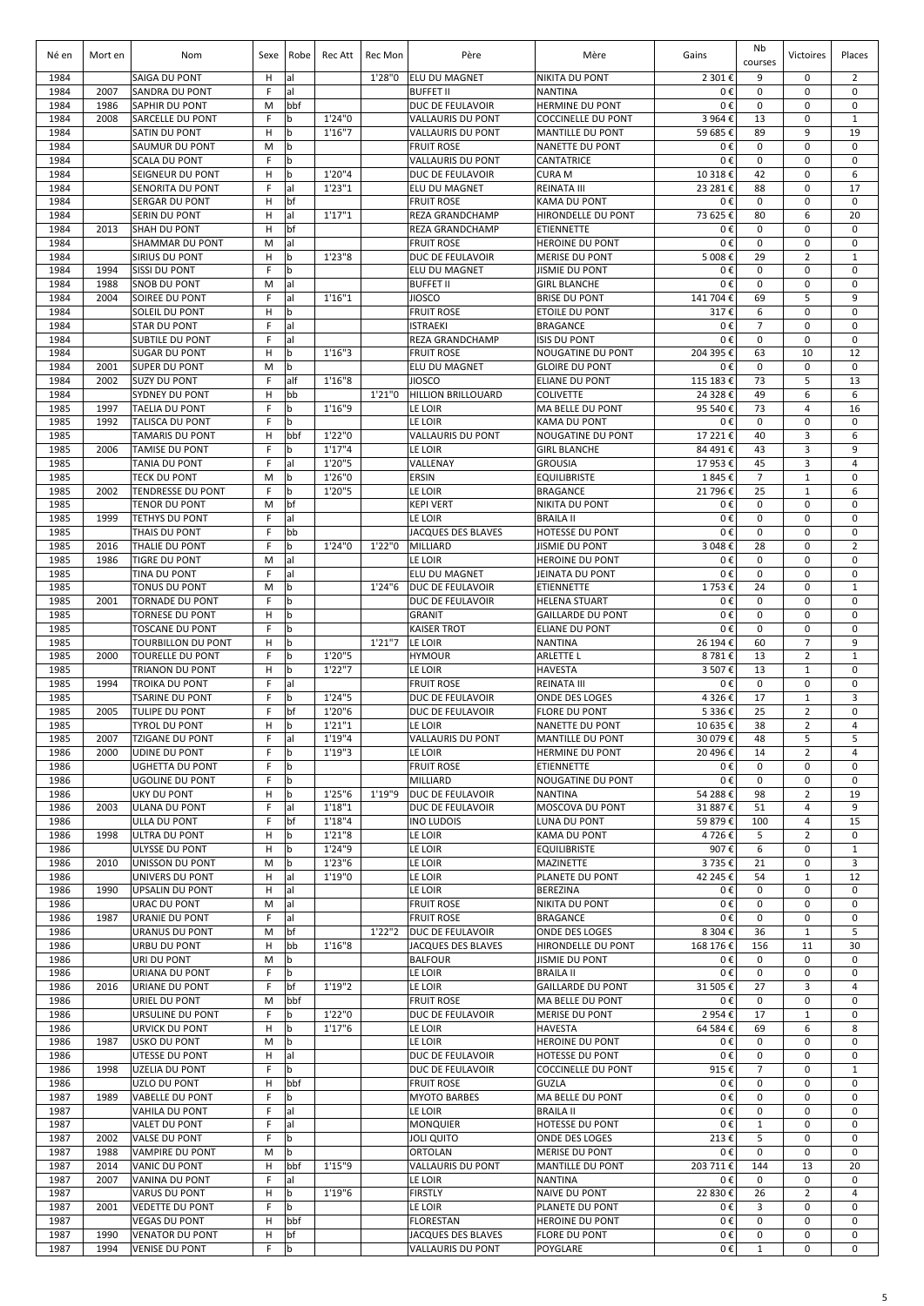| Né en        | Mort en      | Nom                                                  | Sexe    | Robe               | Rec Att            | Rec Mon | Père                                                 | Mère                                                 | Gains              | Nb<br>courses        | Victoires                        | Places                        |
|--------------|--------------|------------------------------------------------------|---------|--------------------|--------------------|---------|------------------------------------------------------|------------------------------------------------------|--------------------|----------------------|----------------------------------|-------------------------------|
| 1984         |              | SAIGA DU PONT                                        | н       | al                 |                    | 1'28"0  | <b>ELU DU MAGNET</b>                                 | <b>NIKITA DU PONT</b>                                | 2 301€             | 9                    | 0                                | $\overline{2}$                |
| 1984         | 2007         | <b>SANDRA DU PONT</b>                                | F       | al                 |                    |         | <b>BUFFET II</b>                                     | <b>NANTINA</b>                                       | 0€                 | $\mathbf 0$          | $\mathbf 0$                      | $\mathbf 0$                   |
| 1984<br>1984 | 1986         | SAPHIR DU PONT                                       | M<br>F  | bbf                | 1'24"0             |         | DUC DE FEULAVOIR                                     | <b>HERMINE DU PONT</b>                               | 0€<br>3 964€       | 0<br>13              | $\mathbf 0$                      | $\mathbf 0$<br>$\mathbf{1}$   |
| 1984         | 2008         | SARCELLE DU PONT<br>SATIN DU PONT                    | н       | b<br>b             | 1'16''7            |         | <b>VALLAURIS DU PONT</b><br><b>VALLAURIS DU PONT</b> | <b>COCCINELLE DU PONT</b><br><b>MANTILLE DU PONT</b> | 59 685€            | 89                   | 0<br>9                           | 19                            |
| 1984         |              | SAUMUR DU PONT                                       | M       | b                  |                    |         | <b>FRUIT ROSE</b>                                    | <b>NANETTE DU PONT</b>                               | 0€                 | $\mathbf 0$          | $\mathbf 0$                      | $\mathbf 0$                   |
| 1984         |              | <b>SCALA DU PONT</b>                                 | F       | b                  |                    |         | <b>VALLAURIS DU PONT</b>                             | <b>CANTATRICE</b>                                    | 0€                 | $\mathbf 0$          | $\mathbf 0$                      | $\mathbf 0$                   |
| 1984         |              | SEIGNEUR DU PONT                                     | н       | $\mathbf b$        | 1'20"4             |         | DUC DE FEULAVOIR                                     | <b>CURA M</b>                                        | 10 318€            | 42                   | $\mathbf 0$                      | 6                             |
| 1984<br>1984 |              | SENORITA DU PONT<br><b>SERGAR DU PONT</b>            | F       | lal<br>bf          | 1'23''1            |         | ELU DU MAGNET                                        | REINATA III<br><b>KAMA DU PONT</b>                   | 23 281€<br>0€      | 88<br>$\mathbf 0$    | $\mathbf 0$<br>$\mathbf 0$       | 17<br>$\mathbf 0$             |
| 1984         |              | SERIN DU PONT                                        | н<br>н  | al                 | 1'17''1            |         | <b>FRUIT ROSE</b><br>REZA GRANDCHAMP                 | <b>HIRONDELLE DU PONT</b>                            | 73 625€            | 80                   | 6                                | 20                            |
| 1984         | 2013         | <b>SHAH DU PONT</b>                                  | н       | bf                 |                    |         | REZA GRANDCHAMP                                      | <b>ETIENNETTE</b>                                    | 0€                 | 0                    | $\mathbf 0$                      | $\mathbf 0$                   |
| 1984         |              | SHAMMAR DU PONT                                      | M       | lal                |                    |         | <b>FRUIT ROSE</b>                                    | <b>HEROINE DU PONT</b>                               | 0€                 | $\mathbf 0$          | $\mathbf 0$                      | $\mathbf 0$                   |
| 1984         |              | SIRIUS DU PONT                                       | н       | b                  | 1'23"8             |         | DUC DE FEULAVOIR                                     | <b>MERISE DU PONT</b>                                | 5 008€             | 29                   | $\overline{2}$                   | $\mathbf{1}$                  |
| 1984         | 1994         | <b>SISSI DU PONT</b>                                 | F       | b                  |                    |         | ELU DU MAGNET                                        | <b>JISMIE DU PONT</b>                                | 0€                 | $\mathbf 0$          | $\mathbf 0$                      | $\mathbf 0$                   |
| 1984<br>1984 | 1988<br>2004 | <b>SNOB DU PONT</b><br>SOIREE DU PONT                | M<br>F  | lal<br>lal         | 1'16''1            |         | <b>BUFFET II</b><br><b>JIOSCO</b>                    | <b>GIRL BLANCHE</b><br><b>BRISE DU PONT</b>          | 0€<br>141 704 €    | 0<br>69              | 0<br>5                           | $\mathbf 0$<br>9              |
| 1984         |              | <b>SOLEIL DU PONT</b>                                | н       | b                  |                    |         | <b>FRUIT ROSE</b>                                    | <b>ETOILE DU PONT</b>                                | 317€               | 6                    | $\mathbf 0$                      | 0                             |
| 1984         |              | <b>STAR DU PONT</b>                                  | F       | lal                |                    |         | <b>ISTRAEKI</b>                                      | <b>BRAGANCE</b>                                      | 0€                 | $\overline{7}$       | $\mathbf 0$                      | $\mathbf 0$                   |
| 1984         |              | <b>SUBTILE DU PONT</b>                               | F       | lal                |                    |         | <b>REZA GRANDCHAMP</b>                               | <b>ISIS DU PONT</b>                                  | 0€                 | $\pmb{0}$            | $\mathbf 0$                      | $\mathbf 0$                   |
| 1984         |              | <b>SUGAR DU PONT</b>                                 | н       | b                  | 1'16''3            |         | <b>FRUIT ROSE</b>                                    | <b>NOUGATINE DU PONT</b>                             | 204 395€           | 63                   | 10                               | 12                            |
| 1984<br>1984 | 2001<br>2002 | <b>SUPER DU PONT</b><br><b>SUZY DU PONT</b>          | M<br>F  | $\mathbf b$<br>alf | 1'16''8            |         | ELU DU MAGNET<br><b>JIOSCO</b>                       | <b>GLOIRE DU PONT</b><br><b>ELIANE DU PONT</b>       | 0€<br>115 183 €    | 0<br>73              | $\mathbf 0$<br>5                 | $\mathbf 0$<br>13             |
| 1984         |              | SYDNEY DU PONT                                       | H       | bb                 |                    | 1'21"0  | <b>HILLION BRILLOUARD</b>                            | <b>COLIVETTE</b>                                     | 24 328€            | 49                   | 6                                | 6                             |
| 1985         | 1997         | <b>TAELIA DU PONT</b>                                | F       | b                  | 1'16"9             |         | LE LOIR                                              | <b>MA BELLE DU PONT</b>                              | 95 540€            | 73                   | 4                                | 16                            |
| 1985         | 1992         | <b>TALISCA DU PONT</b>                               | F       | $\mathbf b$        |                    |         | LE LOIR                                              | <b>KAMA DU PONT</b>                                  | 0€                 | $\mathbf 0$          | $\mathbf 0$                      | $\mathbf 0$                   |
| 1985         |              | <b>TAMARIS DU PONT</b>                               | H       | bbf                | 1'22"0             |         | <b>VALLAURIS DU PONT</b>                             | <b>NOUGATINE DU PONT</b>                             | 17 221€            | 40                   | 3                                | 6                             |
| 1985         | 2006         | <b>TAMISE DU PONT</b>                                | F<br>F  | $\mathbf b$        | 1'17''4            |         | LE LOIR                                              | <b>GIRL BLANCHE</b>                                  | 84 491€            | 43                   | 3                                | 9<br>$\overline{4}$           |
| 1985<br>1985 |              | TANIA DU PONT<br><b>TECK DU PONT</b>                 | M       | al<br>b            | 1'20"5<br>1'26"0   |         | VALLENAY<br>ERSIN                                    | <b>GROUSIA</b><br><b>EQUILIBRISTE</b>                | 17 953€<br>1845€   | 45<br>$\overline{7}$ | 3<br>$\mathbf{1}$                | $\mathbf 0$                   |
| 1985         | 2002         | <b>TENDRESSE DU PONT</b>                             | E       | b                  | 1'20"5             |         | LE LOIR                                              | <b>BRAGANCE</b>                                      | 21 796€            | 25                   | $\mathbf{1}$                     | 6                             |
| 1985         |              | <b>TENOR DU PONT</b>                                 | M       | bf                 |                    |         | <b>KEPI VERT</b>                                     | <b>NIKITA DU PONT</b>                                | 0€                 | 0                    | $\mathbf 0$                      | $\mathbf 0$                   |
| 1985         | 1999         | <b>TETHYS DU PONT</b>                                | F       | lal                |                    |         | LE LOIR                                              | <b>BRAILA II</b>                                     | 0€                 | 0                    | $\mathbf 0$                      | $\mathbf 0$                   |
| 1985         |              | THAIS DU PONT                                        | F       | bb                 |                    |         | <b>JACQUES DES BLAVES</b>                            | <b>HOTESSE DU PONT</b>                               | 0€                 | $\pmb{0}$            | $\mathbf 0$                      | $\mathbf 0$                   |
| 1985<br>1985 | 2016<br>1986 | <b>THALIE DU PONT</b><br>TIGRE DU PONT               | F<br>M  | $\mathbf b$<br>lal | 1'24"0             | 1'22"0  | MILLIARD<br>LE LOIR                                  | <b>JISMIE DU PONT</b><br><b>HEROINE DU PONT</b>      | 3 048€<br>0€       | 28<br>$\mathbf 0$    | $\mathbf 0$<br>$\mathbf 0$       | $\overline{2}$<br>$\mathbf 0$ |
| 1985         |              | TINA DU PONT                                         | F       | lal                |                    |         | ELU DU MAGNET                                        | JEINATA DU PONT                                      | 0€                 | $\mathbf 0$          | $\mathbf 0$                      | $\mathbf 0$                   |
| 1985         |              | <b>TONUS DU PONT</b>                                 | M       | b                  |                    | 1'24"6  | <b>DUC DE FEULAVOIR</b>                              | <b>ETIENNETTE</b>                                    | 1753€              | 24                   | $\mathbf 0$                      | $\mathbf{1}$                  |
| 1985         | 2001         | <b>TORNADE DU PONT</b>                               | F       | b                  |                    |         | DUC DE FEULAVOIR                                     | <b>HELENA STUART</b>                                 | 0€                 | $\mathbf 0$          | $\mathbf 0$                      | $\mathbf 0$                   |
| 1985         |              | <b>TORNESE DU PONT</b>                               | н       | lb.                |                    |         | <b>GRANIT</b>                                        | <b>GAILLARDE DU PONT</b>                             | 0€                 | $\mathbf 0$          | $\mathbf 0$                      | $\mathbf 0$                   |
| 1985         |              | <b>TOSCANE DU PONT</b>                               | F       | b                  |                    |         | <b>KAISER TROT</b>                                   | <b>ELIANE DU PONT</b>                                | 0€                 | 0                    | $\mathbf 0$                      | $\mathbf 0$                   |
| 1985<br>1985 | 2000         | <b>TOURBILLON DU PONT</b><br><b>TOURELLE DU PONT</b> | н<br>F  | l b<br>b           | 1'20"5             | 1'21''7 | LE LOIR<br><b>HYMOUR</b>                             | <b>NANTINA</b><br><b>ARLETTE L</b>                   | 26 194 €<br>8781€  | 60<br>13             | $\overline{7}$<br>$\overline{2}$ | 9<br>$\mathbf{1}$             |
| 1985         |              | <b>TRIANON DU PONT</b>                               | н       | l b                | 1'22"7             |         | LE LOIR                                              | <b>HAVESTA</b>                                       | 3 507€             | 13                   | $\mathbf{1}$                     | $\mathbf 0$                   |
| 1985         | 1994         | TROIKA DU PONT                                       | F       | lal                |                    |         | <b>FRUIT ROSE</b>                                    | <b>REINATA III</b>                                   | 0€                 | 0                    | $\mathbf 0$                      | 0                             |
| 1985         |              | <b>TSARINE DU PONT</b>                               | F       | b                  | 1'24"5             |         | DUC DE FEULAVOIR                                     | ONDE DES LOGES                                       | 4 3 2 6 €          | 17                   | $\mathbf{1}$                     | 3                             |
| 1985         | 2005         | <b>TULIPE DU PONT</b>                                | F       | bf                 | 1'20"6             |         | DUC DE FEULAVOIR                                     | <b>FLORE DU PONT</b>                                 | 5 336€             | 25                   | $\overline{2}$                   | $\Omega$                      |
| 1985<br>1985 | 2007         | TYROL DU PONT<br><b>TZIGANE DU PONT</b>              | H<br>F. | b<br>lal           | 1'21''1<br>1'19"4  |         | LE LOIR<br><b>VALLAURIS DU PONT</b>                  | <b>NANETTE DU PONT</b><br><b>MANTILLE DU PONT</b>    | 10 635€<br>30 079€ | 38<br>48             | $\overline{2}$<br>5              | 4<br>5                        |
| 1986         | 2000         | <b>UDINE DU PONT</b>                                 | F       | b                  | 1'19''3            |         | LE LOIR                                              | <b>HERMINE DU PONT</b>                               | 20 496€            | 14                   | $\overline{2}$                   | $\overline{4}$                |
| 1986         |              | <b>UGHETTA DU PONT</b>                               | F       | b                  |                    |         | <b>FRUIT ROSE</b>                                    | <b>ETIENNETTE</b>                                    | 0€                 | 0                    | $\mathbf 0$                      | 0                             |
| 1986         |              | <b>UGOLINE DU PONT</b>                               | F       | b                  |                    |         | MILLIARD                                             | <b>NOUGATINE DU PONT</b>                             | 0€                 | $\pmb{0}$            | $\mathbf 0$                      | $\mathbf 0$                   |
| 1986         |              | <b>UKY DU PONT</b>                                   | н       | b                  | 1'25''6            | 1'19"9  | DUC DE FEULAVOIR                                     | <b>NANTINA</b>                                       | 54 288€            | 98                   | $\overline{2}$                   | 19                            |
| 1986<br>1986 | 2003         | ULANA DU PONT<br>ULLA DU PONT                        | F<br>F  | al<br>bf           | 1'18''1<br>1'18''4 |         | DUC DE FEULAVOIR<br><b>INO LUDOIS</b>                | MOSCOVA DU PONT<br>LUNA DU PONT                      | 31 887€<br>59 879€ | 51<br>100            | 4<br>4                           | 9<br>15                       |
| 1986         | 1998         | ULTRA DU PONT                                        | н       | b                  | 1'21"8             |         | LE LOIR                                              | <b>KAMA DU PONT</b>                                  | 4726€              | 5                    | $\overline{2}$                   | $\mathbf 0$                   |
| 1986         |              | ULYSSE DU PONT                                       | н       | b                  | 1'24"9             |         | LE LOIR                                              | <b>EQUILIBRISTE</b>                                  | 907€               | 6                    | 0                                | $\mathbf{1}$                  |
| 1986         | 2010         | UNISSON DU PONT                                      | M       | b                  | 1'23''6            |         | LE LOIR                                              | MAZINETTE                                            | 3735€              | 21                   | 0                                | 3                             |
| 1986         |              | UNIVERS DU PONT                                      | н       | lal                | 1'19"0             |         | LE LOIR                                              | PLANETE DU PONT                                      | 42 245 €           | 54                   | $\mathbf{1}$                     | 12                            |
| 1986<br>1986 | 1990         | <b>UPSALIN DU PONT</b><br>URAC DU PONT               | н<br>M  | al<br>lal          |                    |         | LE LOIR<br><b>FRUIT ROSE</b>                         | <b>BEREZINA</b><br>NIKITA DU PONT                    | 0€<br>0€           | 0<br>0               | $\mathbf 0$<br>$\mathbf 0$       | $\mathbf 0$<br>$\mathbf 0$    |
| 1986         | 1987         | <b>URANIE DU PONT</b>                                | F.      | al                 |                    |         | <b>FRUIT ROSE</b>                                    | <b>BRAGANCE</b>                                      | 0€                 | 0                    | $\mathbf 0$                      | $\mathbf 0$                   |
| 1986         |              | URANUS DU PONT                                       | M       | bf                 |                    | 1'22"2  | DUC DE FEULAVOIR                                     | ONDE DES LOGES                                       | 8 304€             | 36                   | $\mathbf{1}$                     | 5                             |
| 1986         |              | URBU DU PONT                                         | н       | bb                 | 1'16''8            |         | JACQUES DES BLAVES                                   | HIRONDELLE DU PONT                                   | 168 176 €          | 156                  | 11                               | 30                            |
| 1986         |              | URI DU PONT                                          | M       | l b                |                    |         | <b>BALFOUR</b>                                       | <b>JISMIE DU PONT</b>                                | 0€                 | 0                    | $\mathbf 0$                      | $\mathbf 0$                   |
| 1986<br>1986 | 2016         | <b>URIANA DU PONT</b><br>URIANE DU PONT              | F.<br>F | b<br>bf            | 1'19"2             |         | LE LOIR<br>LE LOIR                                   | <b>BRAILA II</b><br><b>GAILLARDE DU PONT</b>         | 0€<br>31 505€      | 0<br>27              | $\mathbf 0$<br>3                 | $\mathbf 0$<br>4              |
| 1986         |              | URIEL DU PONT                                        | M       | bbf                |                    |         | <b>FRUIT ROSE</b>                                    | MA BELLE DU PONT                                     | 0€                 | 0                    | $\mathbf 0$                      | $\mathbf 0$                   |
| 1986         |              | URSULINE DU PONT                                     | F       | l b                | 1'22"0             |         | DUC DE FEULAVOIR                                     | <b>MERISE DU PONT</b>                                | 2 954€             | 17                   | $\mathbf{1}$                     | 0                             |
| 1986         |              | <b>URVICK DU PONT</b>                                | н       | b                  | 1'17''6            |         | LE LOIR                                              | <b>HAVESTA</b>                                       | 64 584 €           | 69                   | 6                                | 8                             |
| 1986         | 1987         | <b>USKO DU PONT</b>                                  | M       | b                  |                    |         | LE LOIR                                              | <b>HEROINE DU PONT</b>                               | 0€                 | 0                    | 0                                | 0                             |
| 1986<br>1986 | 1998         | UTESSE DU PONT<br><b>UZELIA DU PONT</b>              | н<br>F  | al<br>$\mathbf b$  |                    |         | DUC DE FEULAVOIR<br>DUC DE FEULAVOIR                 | <b>HOTESSE DU PONT</b><br><b>COCCINELLE DU PONT</b>  | 0€<br>915€         | 0<br>7               | $\mathbf 0$<br>0                 | 0<br>$\mathbf{1}$             |
| 1986         |              | UZLO DU PONT                                         | н       | bbf                |                    |         | <b>FRUIT ROSE</b>                                    | <b>GUZLA</b>                                         | 0€                 | 0                    | 0                                | 0                             |
| 1987         | 1989         | VABELLE DU PONT                                      | F       | $\mathbf b$        |                    |         | <b>MYOTO BARBES</b>                                  | <b>MA BELLE DU PONT</b>                              | 0€                 | 0                    | $\mathbf 0$                      | 0                             |
| 1987         |              | VAHILA DU PONT                                       | F       | al                 |                    |         | LE LOIR                                              | <b>BRAILA II</b>                                     | 0€                 | 0                    | $\mathbf 0$                      | 0                             |
| 1987         |              | VALET DU PONT                                        | F       | al                 |                    |         | <b>MONQUIER</b>                                      | <b>HOTESSE DU PONT</b>                               | 0€                 | $\mathbf 1$          | 0                                | 0                             |
| 1987<br>1987 | 2002<br>1988 | VALSE DU PONT<br><b>VAMPIRE DU PONT</b>              | F<br>M  | b<br>b             |                    |         | <b>JOLI QUITO</b><br><b>ORTOLAN</b>                  | ONDE DES LOGES<br><b>MERISE DU PONT</b>              | 213€<br>0€         | 5<br>$\mathbf 0$     | $\mathbf 0$<br>0                 | 0<br>$\mathsf 0$              |
| 1987         | 2014         | VANIC DU PONT                                        | н       | bbf                | 1'15"9             |         | <b>VALLAURIS DU PONT</b>                             | <b>MANTILLE DU PONT</b>                              | 203 711 €          | 144                  | 13                               | 20                            |
| 1987         | 2007         | VANINA DU PONT                                       | F       | al                 |                    |         | LE LOIR                                              | <b>NANTINA</b>                                       | 0€                 | 0                    | 0                                | $\mathbf 0$                   |
| 1987         |              | <b>VARUS DU PONT</b>                                 | н       | b                  | 1'19"6             |         | <b>FIRSTLY</b>                                       | <b>NAIVE DU PONT</b>                                 | 22 830€            | 26                   | 2                                | $\overline{4}$                |
| 1987         | 2001         | <b>VEDETTE DU PONT</b>                               | F       | b                  |                    |         | LE LOIR                                              | PLANETE DU PONT                                      | 0€                 | 3                    | 0                                | 0                             |
| 1987<br>1987 | 1990         | <b>VEGAS DU PONT</b><br><b>VENATOR DU PONT</b>       | н<br>н  | bbf<br>bf          |                    |         | <b>FLORESTAN</b><br><b>JACQUES DES BLAVES</b>        | <b>HEROINE DU PONT</b><br><b>FLORE DU PONT</b>       | 0€<br>0€           | 0<br>0               | 0<br>0                           | 0<br>$\mathbf 0$              |
| 1987         | 1994         | <b>VENISE DU PONT</b>                                | F       | b                  |                    |         | VALLAURIS DU PONT                                    | POYGLARE                                             | 0€                 | $\mathbf{1}$         | 0                                | 0                             |
|              |              |                                                      |         |                    |                    |         |                                                      |                                                      |                    |                      |                                  |                               |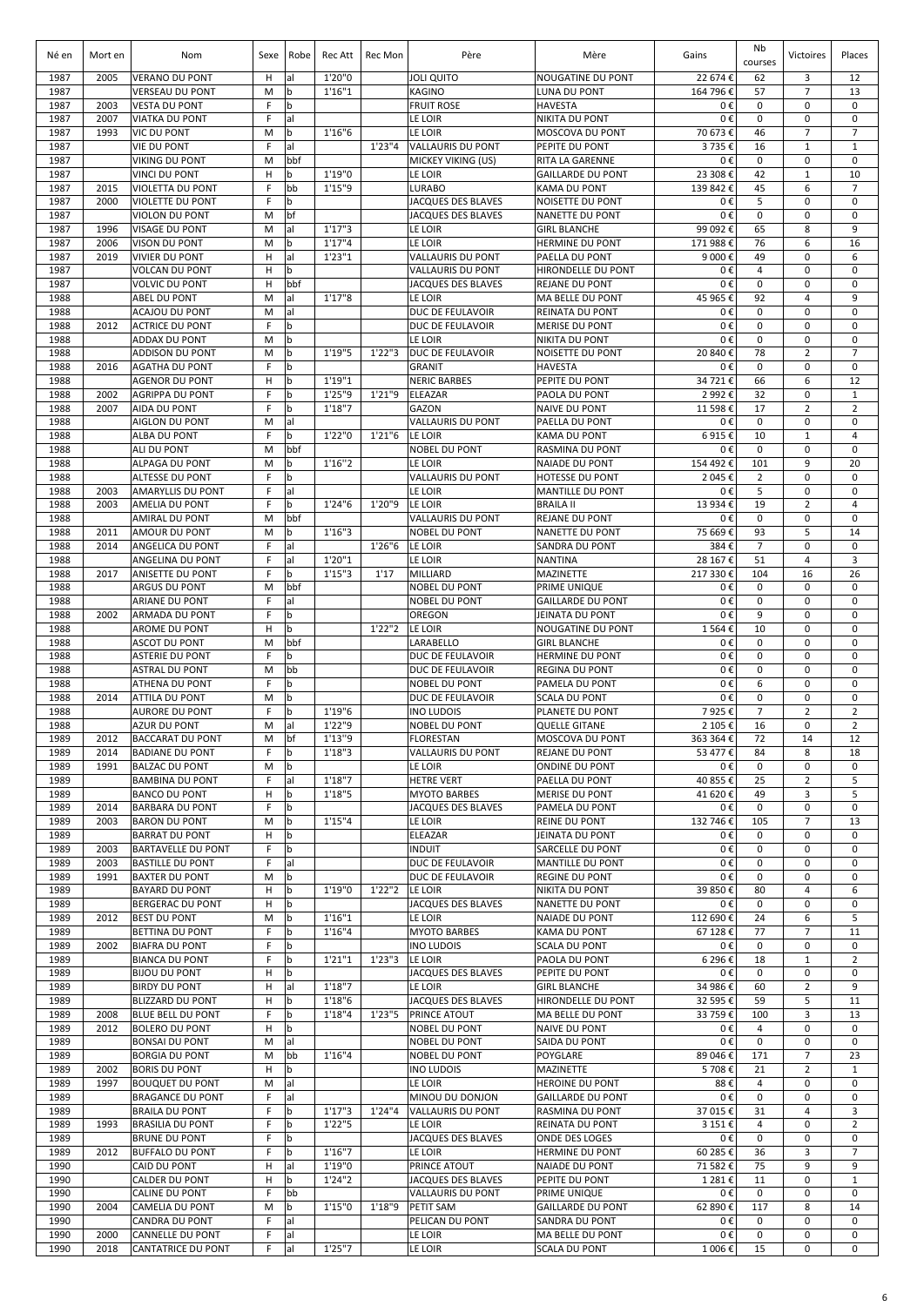| Né en        | Mort en      | Nom                                             | Sexe   | Robe               | Rec Att          | Rec Mon | Père                                                  | Mère                                               | Gains                | Nb<br>courses       | Victoires                     | Places                        |
|--------------|--------------|-------------------------------------------------|--------|--------------------|------------------|---------|-------------------------------------------------------|----------------------------------------------------|----------------------|---------------------|-------------------------------|-------------------------------|
| 1987         | 2005         | <b>VERANO DU PONT</b>                           | H      | al                 | 1'20"0           |         | <b>JOLI QUITO</b>                                     | <b>NOUGATINE DU PONT</b>                           | 22 674 €             | 62                  | 3                             | 12                            |
| 1987         |              | <b>VERSEAU DU PONT</b>                          | M      | b                  | 1'16''1          |         | <b>KAGINO</b>                                         | LUNA DU PONT                                       | 164 796€             | 57                  | $\overline{7}$                | 13                            |
| 1987<br>1987 | 2003<br>2007 | <b>VESTA DU PONT</b><br><b>VIATKA DU PONT</b>   | F<br>F | $\mathbf b$<br>lal |                  |         | <b>FRUIT ROSE</b><br>LE LOIR                          | <b>HAVESTA</b><br><b>NIKITA DU PONT</b>            | 0€<br>0€             | 0<br>0              | 0<br>0                        | 0<br>$\mathbf 0$              |
| 1987         | 1993         | <b>VIC DU PONT</b>                              | M      | $\mathbf b$        | 1'16''6          |         | LE LOIR                                               | <b>MOSCOVA DU PONT</b>                             | 70 673€              | 46                  | $\overline{7}$                | $\overline{7}$                |
| 1987         |              | <b>VIE DU PONT</b>                              | F      | al                 |                  | 1'23''4 | <b>VALLAURIS DU PONT</b>                              | PEPITE DU PONT                                     | 3735€                | 16                  | $\mathbf{1}$                  | $\mathbf{1}$                  |
| 1987         |              | VIKING DU PONT                                  | M      | bbf                |                  |         | MICKEY VIKING (US)                                    | <b>RITA LA GARENNE</b>                             | 0€                   | $\mathbf 0$         | $\mathbf 0$                   | $\mathbf 0$                   |
| 1987         |              | <b>VINCI DU PONT</b>                            | H      | $\mathbf b$        | 1'19"0           |         | LE LOIR                                               | <b>GAILLARDE DU PONT</b>                           | 23 308€              | 42                  | $1\,$                         | 10                            |
| 1987<br>1987 | 2015<br>2000 | VIOLETTA DU PONT<br><b>VIOLETTE DU PONT</b>     | F<br>F | bb<br>b            | 1'15"9           |         | <b>LURABO</b><br>JACQUES DES BLAVES                   | <b>KAMA DU PONT</b><br>NOISETTE DU PONT            | 139 842 €<br>0€      | 45<br>5             | 6<br>0                        | $\overline{7}$<br>$\mathbf 0$ |
| 1987         |              | VIOLON DU PONT                                  | M      | bf                 |                  |         | <b>JACQUES DES BLAVES</b>                             | <b>NANETTE DU PONT</b>                             | 0€                   | 0                   | 0                             | $\mathbf 0$                   |
| 1987         | 1996         | <b>VISAGE DU PONT</b>                           | M      | al                 | 1'17''3          |         | LE LOIR                                               | <b>GIRL BLANCHE</b>                                | 99 092€              | 65                  | 8                             | 9                             |
| 1987         | 2006         | <b>VISON DU PONT</b>                            | M      | l b                | 1'17''4          |         | LE LOIR                                               | <b>HERMINE DU PONT</b>                             | 171 988€             | 76                  | 6                             | 16                            |
| 1987         | 2019         | <b>VIVIER DU PONT</b>                           | н      | lal                | 1'23"1           |         | <b>VALLAURIS DU PONT</b>                              | PAELLA DU PONT                                     | 9 000€               | 49                  | $\mathbf 0$                   | 6                             |
| 1987<br>1987 |              | <b>VOLCAN DU PONT</b><br><b>VOLVIC DU PONT</b>  | н<br>н | l b<br>bbf         |                  |         | <b>VALLAURIS DU PONT</b><br><b>JACQUES DES BLAVES</b> | <b>HIRONDELLE DU PONT</b><br><b>REJANE DU PONT</b> | 0€<br>0€             | $\overline{4}$<br>0 | $\mathbf 0$<br>0              | $\mathbf 0$<br>0              |
| 1988         |              | ABEL DU PONT                                    | M      | lal                | 1'17''8          |         | LE LOIR                                               | <b>MA BELLE DU PONT</b>                            | 45 965€              | 92                  | $\overline{4}$                | 9                             |
| 1988         |              | ACAJOU DU PONT                                  | M      | lal                |                  |         | DUC DE FEULAVOIR                                      | <b>REINATA DU PONT</b>                             | 0€                   | $\mathbf 0$         | $\mathbf 0$                   | $\mathbf 0$                   |
| 1988         | 2012         | <b>ACTRICE DU PONT</b>                          | F      | b                  |                  |         | DUC DE FEULAVOIR                                      | <b>MERISE DU PONT</b>                              | 0€                   | 0                   | $\mathbf 0$                   | $\mathbf 0$                   |
| 1988<br>1988 |              | <b>ADDAX DU PONT</b><br><b>ADDISON DU PONT</b>  | M<br>M | b<br>b             | 1'19"5           | 1'22''3 | LE LOIR<br><b>DUC DE FEULAVOIR</b>                    | <b>NIKITA DU PONT</b><br>NOISETTE DU PONT          | 0€<br>20 840 €       | $\pmb{0}$<br>78     | $\mathbf 0$<br>$\overline{2}$ | $\mathbf 0$<br>$\overline{7}$ |
| 1988         | 2016         | <b>AGATHA DU PONT</b>                           | F      | b                  |                  |         | <b>GRANIT</b>                                         | <b>HAVESTA</b>                                     | 0€                   | 0                   | 0                             | $\mathbf 0$                   |
| 1988         |              | <b>AGENOR DU PONT</b>                           | н      | l b                | 1'19''1          |         | <b>NERIC BARBES</b>                                   | PEPITE DU PONT                                     | 34 721 €             | 66                  | 6                             | 12                            |
| 1988         | 2002         | <b>AGRIPPA DU PONT</b>                          | F      | b                  | 1'25"9           | 1'21"9  | <b>ELEAZAR</b>                                        | PAOLA DU PONT                                      | 2 992€               | 32                  | $\mathbf 0$                   | $\mathbf{1}$                  |
| 1988<br>1988 | 2007         | <b>AIDA DU PONT</b><br><b>AIGLON DU PONT</b>    | F<br>M | b                  | 1'18''7          |         | GAZON<br><b>VALLAURIS DU PONT</b>                     | <b>NAIVE DU PONT</b><br>PAELLA DU PONT             | 11 598€<br>0€        | 17<br>0             | 2<br>$\mathbf 0$              | 2<br>0                        |
| 1988         |              | <b>ALBA DU PONT</b>                             | F      | al<br>b            | 1'22"0           | 1'21''6 | LE LOIR                                               | <b>KAMA DU PONT</b>                                | 6915€                | 10                  | $\mathbf{1}$                  | $\overline{4}$                |
| 1988         |              | ALI DU PONT                                     | M      | bbf                |                  |         | <b>NOBEL DU PONT</b>                                  | <b>RASMINA DU PONT</b>                             | 0€                   | 0                   | $\mathbf 0$                   | 0                             |
| 1988         |              | ALPAGA DU PONT                                  | M      | $\mathbf b$        | 1'16''2          |         | LE LOIR                                               | <b>NAIADE DU PONT</b>                              | 154 492€             | 101                 | 9                             | 20                            |
| 1988         |              | ALTESSE DU PONT                                 | F      | $\mathbf b$        |                  |         | <b>VALLAURIS DU PONT</b>                              | HOTESSE DU PONT                                    | 2 045 €              | $\overline{2}$      | 0                             | 0                             |
| 1988<br>1988 | 2003<br>2003 | AMARYLLIS DU PONT<br>AMELIA DU PONT             | F<br>F | al<br>$\mathbf b$  | 1'24''6          | 1'20"9  | LE LOIR<br>LE LOIR                                    | <b>MANTILLE DU PONT</b><br><b>BRAILA II</b>        | 0€<br>13 934 €       | 5<br>19             | 0<br>$\overline{2}$           | 0<br>$\overline{4}$           |
| 1988         |              | <b>AMIRAL DU PONT</b>                           | M      | bbf                |                  |         | <b>VALLAURIS DU PONT</b>                              | <b>REJANE DU PONT</b>                              | 0€                   | $\mathbf 0$         | $\mathbf 0$                   | $\mathbf 0$                   |
| 1988         | 2011         | <b>AMOUR DU PONT</b>                            | M      | l b                | 1'16''3          |         | <b>NOBEL DU PONT</b>                                  | <b>NANETTE DU PONT</b>                             | 75 669€              | 93                  | 5                             | 14                            |
| 1988         | 2014         | ANGELICA DU PONT                                | F      | al                 |                  | 1'26"6  | LE LOIR                                               | <b>SANDRA DU PONT</b>                              | 384€                 | $\overline{7}$      | $\mathbf 0$                   | $\mathbf 0$                   |
| 1988         |              | ANGELINA DU PONT                                | F      | lal                | 1'20''1          |         | LE LOIR                                               | <b>NANTINA</b>                                     | 28 167 €             | 51                  | 4                             | 3                             |
| 1988<br>1988 | 2017         | <b>ANISETTE DU PONT</b><br>ARGUS DU PONT        | F<br>M | $\mathbf b$<br>bbf | 1'15''3          | 1'17    | MILLIARD<br><b>NOBEL DU PONT</b>                      | <b>MAZINETTE</b><br>PRIME UNIQUE                   | 217 330€<br>0€       | 104<br>0            | 16<br>$\mathbf 0$             | 26<br>$\mathbf 0$             |
| 1988         |              | ARIANE DU PONT                                  | F      | lal                |                  |         | <b>NOBEL DU PONT</b>                                  | <b>GAILLARDE DU PONT</b>                           | 0€                   | 0                   | $\mathbf 0$                   | $\mathbf 0$                   |
| 1988         | 2002         | ARMADA DU PONT                                  | F      | b                  |                  |         | OREGON                                                | <b>JEINATA DU PONT</b>                             | 0€                   | 9                   | $\mathbf 0$                   | $\mathbf 0$                   |
| 1988         |              | <b>AROME DU PONT</b>                            | н      | $\mathbf b$        |                  | 1'22"2  | LE LOIR                                               | <b>NOUGATINE DU PONT</b>                           | 1 564 €              | 10                  | $\mathbf 0$                   | $\mathbf 0$                   |
| 1988         |              | ASCOT DU PONT                                   | M<br>F | bbf<br>$\mathbf b$ |                  |         | <b>LARABELLO</b>                                      | <b>GIRL BLANCHE</b>                                | 0€<br>0€             | $\mathbf 0$<br>0    | 0<br>$\mathbf 0$              | $\mathbf 0$<br>$\mathbf 0$    |
| 1988<br>1988 |              | <b>ASTERIE DU PONT</b><br><b>ASTRAL DU PONT</b> | M      | bb                 |                  |         | DUC DE FEULAVOIR<br>DUC DE FEULAVOIR                  | <b>HERMINE DU PONT</b><br><b>REGINA DU PONT</b>    | 0€                   | $\mathbf 0$         | $\mathbf 0$                   | $\mathbf 0$                   |
| 1988         |              | <b>ATHENA DU PONT</b>                           | F      | b                  |                  |         | <b>NOBEL DU PONT</b>                                  | <b>PAMELA DU PONT</b>                              | 0€                   | 6                   | $\mathbf 0$                   | $\mathbf 0$                   |
| 1988         | 2014         | <b>ATTILA DU PONT</b>                           | M      | b                  |                  |         | DUC DE FEULAVOIR                                      | <b>SCALA DU PONT</b>                               | 0€                   | $\mathbf 0$         | $\mathbf 0$                   | $\mathbf 0$                   |
| 1988         |              | <b>AURORE DU PONT</b>                           | F      | b                  | 1'19"6           |         | <b>INO LUDOIS</b>                                     | PLANETE DU PONT                                    | 7925€                | $\overline{7}$      | $\overline{2}$                | $\overline{2}$                |
| 1988<br>1989 | 2012         | <b>AZUR DU PONT</b><br><b>BACCARAT DU PONT</b>  | M<br>M | lal<br> bf         | 1'22"9<br>1'13"9 |         | NOBEL DU PONT<br>FLORESTAN                            | <b>QUELLE GITANE</b><br>MOSCOVA DU PONT            | 2 105 €<br>363 364 € | 16<br>72            | 0<br>14                       | 2<br>12                       |
| 1989         | 2014         | <b>BADIANE DU PONT</b>                          | F.     | <sub>b</sub>       | 1'18''3          |         | VALLAURIS DU PONT                                     | <b>REJANE DU PONT</b>                              | 53 477 €             | 84                  | 8                             | 18                            |
| 1989         | 1991         | <b>BALZAC DU PONT</b>                           | M      | b                  |                  |         | LE LOIR                                               | <b>ONDINE DU PONT</b>                              | 0€                   | 0                   | $\mathbf 0$                   | 0                             |
| 1989         |              | <b>BAMBINA DU PONT</b>                          | F      | al                 | 1'18''7          |         | <b>HETRE VERT</b>                                     | PAELLA DU PONT                                     | 40 855€              | 25                  | $\overline{2}$                | 5                             |
| 1989         |              | <b>BANCO DU PONT</b>                            | н      | b                  | 1'18"5           |         | <b>MYOTO BARBES</b>                                   | <b>MERISE DU PONT</b>                              | 41 620€              | 49                  | 3                             | 5                             |
| 1989<br>1989 | 2014<br>2003 | <b>BARBARA DU PONT</b><br><b>BARON DU PONT</b>  | F<br>M | b<br>$\mathbf b$   | 1'15''4          |         | JACQUES DES BLAVES<br>LE LOIR                         | PAMELA DU PONT<br><b>REINE DU PONT</b>             | 0€<br>132 746 €      | $\mathbf 0$<br>105  | $\mathbf 0$<br>$\overline{7}$ | $\mathbf 0$<br>13             |
| 1989         |              | <b>BARRAT DU PONT</b>                           | н      | b                  |                  |         | ELEAZAR                                               | JEINATA DU PONT                                    | 0€                   | 0                   | $\mathbf 0$                   | $\mathbf 0$                   |
| 1989         | 2003         | <b>BARTAVELLE DU PONT</b>                       | F      | $\mathbf b$        |                  |         | <b>INDUIT</b>                                         | <b>SARCELLE DU PONT</b>                            | 0€                   | 0                   | 0                             | 0                             |
| 1989         | 2003         | <b>BASTILLE DU PONT</b>                         | F      | al                 |                  |         | DUC DE FEULAVOIR                                      | <b>MANTILLE DU PONT</b>                            | 0€                   | 0                   | $\mathbf 0$                   | 0                             |
| 1989<br>1989 | 1991         | <b>BAXTER DU PONT</b><br><b>BAYARD DU PONT</b>  | M      | b                  | 1'19"0           | 1'22"2  | DUC DE FEULAVOIR<br>LE LOIR                           | <b>REGINE DU PONT</b>                              | 0€                   | $\pmb{0}$           | $\mathbf 0$                   | 0<br>6                        |
| 1989         |              | <b>BERGERAC DU PONT</b>                         | н<br>н | b<br>b             |                  |         | JACQUES DES BLAVES                                    | NIKITA DU PONT<br><b>NANETTE DU PONT</b>           | 39 850€<br>0€        | 80<br>0             | 4<br>0                        | 0                             |
| 1989         | 2012         | <b>BEST DU PONT</b>                             | M      | b                  | 1'16''1          |         | LE LOIR                                               | <b>NAIADE DU PONT</b>                              | 112 690€             | 24                  | 6                             | 5                             |
| 1989         |              | <b>BETTINA DU PONT</b>                          | F      | l b                | 1'16''4          |         | <b>MYOTO BARBES</b>                                   | <b>KAMA DU PONT</b>                                | 67 128€              | 77                  | $\overline{7}$                | 11                            |
| 1989         | 2002         | <b>BIAFRA DU PONT</b>                           | F      | b                  |                  |         | <b>INO LUDOIS</b>                                     | <b>SCALA DU PONT</b>                               | 0€                   | 0                   | 0                             | $\mathbf 0$                   |
| 1989<br>1989 |              | <b>BIANCA DU PONT</b><br><b>BIJOU DU PONT</b>   | F<br>н | b<br>b             | 1'21''1          | 1'23''3 | LE LOIR<br>JACQUES DES BLAVES                         | PAOLA DU PONT<br>PEPITE DU PONT                    | 6 296€<br>0€         | 18<br>0             | $\mathbf{1}$<br>0             | 2<br>0                        |
| 1989         |              | <b>BIRDY DU PONT</b>                            | н      | lal                | 1'18''7          |         | LE LOIR                                               | <b>GIRL BLANCHE</b>                                | 34 986€              | 60                  | $\overline{2}$                | 9                             |
| 1989         |              | <b>BLIZZARD DU PONT</b>                         | н      | b                  | 1'18''6          |         | JACQUES DES BLAVES                                    | HIRONDELLE DU PONT                                 | 32 595€              | 59                  | 5                             | 11                            |
| 1989         | 2008         | <b>BLUE BELL DU PONT</b>                        | F      | b                  | 1'18''4          | 1'23"5  | PRINCE ATOUT                                          | <b>MA BELLE DU PONT</b>                            | 33 759€              | 100                 | 3                             | 13                            |
| 1989         | 2012         | <b>BOLERO DU PONT</b>                           | н      | b                  |                  |         | NOBEL DU PONT                                         | <b>NAIVE DU PONT</b>                               | 0€                   | $\overline{4}$      | $\mathbf 0$                   | $\mathbf 0$                   |
| 1989<br>1989 |              | <b>BONSAI DU PONT</b><br><b>BORGIA DU PONT</b>  | M<br>M | lal<br>bb          | 1'16''4          |         | NOBEL DU PONT<br>NOBEL DU PONT                        | SAIDA DU PONT<br>POYGLARE                          | 0€<br>89 046€        | 0<br>171            | $\mathbf 0$<br>$\overline{7}$ | 0<br>23                       |
| 1989         | 2002         | <b>BORIS DU PONT</b>                            | н      | l b                |                  |         | <b>INO LUDOIS</b>                                     | <b>MAZINETTE</b>                                   | 5708€                | 21                  | $\overline{2}$                | $\mathbf{1}$                  |
| 1989         | 1997         | <b>BOUQUET DU PONT</b>                          | M      | al                 |                  |         | LE LOIR                                               | <b>HEROINE DU PONT</b>                             | 88€                  | 4                   | 0                             | $\mathbf 0$                   |
| 1989         |              | <b>BRAGANCE DU PONT</b>                         | F      | al                 |                  |         | MINOU DU DONJON                                       | <b>GAILLARDE DU PONT</b>                           | 0€                   | 0                   | 0                             | 0                             |
| 1989         |              | <b>BRAILA DU PONT</b>                           | F      | b                  | 1'17''3          | 1'24"4  | <b>VALLAURIS DU PONT</b>                              | <b>RASMINA DU PONT</b>                             | 37 015€              | 31                  | 4                             | 3                             |
| 1989<br>1989 | 1993         | <b>BRASILIA DU PONT</b><br><b>BRUNE DU PONT</b> | F<br>F | b<br>b             | 1'22"5           |         | LE LOIR<br>JACQUES DES BLAVES                         | <b>REINATA DU PONT</b><br>ONDE DES LOGES           | 3 151€<br>0€         | 4<br>0              | 0<br>$\mathbf 0$              | 2<br>0                        |
| 1989         | 2012         | <b>BUFFALO DU PONT</b>                          | F      | b                  | 1'16''7          |         | LE LOIR                                               | <b>HERMINE DU PONT</b>                             | 60 285€              | 36                  | 3                             | $\overline{7}$                |
| 1990         |              | CAID DU PONT                                    | Н      | al                 | 1'19"0           |         | PRINCE ATOUT                                          | <b>NAIADE DU PONT</b>                              | 71 582€              | 75                  | 9                             | 9                             |
| 1990         |              | CALDER DU PONT                                  | н      | b                  | 1'24''2          |         | JACQUES DES BLAVES                                    | PEPITE DU PONT                                     | 1 281€               | 11                  | $\mathbf 0$                   | $\mathbf{1}$                  |
| 1990<br>1990 | 2004         | CALINE DU PONT<br>CAMELIA DU PONT               | F<br>M | bb<br>b            | 1'15"0           | 1'18"9  | <b>VALLAURIS DU PONT</b><br>PETIT SAM                 | PRIME UNIQUE<br><b>GAILLARDE DU PONT</b>           | 0€<br>62 890€        | 0<br>117            | $\mathbf 0$<br>8              | $\mathbf 0$<br>14             |
| 1990         |              | CANDRA DU PONT                                  | F      | al                 |                  |         | PELICAN DU PONT                                       | <b>SANDRA DU PONT</b>                              | 0€                   | $\pmb{0}$           | $\mathbf 0$                   | 0                             |
| 1990         | 2000         | CANNELLE DU PONT                                | F      | al                 |                  |         | LE LOIR                                               | MA BELLE DU PONT                                   | 0€                   | $\pmb{0}$           | 0                             | 0                             |
| 1990         | 2018         | <b>CANTATRICE DU PONT</b>                       | F.     | al                 | 1'25"7           |         | LE LOIR                                               | <b>SCALA DU PONT</b>                               | 1 006€               | 15                  | 0                             | 0                             |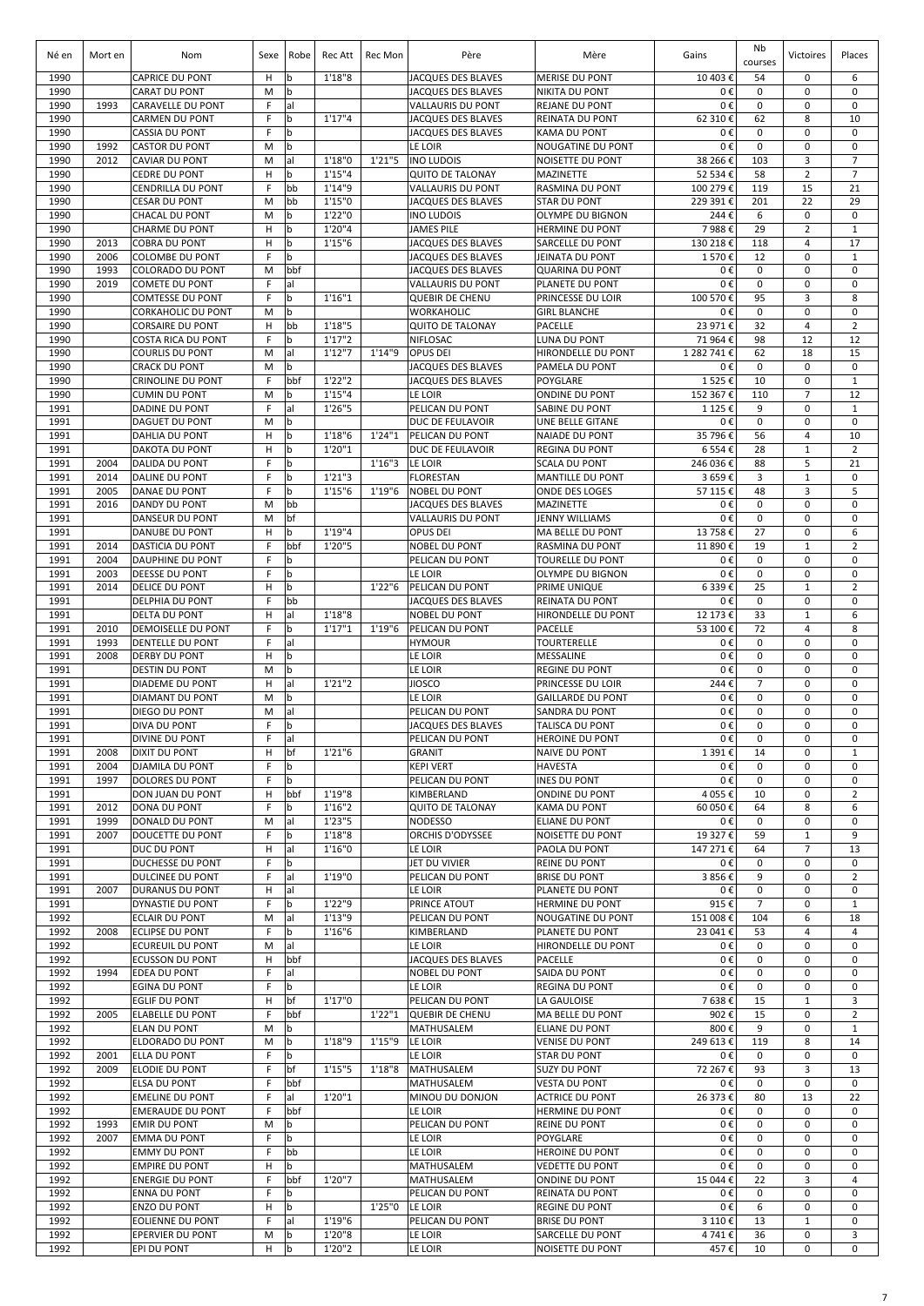| Né en        | Mort en      | Nom                                                 | Sexe    | Robe                       | Rec Att           | Rec Mon | Père                                     | Mère                                          | Gains                         | Nb<br>courses              | Victoires                     | Places                      |
|--------------|--------------|-----------------------------------------------------|---------|----------------------------|-------------------|---------|------------------------------------------|-----------------------------------------------|-------------------------------|----------------------------|-------------------------------|-----------------------------|
| 1990         |              | <b>CAPRICE DU PONT</b>                              | H       | b                          | 1'18''8           |         | <b>JACQUES DES BLAVES</b>                | <b>MERISE DU PONT</b>                         | 10 403€                       | 54                         | 0                             | 6                           |
| 1990         |              | <b>CARAT DU PONT</b>                                | M       | b                          |                   |         | <b>JACQUES DES BLAVES</b>                | <b>NIKITA DU PONT</b>                         | 0€                            | 0                          | 0                             | $\mathbf 0$                 |
| 1990         | 1993         | CARAVELLE DU PONT                                   | F<br>F  | al                         | 1'17''4           |         | VALLAURIS DU PONT                        | <b>REJANE DU PONT</b>                         | 0€                            | 0                          | $\mathbf 0$                   | 0<br>10                     |
| 1990<br>1990 |              | <b>CARMEN DU PONT</b><br><b>CASSIA DU PONT</b>      | F       | b<br>b                     |                   |         | JACQUES DES BLAVES<br>JACQUES DES BLAVES | REINATA DU PONT<br><b>KAMA DU PONT</b>        | 62 310€<br>0€                 | 62<br>0                    | 8<br>$\mathbf 0$              | 0                           |
| 1990         | 1992         | <b>CASTOR DU PONT</b>                               | M       | b                          |                   |         | LE LOIR                                  | NOUGATINE DU PONT                             | 0€                            | 0                          | $\mathbf 0$                   | 0                           |
| 1990         | 2012         | <b>CAVIAR DU PONT</b>                               | M       | al                         | 1'18"0            | 1'21"5  | <b>INO LUDOIS</b>                        | NOISETTE DU PONT                              | 38 266 €                      | 103                        | 3                             | 7                           |
| 1990         |              | <b>CEDRE DU PONT</b>                                | Н       | b                          | 1'15''4           |         | <b>QUITO DE TALONAY</b>                  | <b>MAZINETTE</b>                              | 52 534 €                      | 58                         | $\overline{2}$                | $\overline{7}$              |
| 1990         |              | <b>CENDRILLA DU PONT</b>                            | F       | bb                         | 1'14"9            |         | <b>VALLAURIS DU PONT</b>                 | RASMINA DU PONT                               | 100 279 €                     | 119                        | 15                            | 21                          |
| 1990         |              | <b>CESAR DU PONT</b>                                | M       | bb                         | 1'15"0            |         | JACQUES DES BLAVES                       | <b>STAR DU PONT</b>                           | 229 391€                      | 201                        | 22                            | 29                          |
| 1990<br>1990 |              | <b>CHACAL DU PONT</b><br><b>CHARME DU PONT</b>      | M<br>Н  | b<br>b                     | 1'22"0<br>1'20"4  |         | <b>INO LUDOIS</b><br><b>JAMES PILE</b>   | OLYMPE DU BIGNON                              | 244€<br>7988€                 | 6<br>29                    | $\mathbf 0$<br>$\overline{2}$ | $\mathbf 0$<br>$\mathbf{1}$ |
| 1990         | 2013         | <b>COBRA DU PONT</b>                                | н       | b                          | 1'15''6           |         | JACQUES DES BLAVES                       | <b>HERMINE DU PONT</b><br>SARCELLE DU PONT    | 130 218 €                     | 118                        | $\overline{4}$                | 17                          |
| 1990         | 2006         | <b>COLOMBE DU PONT</b>                              | F       | b                          |                   |         | <b>JACQUES DES BLAVES</b>                | JEINATA DU PONT                               | 1570€                         | 12                         | $\mathbf 0$                   | $\mathbf{1}$                |
| 1990         | 1993         | <b>COLORADO DU PONT</b>                             | M       | bbf                        |                   |         | JACQUES DES BLAVES                       | <b>QUARINA DU PONT</b>                        | 0€                            | 0                          | $\mathbf 0$                   | $\mathbf 0$                 |
| 1990         | 2019         | <b>COMETE DU PONT</b>                               | F       | al                         |                   |         | <b>VALLAURIS DU PONT</b>                 | PLANETE DU PONT                               | 0€                            | 0                          | 0                             | 0                           |
| 1990         |              | <b>COMTESSE DU PONT</b>                             | F       | b                          | 1'16''1           |         | <b>QUEBIR DE CHENU</b>                   | PRINCESSE DU LOIR                             | 100 570 €                     | 95                         | 3                             | 8                           |
| 1990         |              | <b>CORKAHOLIC DU PONT</b>                           | M       | b                          |                   |         | WORKAHOLIC                               | <b>GIRL BLANCHE</b>                           | 0€                            | 0                          | $\mathbf 0$                   | 0                           |
| 1990         |              | <b>CORSAIRE DU PONT</b>                             | н       | bb                         | 1'18"5            |         | <b>QUITO DE TALONAY</b>                  | PACELLE                                       | 23 971€                       | 32                         | $\overline{4}$                | $\overline{2}$              |
| 1990<br>1990 |              | <b>COSTA RICA DU PONT</b><br><b>COURLIS DU PONT</b> | F.<br>M | b<br>al                    | 1'17''2<br>1'12"7 | 1'14"9  | <b>NIFLOSAC</b><br><b>OPUS DEI</b>       | LUNA DU PONT<br>HIRONDELLE DU PONT            | 71 964 €<br>1 282 741 €       | 98<br>62                   | 12<br>18                      | 12<br>15                    |
| 1990         |              | <b>CRACK DU PONT</b>                                | M       | b                          |                   |         | JACQUES DES BLAVES                       | PAMELA DU PONT                                | 0€                            | $\pmb{0}$                  | $\mathbf 0$                   | $\mathbf 0$                 |
| 1990         |              | <b>CRINOLINE DU PONT</b>                            | F       | bbf                        | 1'22"2            |         | <b>JACQUES DES BLAVES</b>                | POYGLARE                                      | 1525€                         | 10                         | $\pmb{0}$                     | $\mathbf{1}$                |
| 1990         |              | <b>CUMIN DU PONT</b>                                | M       | b                          | 1'15''4           |         | LE LOIR                                  | <b>ONDINE DU PONT</b>                         | 152 367€                      | 110                        | $\overline{7}$                | 12                          |
| 1991         |              | <b>DADINE DU PONT</b>                               | F       | al                         | 1'26"5            |         | PELICAN DU PONT                          | SABINE DU PONT                                | 1 1 2 5 €                     | 9                          | 0                             | $\mathbf{1}$                |
| 1991         |              | <b>DAGUET DU PONT</b>                               | M       | b                          |                   |         | DUC DE FEULAVOIR                         | UNE BELLE GITANE                              | 0€                            | 0                          | $\mathbf 0$                   | 0                           |
| 1991         |              | DAHLIA DU PONT                                      | н       | $\mathbf b$                | 1'18"6            | 1'24"1  | PELICAN DU PONT                          | <b>NAIADE DU PONT</b>                         | 35 796€                       | 56                         | 4                             | 10                          |
| 1991<br>1991 | 2004         | <b>DAKOTA DU PONT</b><br><b>DALIDA DU PONT</b>      | н<br>F  | $\mathsf b$<br>$\mathbf b$ | 1'20"1            | 1'16''3 | <b>DUC DE FEULAVOIR</b><br>LE LOIR       | <b>REGINA DU PONT</b><br><b>SCALA DU PONT</b> | 6 5 5 4 €                     | 28<br>88                   | $\mathbf 1$                   | 2<br>21                     |
| 1991         | 2014         | <b>DALINE DU PONT</b>                               | F       | b                          | 1'21''3           |         | <b>FLORESTAN</b>                         | <b>MANTILLE DU PONT</b>                       | 246 036€<br>3 659€            | 3                          | 5<br>$\mathbf 1$              | 0                           |
| 1991         | 2005         | DANAE DU PONT                                       | F       | b                          | 1'15''6           | 1'19"6  | <b>NOBEL DU PONT</b>                     | ONDE DES LOGES                                | 57 115€                       | 48                         | 3                             | 5                           |
| 1991         | 2016         | DANDY DU PONT                                       | M       | bb                         |                   |         | JACQUES DES BLAVES                       | <b>MAZINETTE</b>                              | 0€                            | 0                          | $\mathbf 0$                   | 0                           |
| 1991         |              | DANSEUR DU PONT                                     | M       | bf                         |                   |         | VALLAURIS DU PONT                        | <b>JENNY WILLIAMS</b>                         | 0€                            | $\pmb{0}$                  | $\mathbf 0$                   | 0                           |
| 1991         |              | DANUBE DU PONT                                      | H       | b                          | 1'19''4           |         | OPUS DEI                                 | <b>MA BELLE DU PONT</b>                       | 13 758 €                      | 27                         | $\mathbf 0$                   | 6                           |
| 1991         | 2014         | <b>DASTICIA DU PONT</b>                             | F       | bbf                        | 1'20"5            |         | <b>NOBEL DU PONT</b>                     | <b>RASMINA DU PONT</b>                        | 11 890 €                      | 19                         | $1\,$                         | $\overline{2}$              |
| 1991<br>1991 | 2004<br>2003 | <b>DAUPHINE DU PONT</b>                             | F<br>F  | b<br>b                     |                   |         | PELICAN DU PONT                          | <b>TOURELLE DU PONT</b>                       | 0€<br>0€                      | $\mathbf 0$<br>$\mathbf 0$ | $\mathbf 0$<br>$\mathbf 0$    | $\mathbf 0$<br>$\mathbf 0$  |
| 1991         | 2014         | <b>DEESSE DU PONT</b><br><b>DELICE DU PONT</b>      | н       | b                          |                   | 1'22"6  | LE LOIR<br>PELICAN DU PONT               | OLYMPE DU BIGNON<br>PRIME UNIQUE              | 6 3 3 9€                      | 25                         | $1\,$                         | $\overline{2}$              |
| 1991         |              | <b>DELPHIA DU PONT</b>                              | F       | bb                         |                   |         | JACQUES DES BLAVES                       | <b>REINATA DU PONT</b>                        | 0€                            | 0                          | $\mathbf 0$                   | 0                           |
| 1991         |              | <b>DELTA DU PONT</b>                                | н       | al                         | 1'18"8            |         | <b>NOBEL DU PONT</b>                     | HIRONDELLE DU PONT                            | 12 173 €                      | 33                         | $1\,$                         | 6                           |
| 1991         | 2010         | <b>DEMOISELLE DU PONT</b>                           | F       | b                          | 1'17''1           | 1'19"6  | PELICAN DU PONT                          | PACELLE                                       | 53 100€                       | 72                         | 4                             | 8                           |
| 1991         | 1993         | <b>DENTELLE DU PONT</b>                             | F       | al                         |                   |         | <b>HYMOUR</b>                            | <b>TOURTERELLE</b>                            | 0€                            | 0                          | 0                             | 0                           |
| 1991         | 2008         | <b>DERBY DU PONT</b>                                | н       | b                          |                   |         | LE LOIR                                  | MESSALINE                                     | 0€                            | 0                          | 0                             | 0                           |
| 1991         |              | <b>DESTIN DU PONT</b>                               | M       | b                          |                   |         | LE LOIR                                  | <b>REGINE DU PONT</b>                         | 0€                            | 0                          | $\mathbf 0$                   | 0                           |
| 1991<br>1991 |              | DIADEME DU PONT<br>DIAMANT DU PONT                  | н<br>M  | al<br>$\mathbf b$          | 1'21''2           |         | <b>JIOSCO</b><br>LE LOIR                 | PRINCESSE DU LOIR<br><b>GAILLARDE DU PONT</b> | $244 \text{ } \epsilon$<br>0€ | $\overline{7}$<br>0        | $\mathbf 0$<br>$\mathbf 0$    | 0<br>0                      |
| 1991         |              | DIEGO DU PONT                                       | M       | al                         |                   |         | PELICAN DU PONT                          | SANDRA DU PONT                                | 0€                            | 0                          | $\mathbf 0$                   | 0                           |
| 1991         |              | <b>DIVA DU PONT</b>                                 | F.      | b                          |                   |         | JACQUES DES BLAVES                       | <b>TALISCA DU PONT</b>                        | 0€                            | $\mathbf 0$                | $\mathbf 0$                   | $\Omega$                    |
| 1991         |              | DIVINE DU PONT                                      | F       | al                         |                   |         | PELICAN DU PONT                          | HEROINE DU PONT                               | 0€                            | 0                          | $\mathbf 0$                   | $\mathbf 0$                 |
| 1991         | 2008         | <b>DIXIT DU PONT</b>                                | н       | bf                         | 1'21''6           |         | GRANIT                                   | <b>NAIVE DU PONT</b>                          | 1 391€                        | 14                         | $\mathbf 0$                   | $\mathbf{1}$                |
| 1991         | 2004         | <b>DJAMILA DU PONT</b>                              | F       | b                          |                   |         | <b>KEPI VERT</b>                         | <b>HAVESTA</b>                                | 0€                            | 0                          | $\mathbf 0$                   | 0                           |
| 1991         | 1997         | DOLORES DU PONT                                     | F       | l b                        |                   |         | PELICAN DU PONT                          | <b>INES DU PONT</b>                           | 0€                            | 0                          | 0                             | 0                           |
| 1991<br>1991 | 2012         | DON JUAN DU PONT<br>DONA DU PONT                    | н<br>F  | bbf<br>b                   | 1'19"8<br>1'16''2 |         | KIMBERLAND<br><b>QUITO DE TALONAY</b>    | <b>ONDINE DU PONT</b><br><b>KAMA DU PONT</b>  | 4 055€<br>60 050€             | 10<br>64                   | $\mathbf 0$<br>8              | $\overline{2}$<br>6         |
| 1991         | 1999         | DONALD DU PONT                                      | M       | al                         | 1'23"5            |         | <b>NODESSO</b>                           | ELIANE DU PONT                                | 0€                            | 0                          | $\mathbf 0$                   | 0                           |
| 1991         | 2007         | DOUCETTE DU PONT                                    | F       | $\mathbf b$                | 1'18''8           |         | ORCHIS D'ODYSSEE                         | NOISETTE DU PONT                              | 19 327€                       | 59                         | $\mathbf{1}$                  | 9                           |
| 1991         |              | DUC DU PONT                                         | н       | al                         | 1'16"0            |         | LE LOIR                                  | PAOLA DU PONT                                 | 147 271 €                     | 64                         | $\overline{7}$                | 13                          |
| 1991         |              | DUCHESSE DU PONT                                    | F       | b                          |                   |         | JET DU VIVIER                            | <b>REINE DU PONT</b>                          | 0€                            | 0                          | $\mathbf 0$                   | 0                           |
| 1991         |              | DULCINEE DU PONT                                    | F       | al                         | 1'19"0            |         | PELICAN DU PONT                          | <b>BRISE DU PONT</b>                          | 3856€                         | 9                          | $\mathbf 0$                   | $\overline{2}$              |
| 1991         | 2007         | <b>DURANUS DU PONT</b>                              | н       | al                         |                   |         | LE LOIR                                  | PLANETE DU PONT                               | 0€                            | 0                          | $\Omega$                      | 0                           |
| 1991<br>1992 |              | DYNASTIE DU PONT<br><b>ECLAIR DU PONT</b>           | F<br>M  | b<br>al                    | 1'22"9<br>1'13"9  |         | PRINCE ATOUT<br>PELICAN DU PONT          | HERMINE DU PONT<br>NOUGATINE DU PONT          | 915€<br>151 008€              | $\overline{7}$<br>104      | $\mathbf 0$<br>6              | $\mathbf{1}$<br>18          |
| 1992         | 2008         | <b>ECLIPSE DU PONT</b>                              | F       | b                          | 1'16''6           |         | KIMBERLAND                               | PLANETE DU PONT                               | 23 041€                       | 53                         | $\overline{4}$                | $\overline{4}$              |
| 1992         |              | <b>ECUREUIL DU PONT</b>                             | M       | al                         |                   |         | LE LOIR                                  | HIRONDELLE DU PONT                            | 0€                            | 0                          | 0                             | $\mathbf 0$                 |
| 1992         |              | <b>ECUSSON DU PONT</b>                              | н       | bbf                        |                   |         | JACQUES DES BLAVES                       | PACELLE                                       | 0€                            | 0                          | 0                             | 0                           |
| 1992         | 1994         | <b>EDEA DU PONT</b>                                 | F       | al                         |                   |         | <b>NOBEL DU PONT</b>                     | SAIDA DU PONT                                 | 0€                            | 0                          | $\mathbf 0$                   | 0                           |
| 1992         |              | <b>EGINA DU PONT</b>                                | F       | $\mathsf b$                |                   |         | LE LOIR                                  | REGINA DU PONT                                | 0€                            | 0                          | 0                             | 0                           |
| 1992         |              | <b>EGLIF DU PONT</b>                                | н       | bf                         | 1'17"0            |         | PELICAN DU PONT                          | LA GAULOISE                                   | 7638€                         | 15                         | $\mathbf{1}$                  | 3                           |
| 1992         | 2005         | <b>ELABELLE DU PONT</b>                             | F       | bbf                        |                   | 1'22"1  | <b>QUEBIR DE CHENU</b>                   | MA BELLE DU PONT                              | 902€                          | 15                         | 0                             | $\overline{2}$              |
| 1992<br>1992 |              | <b>ELAN DU PONT</b><br>ELDORADO DU PONT             | M<br>M  | b<br>l b                   | 1'18"9            | 1'15''9 | MATHUSALEM<br>LE LOIR                    | ELIANE DU PONT<br><b>VENISE DU PONT</b>       | 800€<br>249 613€              | 9<br>119                   | 0<br>8                        | $\mathbf{1}$<br>14          |
| 1992         | 2001         | <b>ELLA DU PONT</b>                                 | F.      | b                          |                   |         | LE LOIR                                  | <b>STAR DU PONT</b>                           | 0€                            | $\mathbf 0$                | $\mathbf 0$                   | $\mathbf 0$                 |
| 1992         | 2009         | ELODIE DU PONT                                      | F.      | bf                         | 1'15"5            | 1'18"8  | MATHUSALEM                               | <b>SUZY DU PONT</b>                           | 72 267€                       | 93                         | 3                             | 13                          |
| 1992         |              | ELSA DU PONT                                        | F.      | bbf                        |                   |         | MATHUSALEM                               | <b>VESTA DU PONT</b>                          | 0€                            | 0                          | $\mathbf 0$                   | $\mathbf 0$                 |
| 1992         |              | <b>EMELINE DU PONT</b>                              | F       | al                         | 1'20"1            |         | MINOU DU DONJON                          | <b>ACTRICE DU PONT</b>                        | 26 373 €                      | 80                         | 13                            | 22                          |
| 1992         |              | <b>EMERAUDE DU PONT</b>                             | F       | bbf                        |                   |         | LE LOIR                                  | HERMINE DU PONT                               | 0€                            | 0                          | 0                             | $\mathbf 0$                 |
| 1992         | 1993         | <b>EMIR DU PONT</b>                                 | M       | $\mathsf b$                |                   |         | PELICAN DU PONT                          | <b>REINE DU PONT</b>                          | 0€                            | 0                          | 0<br>$\mathbf 0$              | 0                           |
| 1992<br>1992 | 2007         | <b>EMMA DU PONT</b><br><b>EMMY DU PONT</b>          | F<br>F  | b<br>bb                    |                   |         | LE LOIR<br>LE LOIR                       | POYGLARE<br><b>HEROINE DU PONT</b>            | 0€<br>0€                      | 0<br>0                     | 0                             | 0<br>0                      |
| 1992         |              | <b>EMPIRE DU PONT</b>                               | н       | þ                          |                   |         | MATHUSALEM                               | <b>VEDETTE DU PONT</b>                        | 0€                            | 0                          | $\mathbf 0$                   | 0                           |
| 1992         |              | <b>ENERGIE DU PONT</b>                              | F       | bbf                        | 1'20"7            |         | MATHUSALEM                               | <b>ONDINE DU PONT</b>                         | 15 044 €                      | 22                         | 3                             | 4                           |
| 1992         |              | <b>ENNA DU PONT</b>                                 | F       | b                          |                   |         | PELICAN DU PONT                          | REINATA DU PONT                               | 0€                            | 0                          | $\mathbf 0$                   | 0                           |
| 1992         |              | <b>ENZO DU PONT</b>                                 | н       | b                          |                   | 1'25"0  | LE LOIR                                  | <b>REGINE DU PONT</b>                         | 0€                            | 6                          | $\mathbf 0$                   | 0                           |
| 1992         |              | <b>EOLIENNE DU PONT</b>                             | F       | al                         | 1'19"6            |         | PELICAN DU PONT                          | <b>BRISE DU PONT</b>                          | 3 110€                        | 13                         | $\mathbf{1}$                  | 0                           |
| 1992         |              | EPERVIER DU PONT                                    | M       | b                          | 1'20"8            |         | LE LOIR                                  | SARCELLE DU PONT<br><b>NOISETTE DU PONT</b>   | 4741€                         | 36                         | 0<br>$\Omega$                 | 3                           |
| 1992         |              | EPI DU PONT                                         | H       | b                          | 1'20"2            |         | LE LOIR                                  |                                               | 457€                          | 10                         |                               | 0                           |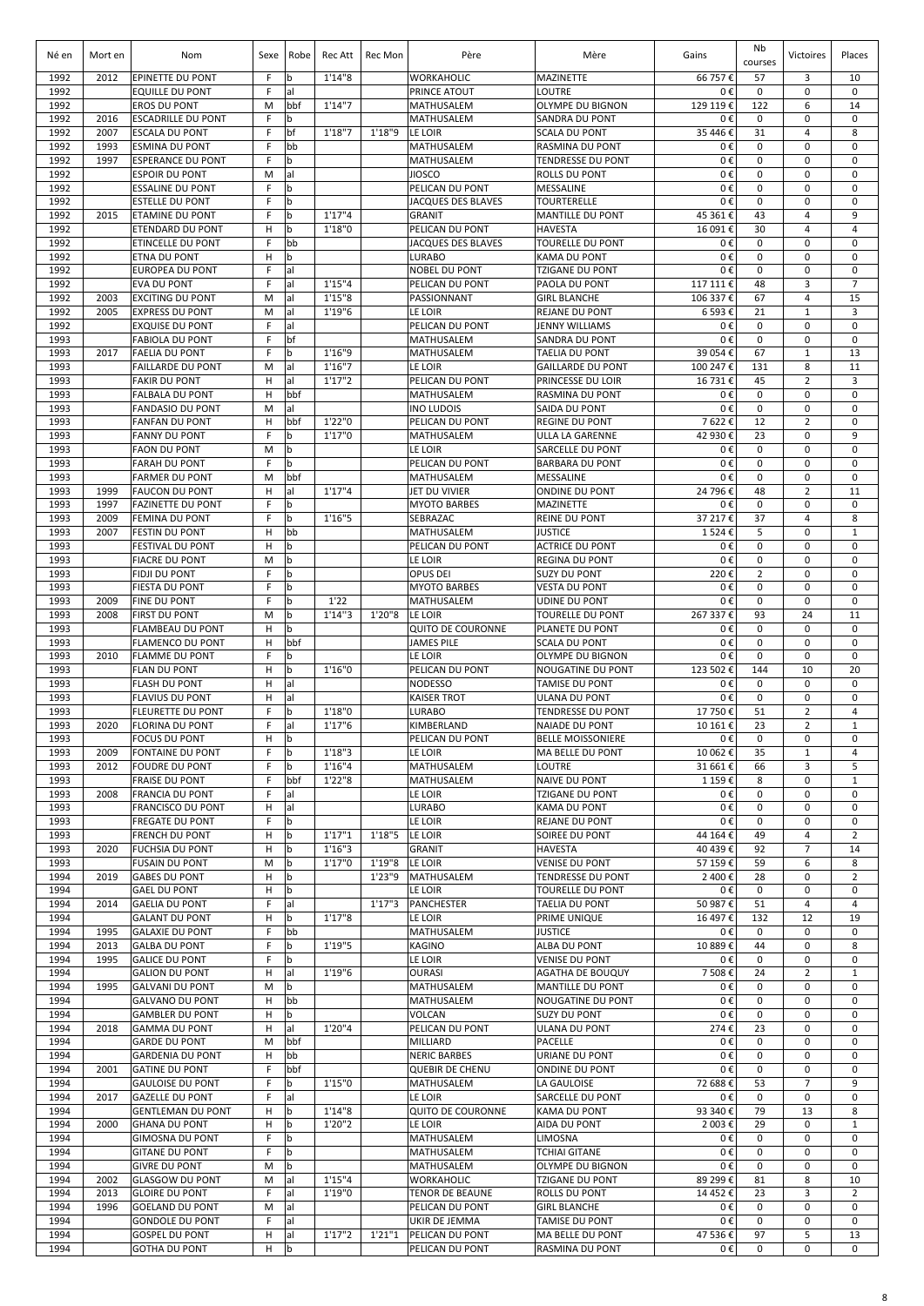| Né en        | Mort en      | Nom                                                | Sexe   | Robe               | Rec Att           | Rec Mon          | Père                                        | Mère                                            | Gains               | Nb<br>courses       | Victoires                     | Places                         |
|--------------|--------------|----------------------------------------------------|--------|--------------------|-------------------|------------------|---------------------------------------------|-------------------------------------------------|---------------------|---------------------|-------------------------------|--------------------------------|
| 1992         | 2012         | EPINETTE DU PONT                                   | F      | b                  | 1'14''8           |                  | WORKAHOLIC                                  | <b>MAZINETTE</b>                                | 66 757€             | 57                  | 3                             | 10                             |
| 1992         |              | <b>EQUILLE DU PONT</b>                             | F      | al                 |                   |                  | PRINCE ATOUT                                | LOUTRE                                          | 0€                  | 0                   | 0                             | $\mathbf 0$                    |
| 1992<br>1992 | 2016         | <b>EROS DU PONT</b><br><b>ESCADRILLE DU PONT</b>   | M<br>F | bbf<br>b           | 1'14''7           |                  | MATHUSALEM<br>MATHUSALEM                    | OLYMPE DU BIGNON<br>SANDRA DU PONT              | 129 119€<br>0€      | 122<br>0            | 6<br>0                        | 14<br>0                        |
| 1992         | 2007         | <b>ESCALA DU PONT</b>                              | F      | bf                 | 1'18''7           | 1'18"9           | LE LOIR                                     | <b>SCALA DU PONT</b>                            | 35 446 €            | 31                  | 4                             | 8                              |
| 1992         | 1993         | <b>ESMINA DU PONT</b>                              | F      | bb                 |                   |                  | MATHUSALEM                                  | <b>RASMINA DU PONT</b>                          | 0€                  | $\mathbf 0$         | $\mathbf 0$                   | $\mathbf 0$                    |
| 1992         | 1997         | <b>ESPERANCE DU PONT</b>                           | F      | <b>b</b>           |                   |                  | MATHUSALEM                                  | <b>TENDRESSE DU PONT</b>                        | 0€                  | 0                   | $\mathbf 0$                   | 0                              |
| 1992<br>1992 |              | <b>ESPOIR DU PONT</b><br><b>ESSALINE DU PONT</b>   | M<br>F | al<br>b            |                   |                  | <b>JIOSCO</b><br>PELICAN DU PONT            | <b>ROLLS DU PONT</b><br>MESSALINE               | 0€<br>0€            | 0<br>0              | $\mathbf 0$<br>$\mathbf 0$    | $\mathbf 0$<br>$\mathbf 0$     |
| 1992         |              | <b>ESTELLE DU PONT</b>                             | F      | b                  |                   |                  | JACQUES DES BLAVES                          | <b>TOURTERELLE</b>                              | 0€                  | $\pmb{0}$           | 0                             | $\mathbf 0$                    |
| 1992         | 2015         | <b>ETAMINE DU PONT</b>                             | F      | b                  | 1'17''4           |                  | <b>GRANIT</b>                               | <b>MANTILLE DU PONT</b>                         | 45 361 €            | 43                  | 4                             | 9                              |
| 1992         |              | <b>ETENDARD DU PONT</b>                            | н      | b                  | 1'18"0            |                  | PELICAN DU PONT                             | <b>HAVESTA</b>                                  | 16 091€             | 30                  | 4                             | $\overline{4}$                 |
| 1992         |              | ETINCELLE DU PONT                                  | F      | bb                 |                   |                  | <b>JACQUES DES BLAVES</b>                   | <b>TOURELLE DU PONT</b>                         | 0€                  | 0                   | $\mathbf 0$                   | $\mathbf 0$                    |
| 1992<br>1992 |              | ETNA DU PONT<br><b>EUROPEA DU PONT</b>             | H<br>E | b<br>lal           |                   |                  | <b>LURABO</b><br><b>NOBEL DU PONT</b>       | <b>KAMA DU PONT</b><br><b>TZIGANE DU PONT</b>   | 0€<br>0€            | $\mathbf 0$<br>0    | $\mathbf 0$<br>$\mathbf 0$    | 0<br>$\mathbf 0$               |
| 1992         |              | <b>EVA DU PONT</b>                                 | E      | lal                | 1'15''4           |                  | PELICAN DU PONT                             | <b>PAOLA DU PONT</b>                            | 117 111 €           | 48                  | 3                             | $\overline{7}$                 |
| 1992         | 2003         | <b>EXCITING DU PONT</b>                            | M      | lal                | 1'15''8           |                  | PASSIONNANT                                 | <b>GIRL BLANCHE</b>                             | 106 337€            | 67                  | $\overline{4}$                | 15                             |
| 1992         | 2005         | <b>EXPRESS DU PONT</b>                             | M      | lal                | 1'19"6            |                  | LE LOIR                                     | <b>REJANE DU PONT</b>                           | 6 593€              | 21                  | $\mathbf{1}$                  | 3                              |
| 1992         |              | <b>EXQUISE DU PONT</b>                             | F<br>F | lal                |                   |                  | PELICAN DU PONT                             | <b>JENNY WILLIAMS</b>                           | 0€                  | $\mathbf 0$         | $\mathbf 0$<br>$\mathbf 0$    | $\mathbf 0$<br>$\mathbf 0$     |
| 1993<br>1993 | 2017         | <b>FABIOLA DU PONT</b><br><b>FAELIA DU PONT</b>    | F      | bf<br>b            | 1'16"9            |                  | MATHUSALEM<br>MATHUSALEM                    | <b>SANDRA DU PONT</b><br>TAELIA DU PONT         | 0€<br>39 054€       | $\pmb{0}$<br>67     | $\mathbf{1}$                  | 13                             |
| 1993         |              | <b>FAILLARDE DU PONT</b>                           | M      | al                 | 1'16''7           |                  | LE LOIR                                     | <b>GAILLARDE DU PONT</b>                        | 100 247€            | 131                 | 8                             | 11                             |
| 1993         |              | <b>FAKIR DU PONT</b>                               | н      | al                 | 1'17''2           |                  | PELICAN DU PONT                             | <b>PRINCESSE DU LOIR</b>                        | 16 731€             | 45                  | 2                             | 3                              |
| 1993         |              | <b>FALBALA DU PONT</b>                             | н      | bbf                |                   |                  | <b>MATHUSALEM</b>                           | <b>RASMINA DU PONT</b>                          | 0€                  | 0                   | $\mathbf 0$                   | $\mathbf 0$                    |
| 1993<br>1993 |              | <b>FANDASIO DU PONT</b><br><b>FANFAN DU PONT</b>   | M<br>н | lal<br>bbf         | 1'22"0            |                  | <b>INO LUDOIS</b><br>PELICAN DU PONT        | <b>SAIDA DU PONT</b><br><b>REGINE DU PONT</b>   | 0€<br>7622€         | 0<br>12             | $\mathbf 0$<br>$\overline{2}$ | $\mathbf 0$<br>0               |
| 1993         |              | <b>FANNY DU PONT</b>                               | F      | b                  | 1'17"0            |                  | MATHUSALEM                                  | ULLA LA GARENNE                                 | 42 930€             | 23                  | $\mathbf 0$                   | 9                              |
| 1993         |              | <b>FAON DU PONT</b>                                | M      | $\mathbf b$        |                   |                  | LE LOIR                                     | <b>SARCELLE DU PONT</b>                         | 0€                  | 0                   | 0                             | 0                              |
| 1993         |              | <b>FARAH DU PONT</b>                               | F      | b                  |                   |                  | PELICAN DU PONT                             | <b>BARBARA DU PONT</b>                          | 0€                  | 0                   | 0                             | 0                              |
| 1993         |              | <b>FARMER DU PONT</b>                              | M      | bbf                |                   |                  | <b>MATHUSALEM</b>                           | <b>MESSALINE</b>                                | 0€                  | 0                   | 0                             | $\mathbf 0$                    |
| 1993<br>1993 | 1999<br>1997 | <b>FAUCON DU PONT</b><br><b>FAZINETTE DU PONT</b>  | H<br>F | lal<br>b           | 1'17''4           |                  | <b>JET DU VIVIER</b><br><b>MYOTO BARBES</b> | <b>ONDINE DU PONT</b><br><b>MAZINETTE</b>       | 24 796 €<br>0€      | 48<br>$\mathbf 0$   | $\overline{2}$<br>$\mathbf 0$ | 11<br>$\mathbf 0$              |
| 1993         | 2009         | FEMINA DU PONT                                     | F      | $\mathbf b$        | 1'16"5            |                  | SEBRAZAC                                    | <b>REINE DU PONT</b>                            | 37 217€             | 37                  | $\overline{4}$                | 8                              |
| 1993         | 2007         | <b>FESTIN DU PONT</b>                              | н      | bb                 |                   |                  | MATHUSALEM                                  | <b>JUSTICE</b>                                  | 1524€               | 5                   | $\mathbf 0$                   | $\mathbf{1}$                   |
| 1993         |              | FESTIVAL DU PONT                                   | н      | b                  |                   |                  | PELICAN DU PONT                             | <b>ACTRICE DU PONT</b>                          | 0€                  | 0                   | $\mathbf 0$                   | $\mathbf 0$                    |
| 1993<br>1993 |              | <b>FIACRE DU PONT</b><br>FIDJI DU PONT             | M<br>F | b<br>b             |                   |                  | LE LOIR<br>OPUS DEI                         | <b>REGINA DU PONT</b><br><b>SUZY DU PONT</b>    | 0€<br>220€          | 0<br>$\overline{2}$ | 0<br>$\mathbf 0$              | $\mathbf 0$<br>$\mathbf 0$     |
| 1993         |              | <b>FIESTA DU PONT</b>                              | F      | b                  |                   |                  | <b>MYOTO BARBES</b>                         | <b>VESTA DU PONT</b>                            | 0€                  | 0                   | $\mathbf 0$                   | $\mathbf 0$                    |
| 1993         | 2009         | <b>FINE DU PONT</b>                                | F      | b                  | 1'22              |                  | MATHUSALEM                                  | <b>UDINE DU PONT</b>                            | 0€                  | $\mathbf 0$         | $\mathbf 0$                   | $\mathbf 0$                    |
| 1993         | 2008         | <b>FIRST DU PONT</b>                               | M      | b                  | 1'14''3           | 1'20"8           | LE LOIR                                     | <b>TOURELLE DU PONT</b>                         | 267 337€            | 93                  | 24                            | 11                             |
| 1993         |              | FLAMBEAU DU PONT                                   | н      | $\mathbf b$        |                   |                  | <b>QUITO DE COURONNE</b>                    | PLANETE DU PONT                                 | 0€                  | $\mathbf 0$         | $\mathbf 0$                   | $\mathbf 0$                    |
| 1993<br>1993 | 2010         | <b>FLAMENCO DU PONT</b><br><b>FLAMME DU PONT</b>   | н<br>F | bbf<br>$\mathbf b$ |                   |                  | <b>JAMES PILE</b><br>LE LOIR                | <b>SCALA DU PONT</b><br><b>OLYMPE DU BIGNON</b> | 0€<br>0€            | $\mathbf 0$<br>0    | $\mathbf 0$<br>$\mathbf 0$    | $\mathbf 0$<br>$\mathbf 0$     |
| 1993         |              | FLAN DU PONT                                       | н      | l b                | 1'16"0            |                  | PELICAN DU PONT                             | <b>NOUGATINE DU PONT</b>                        | 123 502€            | 144                 | 10                            | 20                             |
| 1993         |              | <b>FLASH DU PONT</b>                               | н      | lal                |                   |                  | <b>NODESSO</b>                              | <b>TAMISE DU PONT</b>                           | 0€                  | 0                   | $\mathbf 0$                   | $\mathbf 0$                    |
| 1993         |              | <b>FLAVIUS DU PONT</b>                             | н      | al                 |                   |                  | <b>KAISER TROT</b>                          | <b>ULANA DU PONT</b>                            | 0€                  | 0                   | $\mathbf 0$                   | $\mathbf 0$                    |
| 1993<br>1993 | 2020         | <b>FLEURETTE DU PONT</b><br><b>FLORINA DU PONT</b> | F<br>F | b<br>lal           | 1'18"0<br>1'17''6 |                  | <b>LURABO</b><br>KIMBERLAND                 | <b>TENDRESSE DU PONT</b><br>NAIADE DU PONT      | 17 750€<br>10 161 € | 51<br>23            | $\overline{2}$<br>2           | $\overline{4}$<br>$\mathbf{1}$ |
| 1993         |              | FOCUS DU PONT                                      | н      | b                  |                   |                  | PELICAN DU PONT                             | <b>BELLE MOISSONIERE</b>                        | 0€                  | 0                   | 0                             | 0                              |
| 1993         | 2009         | <b>FONTAINE DU PONT</b>                            | F.     | <sub>b</sub>       | 1'18''3           |                  | LE LOIR                                     | <b>MA BELLE DU PONT</b>                         | 10 062€             | 35                  | $\mathbf{1}$                  | $\overline{4}$                 |
| 1993         | 2012         | <b>FOUDRE DU PONT</b>                              | F      | b                  | 1'16''4           |                  | MATHUSALEM                                  | LOUTRE                                          | 31 661 €            | 66                  | 3                             | 5                              |
| 1993         |              | <b>FRAISE DU PONT</b>                              | F      | bbf                | 1'22''8           |                  | MATHUSALEM                                  | <b>NAIVE DU PONT</b>                            | 1 159€              | 8                   | $\mathbf 0$                   | $\mathbf{1}$                   |
| 1993<br>1993 | 2008         | <b>FRANCIA DU PONT</b><br>FRANCISCO DU PONT        | F<br>н | al<br>al           |                   |                  | LE LOIR<br><b>LURABO</b>                    | TZIGANE DU PONT<br><b>KAMA DU PONT</b>          | 0€<br>0€            | 0<br>0              | $\mathbf 0$<br>$\mathbf 0$    | 0<br>$\mathbf 0$               |
| 1993         |              | <b>FREGATE DU PONT</b>                             | F      | $\mathbf b$        |                   |                  | LE LOIR                                     | <b>REJANE DU PONT</b>                           | 0€                  | 0                   | $\mathbf 0$                   | 0                              |
| 1993         |              | <b>FRENCH DU PONT</b>                              | н      | b                  | 1'17''1           | 1'18"5           | LE LOIR                                     | SOIREE DU PONT                                  | 44 164 €            | 49                  | 4                             | $\overline{2}$                 |
| 1993         | 2020         | <b>FUCHSIA DU PONT</b>                             | н      | b                  | 1'16''3           |                  | <b>GRANIT</b>                               | <b>HAVESTA</b>                                  | 40 439€             | 92                  | $\overline{7}$                | 14                             |
| 1993<br>1994 |              | <b>FUSAIN DU PONT</b><br><b>GABES DU PONT</b>      | M<br>н | b<br>b             | 1'17''0           | 1'19"8<br>1'23"9 | LE LOIR<br>MATHUSALEM                       | <b>VENISE DU PONT</b>                           | 57 159€             | 59                  | 6<br>$\mathbf 0$              | 8<br>$\overline{2}$            |
| 1994         | 2019         | <b>GAEL DU PONT</b>                                | н      | b                  |                   |                  | LE LOIR                                     | <b>TENDRESSE DU PONT</b><br>TOURELLE DU PONT    | 2 400€<br>0€        | 28<br>0             | 0                             | $\mathbf 0$                    |
| 1994         | 2014         | <b>GAELIA DU PONT</b>                              | F      | al                 |                   | 1'17''3          | <b>PANCHESTER</b>                           | TAELIA DU PONT                                  | 50 987€             | 51                  | 4                             | $\overline{4}$                 |
| 1994         |              | <b>GALANT DU PONT</b>                              | н      | b                  | 1'17''8           |                  | LE LOIR                                     | <b>PRIME UNIQUE</b>                             | 16 497€             | 132                 | 12                            | 19                             |
| 1994         | 1995         | <b>GALAXIE DU PONT</b>                             | F      | bb                 |                   |                  | MATHUSALEM                                  | <b>JUSTICE</b>                                  | 0€                  | 0                   | 0                             | 0                              |
| 1994<br>1994 | 2013<br>1995 | <b>GALBA DU PONT</b><br><b>GALICE DU PONT</b>      | F<br>F | b<br>l b           | 1'19"5            |                  | <b>KAGINO</b><br>LE LOIR                    | <b>ALBA DU PONT</b><br><b>VENISE DU PONT</b>    | 10 889€<br>0€       | 44<br>0             | 0<br>0                        | 8<br>$\mathbf 0$               |
| 1994         |              | <b>GALION DU PONT</b>                              | н      | al                 | 1'19"6            |                  | <b>OURASI</b>                               | <b>AGATHA DE BOUQUY</b>                         | 7 508€              | 24                  | $\overline{2}$                | $\mathbf{1}$                   |
| 1994         | 1995         | <b>GALVANI DU PONT</b>                             | M      | b                  |                   |                  | MATHUSALEM                                  | <b>MANTILLE DU PONT</b>                         | 0€                  | 0                   | $\mathbf 0$                   | $\mathbf 0$                    |
| 1994         |              | <b>GALVANO DU PONT</b>                             | н      | bb                 |                   |                  | MATHUSALEM                                  | <b>NOUGATINE DU PONT</b>                        | 0€                  | 0                   | 0                             | $\mathbf 0$                    |
| 1994         |              | <b>GAMBLER DU PONT</b>                             | н      | l b                |                   |                  | VOLCAN                                      | <b>SUZY DU PONT</b>                             | 0€                  | $\mathbf 0$         | $\mathbf 0$                   | $\mathbf 0$                    |
| 1994<br>1994 | 2018         | <b>GAMMA DU PONT</b><br><b>GARDE DU PONT</b>       | н<br>M | al<br>bbf          | 1'20"4            |                  | PELICAN DU PONT<br>MILLIARD                 | ULANA DU PONT<br><b>PACELLE</b>                 | 274€<br>0€          | 23<br>0             | $\mathbf 0$<br>$\mathbf 0$    | $\mathbf 0$<br>$\mathbf 0$     |
| 1994         |              | <b>GARDENIA DU PONT</b>                            | н      | bb                 |                   |                  | <b>NERIC BARBES</b>                         | URIANE DU PONT                                  | 0€                  | 0                   | $\mathbf 0$                   | $\mathbf 0$                    |
| 1994         | 2001         | <b>GATINE DU PONT</b>                              | F      | bbf                |                   |                  | <b>QUEBIR DE CHENU</b>                      | <b>ONDINE DU PONT</b>                           | 0€                  | 0                   | $\mathbf 0$                   | 0                              |
| 1994         |              | <b>GAULOISE DU PONT</b>                            | F      | b                  | 1'15"0            |                  | MATHUSALEM                                  | LA GAULOISE                                     | 72 688€             | 53                  | $\overline{7}$                | 9                              |
| 1994<br>1994 | 2017         | <b>GAZELLE DU PONT</b>                             | F      | al<br>b            | 1'14''8           |                  | LE LOIR                                     | <b>SARCELLE DU PONT</b>                         | 0€                  | 0                   | 0                             | 0                              |
| 1994         | 2000         | <b>GENTLEMAN DU PONT</b><br><b>GHANA DU PONT</b>   | н<br>н | b                  | 1'20"2            |                  | <b>QUITO DE COURONNE</b><br>LE LOIR         | <b>KAMA DU PONT</b><br>AIDA DU PONT             | 93 340 €<br>2 003€  | 79<br>29            | 13<br>0                       | 8<br>$\mathbf{1}$              |
| 1994         |              | <b>GIMOSNA DU PONT</b>                             | F      | b                  |                   |                  | MATHUSALEM                                  | LIMOSNA                                         | 0€                  | 0                   | $\mathbf 0$                   | 0                              |
| 1994         |              | <b>GITANE DU PONT</b>                              | F      | b                  |                   |                  | MATHUSALEM                                  | <b>TCHIAI GITANE</b>                            | 0€                  | 0                   | 0                             | 0                              |
| 1994         |              | <b>GIVRE DU PONT</b>                               | M      | b                  |                   |                  | MATHUSALEM                                  | <b>OLYMPE DU BIGNON</b>                         | 0€                  | 0                   | 0                             | 0                              |
| 1994<br>1994 | 2002<br>2013 | <b>GLASGOW DU PONT</b><br><b>GLOIRE DU PONT</b>    | M<br>F | al<br>al           | 1'15''4<br>1'19"0 |                  | <b>WORKAHOLIC</b><br><b>TENOR DE BEAUNE</b> | <b>TZIGANE DU PONT</b><br><b>ROLLS DU PONT</b>  | 89 299€<br>14 452€  | 81<br>23            | 8<br>3                        | 10<br>$\overline{2}$           |
| 1994         | 1996         | <b>GOELAND DU PONT</b>                             | M      | al                 |                   |                  | PELICAN DU PONT                             | <b>GIRL BLANCHE</b>                             | 0€                  | 0                   | $\mathbf 0$                   | $\mathbf 0$                    |
| 1994         |              | <b>GONDOLE DU PONT</b>                             | F      | al                 |                   |                  | UKIR DE JEMMA                               | TAMISE DU PONT                                  | 0€                  | 0                   | 0                             | 0                              |
| 1994         |              | <b>GOSPEL DU PONT</b>                              | н      | al                 | 1'17''2           | 1'21''1          | PELICAN DU PONT                             | MA BELLE DU PONT                                | 47 536€             | 97                  | 5                             | 13                             |
| 1994         |              | <b>GOTHA DU PONT</b>                               | н      | b                  |                   |                  | PELICAN DU PONT                             | <b>RASMINA DU PONT</b>                          | 0€                  | 0                   | 0                             | $\mathbf 0$                    |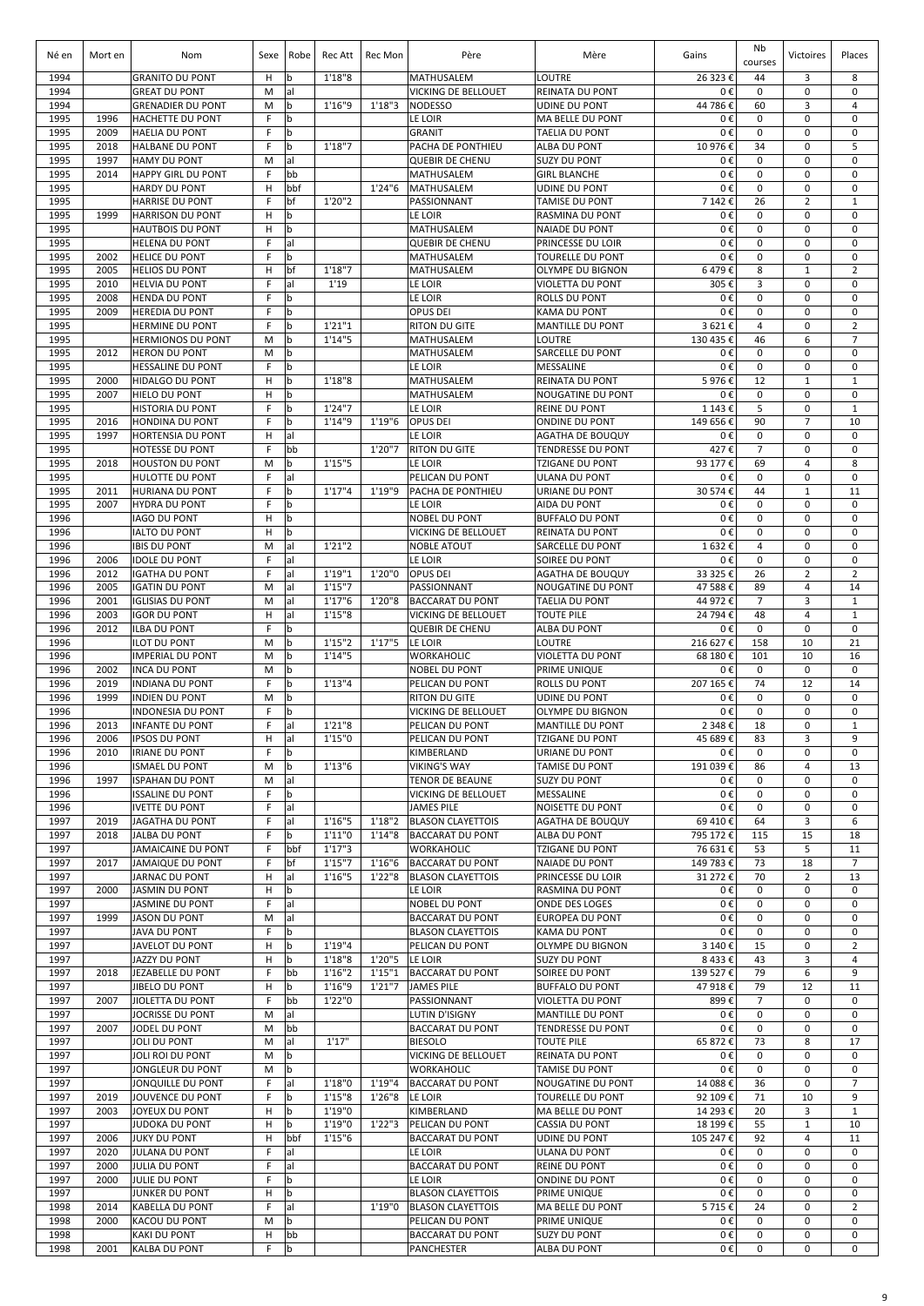| Né en        | Mort en      | Nom                                                | Sexe             | Robe              | Rec Att            | Rec Mon | Père                                                 | Mère                                              | Gains                | Nb<br>courses              | Victoires                      | Places                     |
|--------------|--------------|----------------------------------------------------|------------------|-------------------|--------------------|---------|------------------------------------------------------|---------------------------------------------------|----------------------|----------------------------|--------------------------------|----------------------------|
| 1994         |              | <b>GRANITO DU PONT</b>                             | н                | b                 | 1'18''8            |         | MATHUSALEM                                           | <b>LOUTRE</b>                                     | 26 323€              | 44                         | 3                              | 8                          |
| 1994<br>1994 |              | <b>GREAT DU PONT</b><br><b>GRENADIER DU PONT</b>   | M<br>M           | al<br>$\mathbf b$ | 1'16"9             | 1'18''3 | <b>VICKING DE BELLOUET</b><br><b>NODESSO</b>         | <b>REINATA DU PONT</b><br>UDINE DU PONT           | 0€<br>44 786€        | 0<br>60                    | 0<br>3                         | 0<br>4                     |
| 1995         | 1996         | HACHETTE DU PONT                                   | F                | b                 |                    |         | LE LOIR                                              | <b>MA BELLE DU PONT</b>                           | 0€                   | 0                          | 0                              | 0                          |
| 1995         | 2009         | <b>HAELIA DU PONT</b>                              | F                | b                 |                    |         | <b>GRANIT</b>                                        | TAELIA DU PONT                                    | 0€                   | 0                          | 0                              | 0                          |
| 1995         | 2018         | <b>HALBANE DU PONT</b>                             | F                | b                 | 1'18''7            |         | PACHA DE PONTHIEU                                    | <b>ALBA DU PONT</b>                               | 10 976€              | 34                         | $\mathbf 0$                    | 5                          |
| 1995<br>1995 | 1997         | <b>HAMY DU PONT</b>                                | M<br>F           | al<br>bb          |                    |         | <b>QUEBIR DE CHENU</b>                               | <b>SUZY DU PONT</b>                               | 0€<br>0€             | 0<br>0                     | $\mathbf 0$<br>0               | 0<br>$\mathbf 0$           |
| 1995         | 2014         | <b>HAPPY GIRL DU PONT</b><br><b>HARDY DU PONT</b>  | н                | bbf               |                    | 1'24''6 | MATHUSALEM<br><b>MATHUSALEM</b>                      | <b>GIRL BLANCHE</b><br><b>UDINE DU PONT</b>       | 0€                   | 0                          | 0                              | 0                          |
| 1995         |              | <b>HARRISE DU PONT</b>                             | F                | bf                | 1'20"2             |         | PASSIONNANT                                          | <b>TAMISE DU PONT</b>                             | 7 142€               | 26                         | $\overline{2}$                 | $\mathbf{1}$               |
| 1995         | 1999         | <b>HARRISON DU PONT</b>                            | н                | b                 |                    |         | LE LOIR                                              | <b>RASMINA DU PONT</b>                            | 0€                   | 0                          | 0                              | 0                          |
| 1995         |              | <b>HAUTBOIS DU PONT</b><br><b>HELENA DU PONT</b>   | н<br>$\mathsf F$ | b<br>al           |                    |         | MATHUSALEM<br><b>QUEBIR DE CHENU</b>                 | <b>NAIADE DU PONT</b><br>PRINCESSE DU LOIR        | 0€<br>0€             | 0<br>0                     | 0<br>$\mathbf 0$               | $\mathbf 0$<br>$\mathbf 0$ |
| 1995<br>1995 | 2002         | <b>HELICE DU PONT</b>                              | F                | b                 |                    |         | MATHUSALEM                                           | <b>TOURELLE DU PONT</b>                           | 0€                   | 0                          | $\mathbf 0$                    | 0                          |
| 1995         | 2005         | <b>HELIOS DU PONT</b>                              | н                | bf                | 1'18''7            |         | MATHUSALEM                                           | <b>OLYMPE DU BIGNON</b>                           | 6479€                | 8                          | $\mathbf{1}$                   | $\overline{2}$             |
| 1995         | 2010         | <b>HELVIA DU PONT</b>                              | F                | lal               | 1'19               |         | LE LOIR                                              | <b>VIOLETTA DU PONT</b>                           | 305€                 | 3                          | $\mathbf 0$                    | 0                          |
| 1995<br>1995 | 2008<br>2009 | <b>HENDA DU PONT</b><br><b>HEREDIA DU PONT</b>     | F<br>F.          | b<br>l b          |                    |         | LE LOIR<br>OPUS DEI                                  | <b>ROLLS DU PONT</b><br><b>KAMA DU PONT</b>       | 0€<br>0€             | $\mathbf 0$<br>$\mathbf 0$ | $\mathbf 0$<br>$\mathbf 0$     | $\mathbf 0$<br>$\mathbf 0$ |
| 1995         |              | <b>HERMINE DU PONT</b>                             | F                | l b               | 1'21''1            |         | <b>RITON DU GITE</b>                                 | <b>MANTILLE DU PONT</b>                           | 3621€                | $\overline{4}$             | $\mathbf 0$                    | $\overline{2}$             |
| 1995         |              | <b>HERMIONOS DU PONT</b>                           | M                | b                 | 1'14"5             |         | MATHUSALEM                                           | LOUTRE                                            | 130 435 €            | 46                         | 6                              | $\overline{7}$             |
| 1995         | 2012         | <b>HERON DU PONT</b>                               | M                | b                 |                    |         | MATHUSALEM                                           | <b>SARCELLE DU PONT</b>                           | 0€                   | 0                          | $\mathbf 0$                    | $\mathsf 0$                |
| 1995<br>1995 | 2000         | <b>HESSALINE DU PONT</b><br><b>HIDALGO DU PONT</b> | F<br>н           | b<br>l b          | 1'18''8            |         | LE LOIR<br>MATHUSALEM                                | MESSALINE<br><b>REINATA DU PONT</b>               | 0€<br>5976€          | 0<br>12                    | 0<br>$\mathbf{1}$              | 0<br>$\mathbf{1}$          |
| 1995         | 2007         | <b>HIELO DU PONT</b>                               | н                | b                 |                    |         | MATHUSALEM                                           | <b>NOUGATINE DU PONT</b>                          | 0€                   | 0                          | $\mathbf 0$                    | $\mathbf 0$                |
| 1995         |              | HISTORIA DU PONT                                   | F                | l b               | 1'24"7             |         | LE LOIR                                              | <b>REINE DU PONT</b>                              | 1 143 €              | 5                          | $\mathbf 0$                    | $\mathbf{1}$               |
| 1995         | 2016         | <b>HONDINA DU PONT</b>                             | F                | b                 | 1'14"9             | 1'19''6 | OPUS DEI                                             | <b>ONDINE DU PONT</b>                             | 149 656€             | 90                         | $\overline{7}$                 | 10                         |
| 1995         | 1997         | <b>HORTENSIA DU PONT</b>                           | н                | lal               |                    |         | LE LOIR                                              | <b>AGATHA DE BOUQUY</b>                           | 0€                   | 0                          | $\mathbf 0$                    | $\mathbf 0$                |
| 1995<br>1995 | 2018         | HOTESSE DU PONT<br><b>HOUSTON DU PONT</b>          | F<br>M           | bb<br>b           | 1'15"5             | 1'20"7  | <b>RITON DU GITE</b><br>LE LOIR                      | <b>TENDRESSE DU PONT</b><br>TZIGANE DU PONT       | 427€<br>93 177 €     | $\overline{7}$<br>69       | 0<br>4                         | 0<br>8                     |
| 1995         |              | <b>HULOTTE DU PONT</b>                             | F                | al                |                    |         | PELICAN DU PONT                                      | ULANA DU PONT                                     | 0€                   | 0                          | 0                              | 0                          |
| 1995         | 2011         | <b>HURIANA DU PONT</b>                             | F                | b                 | 1'17''4            | 1'19"9  | PACHA DE PONTHIEU                                    | URIANE DU PONT                                    | 30 574 €             | 44                         | $\mathbf{1}$                   | 11                         |
| 1995         | 2007         | <b>HYDRA DU PONT</b>                               | F                | $\mathbf b$       |                    |         | LE LOIR                                              | AIDA DU PONT                                      | 0€                   | 0                          | $\mathbf 0$                    | $\mathbf 0$                |
| 1996<br>1996 |              | <b>IAGO DU PONT</b><br><b>IALTO DU PONT</b>        | H<br>Н           | b<br><b>b</b>     |                    |         | <b>NOBEL DU PONT</b><br>VICKING DE BELLOUET          | <b>BUFFALO DU PONT</b><br><b>REINATA DU PONT</b>  | 0€<br>0€             | 0<br>0                     | $\mathbf 0$<br>$\mathbf 0$     | $\mathbf 0$<br>$\mathbf 0$ |
| 1996         |              | <b>IBIS DU PONT</b>                                | M                | al                | 1'21''2            |         | <b>NOBLE ATOUT</b>                                   | <b>SARCELLE DU PONT</b>                           | 1632€                | 4                          | 0                              | $\mathbf 0$                |
| 1996         | 2006         | <b>IDOLE DU PONT</b>                               | F                | al                |                    |         | LE LOIR                                              | SOIREE DU PONT                                    | 0€                   | 0                          | 0                              | $\mathbf 0$                |
| 1996         | 2012         | <b>IGATHA DU PONT</b>                              | F                | lal               | 1'19''1            | 1'20"0  | OPUS DEI                                             | <b>AGATHA DE BOUQUY</b>                           | 33 325 €             | 26                         | $\overline{2}$                 | $\overline{2}$             |
| 1996<br>1996 | 2005<br>2001 | <b>IGATIN DU PONT</b><br><b>IGLISIAS DU PONT</b>   | M<br>M           | lal<br>al         | 1'15''7<br>1'17''6 | 1'20"8  | PASSIONNANT<br><b>BACCARAT DU PONT</b>               | NOUGATINE DU PONT<br>TAELIA DU PONT               | 47 588€<br>44 972€   | 89<br>$\overline{7}$       | 4<br>3                         | 14<br>$\mathbf{1}$         |
| 1996         | 2003         | <b>IGOR DU PONT</b>                                | н                | lal               | 1'15''8            |         | VICKING DE BELLOUET                                  | <b>TOUTE PILE</b>                                 | 24 794 €             | 48                         | 4                              | $\mathbf{1}$               |
| 1996         | 2012         | <b>ILBA DU PONT</b>                                | F                | b                 |                    |         | <b>QUEBIR DE CHENU</b>                               | ALBA DU PONT                                      | 0€                   | $\pmb{0}$                  | $\pmb{0}$                      | $\mathbf 0$                |
| 1996         |              | <b>ILOT DU PONT</b>                                | M                | b                 | 1'15''2            | 1'17''5 | LE LOIR                                              | <b>LOUTRE</b>                                     | 216 627€             | 158                        | 10                             | 21                         |
| 1996<br>1996 | 2002         | <b>IMPERIAL DU PONT</b><br><b>INCA DU PONT</b>     | M<br>M           | l b<br>lb         | 1'14''5            |         | <b>WORKAHOLIC</b><br><b>NOBEL DU PONT</b>            | <b>VIOLETTA DU PONT</b><br><b>PRIME UNIQUE</b>    | 68 180€<br>0€        | 101<br>$\mathbf 0$         | 10<br>$\mathbf 0$              | 16<br>$\mathbf 0$          |
| 1996         | 2019         | <b>INDIANA DU PONT</b>                             | F                | b                 | 1'13''4            |         | PELICAN DU PONT                                      | <b>ROLLS DU PONT</b>                              | 207 165€             | 74                         | 12                             | 14                         |
| 1996         | 1999         | <b>INDIEN DU PONT</b>                              | M                | b                 |                    |         | <b>RITON DU GITE</b>                                 | UDINE DU PONT                                     | 0€                   | 0                          | $\mathbf 0$                    | $\mathbf 0$                |
| 1996<br>1996 |              | INDONESIA DU PONT                                  | F<br>F           | b<br>lal          | 1'21''8            |         | VICKING DE BELLOUET                                  | <b>OLYMPE DU BIGNON</b>                           | 0€                   | 0                          | 0<br>0                         | 0                          |
| 1996         | 2013<br>2006 | <b>INFANTE DU PONT</b><br><b>IPSOS DU PONT</b>     | н                | lal               | 1'15"0             |         | PELICAN DU PONT<br>PELICAN DU PONT                   | <b>MANTILLE DU PONT</b><br><b>TZIGANE DU PONT</b> | 2 348 €<br>45 689€   | 18<br>83                   | 3                              | $\mathbf{1}$<br>9          |
| 1996         | 2010         | <b>IRIANE DU PONT</b>                              | F.               | <sub>b</sub>      |                    |         | KIMBERLAND                                           | URIANE DU PONT                                    | 0€                   | 0                          | $\mathbf 0$                    | $\mathbf 0$                |
| 1996         |              | <b>ISMAEL DU PONT</b>                              | M                | b                 | 1'13''6            |         | <b>VIKING'S WAY</b>                                  | TAMISE DU PONT                                    | 191 039€             | 86                         | 4                              | 13                         |
| 1996<br>1996 | 1997         | <b>ISPAHAN DU PONT</b><br><b>ISSALINE DU PONT</b>  | M<br>F           | lal<br>b          |                    |         | <b>TENOR DE BEAUNE</b><br>VICKING DE BELLOUET        | <b>SUZY DU PONT</b><br>MESSALINE                  | 0€<br>0€             | 0<br>0                     | 0<br>$\mathbf 0$               | $\mathbf 0$<br>0           |
| 1996         |              | <b>IVETTE DU PONT</b>                              | F                | al                |                    |         | <b>JAMES PILE</b>                                    | NOISETTE DU PONT                                  | 0€                   | 0                          | $\mathbf 0$                    | 0                          |
| 1997         | 2019         | <b>JAGATHA DU PONT</b>                             | F                | al                | 1'16''5            | 1'18''2 | <b>BLASON CLAYETTOIS</b>                             | <b>AGATHA DE BOUQUY</b>                           | 69 410€              | 64                         | 3                              | 6                          |
| 1997         | 2018         | JALBA DU PONT                                      | F                | $\mathbf b$       | 1'11''0            | 1'14''8 | <b>BACCARAT DU PONT</b>                              | ALBA DU PONT                                      | 795 172€             | 115                        | 15                             | 18                         |
| 1997<br>1997 | 2017         | JAMAICAINE DU PONT<br>JAMAIQUE DU PONT             | F<br>F           | bbf<br>bf         | 1'17''3<br>1'15''7 | 1'16''6 | WORKAHOLIC<br><b>BACCARAT DU PONT</b>                | TZIGANE DU PONT<br><b>NAIADE DU PONT</b>          | 76 631€<br>149 783€  | 53<br>73                   | 5<br>18                        | 11<br>$\overline{7}$       |
| 1997         |              | JARNAC DU PONT                                     | Н                | al                | 1'16''5            | 1'22''8 | <b>BLASON CLAYETTOIS</b>                             | PRINCESSE DU LOIR                                 | 31 272€              | 70                         | $\overline{2}$                 | 13                         |
| 1997         | 2000         | <b>JASMIN DU PONT</b>                              | н                | b                 |                    |         | LE LOIR                                              | <b>RASMINA DU PONT</b>                            | 0€                   | 0                          | 0                              | $\mathbf 0$                |
| 1997         |              | <b>JASMINE DU PONT</b>                             | F                | al                |                    |         | NOBEL DU PONT                                        | ONDE DES LOGES                                    | 0€                   | 0                          | 0                              | $\mathbf 0$                |
| 1997<br>1997 | 1999         | <b>JASON DU PONT</b><br><b>JAVA DU PONT</b>        | M<br>F           | al<br>b           |                    |         | <b>BACCARAT DU PONT</b><br><b>BLASON CLAYETTOIS</b>  | <b>EUROPEA DU PONT</b><br><b>KAMA DU PONT</b>     | 0€<br>0€             | 0<br>0                     | 0<br>0                         | $\mathbf 0$<br>0           |
| 1997         |              | JAVELOT DU PONT                                    | н                | b                 | 1'19"4             |         | PELICAN DU PONT                                      | OLYMPE DU BIGNON                                  | 3 140€               | 15                         | 0                              | 2                          |
| 1997         |              | JAZZY DU PONT                                      | н                | b                 | 1'18''8            | 1'20"5  | LE LOIR                                              | <b>SUZY DU PONT</b>                               | 8433€                | 43                         | 3                              | 4                          |
| 1997         | 2018         | JEZABELLE DU PONT                                  | F                | bb                | 1'16''2            | 1'15''1 | <b>BACCARAT DU PONT</b>                              | <b>SOIREE DU PONT</b>                             | 139 527€             | 79                         | 6                              | 9                          |
| 1997<br>1997 | 2007         | JIBELO DU PONT<br>JIOLETTA DU PONT                 | н<br>F.          | b<br>bb           | 1'16"9<br>1'22"0   | 1'21''7 | <b>JAMES PILE</b><br>PASSIONNANT                     | <b>BUFFALO DU PONT</b><br><b>VIOLETTA DU PONT</b> | 47 918€<br>899€      | 79<br>$\overline{7}$       | 12<br>0                        | 11<br>$\mathbf 0$          |
| 1997         |              | JOCRISSE DU PONT                                   | M                | al                |                    |         | LUTIN D'ISIGNY                                       | <b>MANTILLE DU PONT</b>                           | 0€                   | $\mathbf 0$                | $\mathbf 0$                    | $\mathbf 0$                |
| 1997         | 2007         | JODEL DU PONT                                      | M                | bb                |                    |         | <b>BACCARAT DU PONT</b>                              | <b>TENDRESSE DU PONT</b>                          | 0€                   | $\mathbf 0$                | $\mathbf 0$                    | $\mathbf 0$                |
| 1997         |              | JOLI DU PONT                                       | M                | lal               | 1'17"              |         | <b>BIESOLO</b>                                       | <b>TOUTE PILE</b>                                 | 65 872€              | 73                         | 8                              | 17                         |
| 1997<br>1997 |              | JOLI ROI DU PONT<br>JONGLEUR DU PONT               | M<br>M           | b<br>l b          |                    |         | VICKING DE BELLOUET<br>WORKAHOLIC                    | <b>REINATA DU PONT</b><br>TAMISE DU PONT          | 0€<br>0€             | 0<br>0                     | 0<br>0                         | $\mathbf 0$<br>0           |
| 1997         |              | JONQUILLE DU PONT                                  | F                | al                | 1'18''0            | 1'19''4 | <b>BACCARAT DU PONT</b>                              | <b>NOUGATINE DU PONT</b>                          | 14 088€              | 36                         | 0                              | $\overline{7}$             |
| 1997         | 2019         | JOUVENCE DU PONT                                   | F                | l b               | 1'15''8            | 1'26''8 | LE LOIR                                              | <b>TOURELLE DU PONT</b>                           | 92 109€              | 71                         | 10                             | 9                          |
| 1997         | 2003         | JOYEUX DU PONT                                     | н                | b                 | 1'19"0             |         | KIMBERLAND                                           | MA BELLE DU PONT                                  | 14 293€              | 20                         | 3                              | $\mathbf{1}$               |
| 1997<br>1997 | 2006         | JUDOKA DU PONT<br><b>JUKY DU PONT</b>              | н<br>н           | b<br>bbf          | 1'19"0<br>1'15''6  | 1'22''3 | PELICAN DU PONT<br><b>BACCARAT DU PONT</b>           | CASSIA DU PONT<br><b>UDINE DU PONT</b>            | 18 199€<br>105 247 € | 55<br>92                   | $\mathbf{1}$<br>$\overline{4}$ | 10<br>11                   |
| 1997         | 2020         | <b>JULANA DU PONT</b>                              | F                | al                |                    |         | LE LOIR                                              | <b>ULANA DU PONT</b>                              | 0€                   | 0                          | 0                              | 0                          |
| 1997         | 2000         | <b>JULIA DU PONT</b>                               | F                | al                |                    |         | <b>BACCARAT DU PONT</b>                              | <b>REINE DU PONT</b>                              | 0€                   | 0                          | 0                              | 0                          |
| 1997         | 2000         | <b>JULIE DU PONT</b>                               | F                | b                 |                    |         | LE LOIR                                              | <b>ONDINE DU PONT</b>                             | 0€                   | 0                          | $\mathbf 0$                    | 0                          |
| 1997<br>1998 | 2014         | JUNKER DU PONT<br>KABELLA DU PONT                  | н<br>F           | b<br>al           |                    | 1'19"0  | <b>BLASON CLAYETTOIS</b><br><b>BLASON CLAYETTOIS</b> | PRIME UNIQUE<br>MA BELLE DU PONT                  | 0€<br>5715€          | 0<br>24                    | 0<br>$\mathbf 0$               | 0<br>$\overline{2}$        |
| 1998         | 2000         | KACOU DU PONT                                      | M                | b                 |                    |         | PELICAN DU PONT                                      | PRIME UNIQUE                                      | 0€                   | 0                          | $\mathbf 0$                    | 0                          |
| 1998         |              | <b>KAKI DU PONT</b>                                | н                | bb                |                    |         | <b>BACCARAT DU PONT</b>                              | <b>SUZY DU PONT</b>                               | 0€                   | 0                          | 0                              | 0                          |
| 1998         | 2001         | <b>KALBA DU PONT</b>                               | F.               | b                 |                    |         | PANCHESTER                                           | ALBA DU PONT                                      | 0€                   | 0                          | 0                              | 0                          |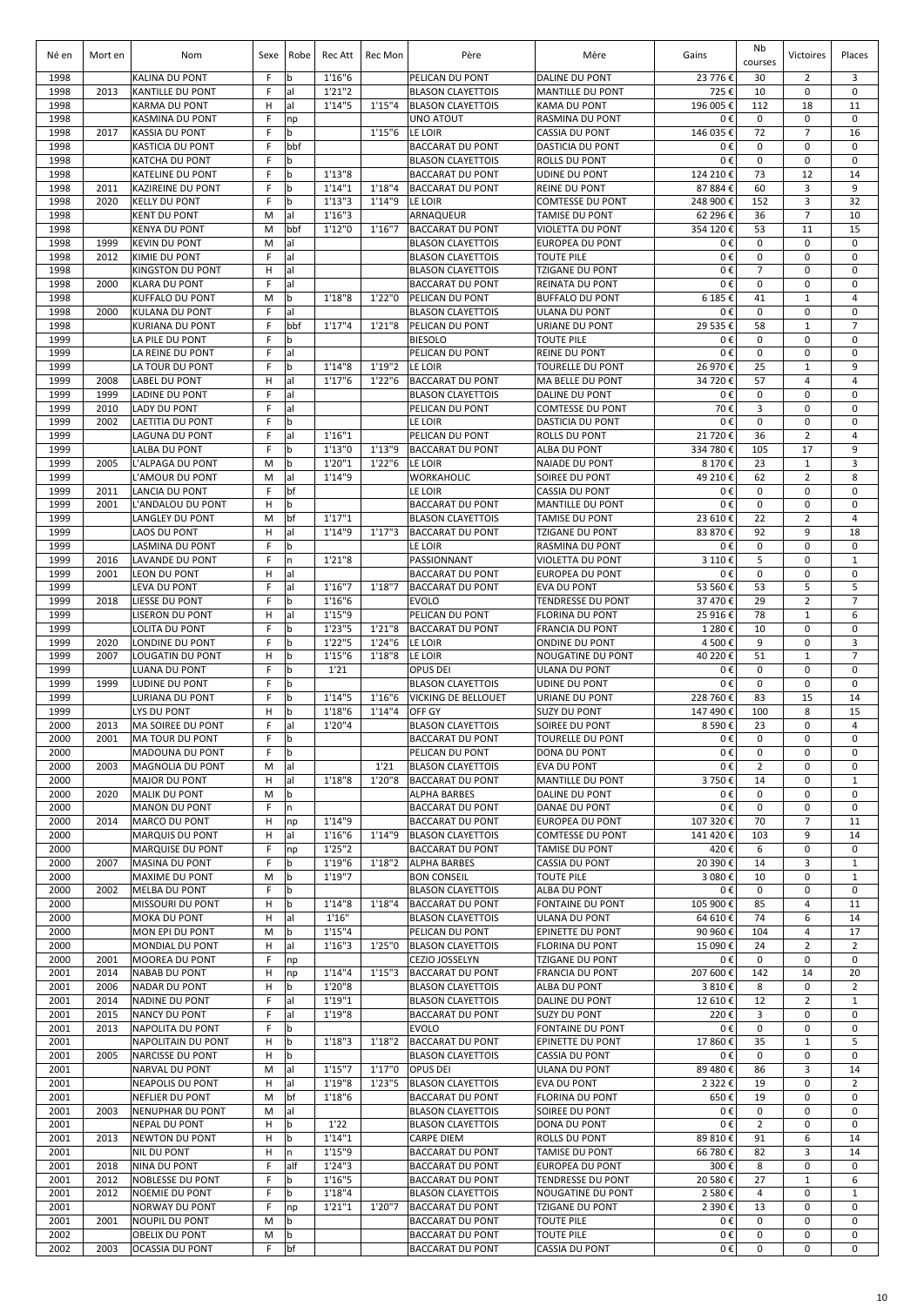| Né en        | Mort en      | Nom                                            | Sexe    | Robe               | Rec Att            | Rec Mon            | Père                                                   | Mère                                               | Gains                 | Nb<br>courses       | Victoires                     | Places                        |
|--------------|--------------|------------------------------------------------|---------|--------------------|--------------------|--------------------|--------------------------------------------------------|----------------------------------------------------|-----------------------|---------------------|-------------------------------|-------------------------------|
| 1998         |              | KALINA DU PONT                                 | F       | b                  | 1'16''6            |                    | PELICAN DU PONT                                        | <b>DALINE DU PONT</b>                              | 23 776€               | 30                  | 2                             | 3                             |
| 1998         | 2013         | KANTILLE DU PONT                               | F       | al                 | 1'21''2            |                    | <b>BLASON CLAYETTOIS</b>                               | <b>MANTILLE DU PONT</b>                            | 725€                  | 10                  | $\mathbf 0$                   | $\mathbf 0$                   |
| 1998<br>1998 |              | <b>KARMA DU PONT</b><br><b>KASMINA DU PONT</b> | H<br>F  | al<br>np           | 1'14"5             | 1'15''4            | <b>BLASON CLAYETTOIS</b><br><b>UNO ATOUT</b>           | <b>KAMA DU PONT</b><br><b>RASMINA DU PONT</b>      | 196 005€<br>0€        | 112<br>$\mathbf 0$  | 18<br>$\mathbf 0$             | 11<br>$\mathbf 0$             |
| 1998         | 2017         | <b>KASSIA DU PONT</b>                          | F       | $\mathbf b$        |                    | 1'15''6            | LE LOIR                                                | <b>CASSIA DU PONT</b>                              | 146 035€              | 72                  | $\overline{7}$                | 16                            |
| 1998         |              | <b>KASTICIA DU PONT</b>                        | F       | bbf                |                    |                    | <b>BACCARAT DU PONT</b>                                | <b>DASTICIA DU PONT</b>                            | 0€                    | 0                   | 0                             | $\mathbf 0$                   |
| 1998<br>1998 |              | KATCHA DU PONT<br><b>KATELINE DU PONT</b>      | F<br>F  | b<br>b             | 1'13''8            |                    | <b>BLASON CLAYETTOIS</b><br><b>BACCARAT DU PONT</b>    | <b>ROLLS DU PONT</b><br><b>UDINE DU PONT</b>       | 0€<br>124 210€        | 0<br>73             | 0<br>12                       | $\mathbf 0$<br>14             |
| 1998         | 2011         | <b>KAZIREINE DU PONT</b>                       | F       | b                  | 1'14''1            | 1'18''4            | <b>BACCARAT DU PONT</b>                                | <b>REINE DU PONT</b>                               | 87 884 €              | 60                  | 3                             | 9                             |
| 1998         | 2020         | <b>KELLY DU PONT</b>                           | F       | b                  | 1'13''3            | 1'14"9             | LE LOIR                                                | <b>COMTESSE DU PONT</b>                            | 248 900€              | 152                 | 3                             | 32                            |
| 1998<br>1998 |              | <b>KENT DU PONT</b><br><b>KENYA DU PONT</b>    | M<br>M  | al<br>bbf          | 1'16''3<br>1'12"0  | 1'16''7            | ARNAQUEUR<br><b>BACCARAT DU PONT</b>                   | <b>TAMISE DU PONT</b><br><b>VIOLETTA DU PONT</b>   | 62 296€<br>354 120€   | 36<br>53            | $\overline{7}$<br>11          | 10<br>15                      |
| 1998         | 1999         | <b>KEVIN DU PONT</b>                           | M       | al                 |                    |                    | <b>BLASON CLAYETTOIS</b>                               | <b>EUROPEA DU PONT</b>                             | 0€                    | 0                   | $\mathbf 0$                   | $\mathbf 0$                   |
| 1998         | 2012         | KIMIE DU PONT                                  | F       | lal                |                    |                    | <b>BLASON CLAYETTOIS</b>                               | <b>TOUTE PILE</b>                                  | 0€                    | $\mathbf 0$         | $\mathbf 0$                   | $\mathbf 0$                   |
| 1998         |              | KINGSTON DU PONT                               | н       | lal                |                    |                    | <b>BLASON CLAYETTOIS</b>                               | <b>TZIGANE DU PONT</b>                             | 0€                    | $\overline{7}$      | $\mathbf 0$                   | $\mathbf 0$                   |
| 1998<br>1998 | 2000         | <b>KLARA DU PONT</b><br><b>KUFFALO DU PONT</b> | F<br>M  | lal<br>l b         | 1'18''8            | 1'22"0             | <b>BACCARAT DU PONT</b><br>PELICAN DU PONT             | <b>REINATA DU PONT</b><br><b>BUFFALO DU PONT</b>   | 0€<br>6 185€          | $\pmb{0}$<br>41     | $\mathbf 0$<br>$\mathbf{1}$   | 0<br>$\overline{4}$           |
| 1998         | 2000         | <b>KULANA DU PONT</b>                          | F       | al                 |                    |                    | <b>BLASON CLAYETTOIS</b>                               | <b>ULANA DU PONT</b>                               | 0€                    | 0                   | $\mathbf 0$                   | $\mathbf 0$                   |
| 1998         |              | KURIANA DU PONT                                | F       | bbf                | 1'17''4            | 1'21''8            | PELICAN DU PONT                                        | URIANE DU PONT                                     | 29 535€               | 58                  | $\mathbf{1}$                  | $\overline{7}$                |
| 1999<br>1999 |              | LA PILE DU PONT<br>LA REINE DU PONT            | F<br>F  | b<br>lal           |                    |                    | <b>BIESOLO</b><br>PELICAN DU PONT                      | <b>TOUTE PILE</b><br><b>REINE DU PONT</b>          | 0€<br>0€              | 0<br>0              | 0<br>0                        | $\mathbf 0$<br>0              |
| 1999         |              | LA TOUR DU PONT                                | F       | $\mathbf b$        | 1'14''8            | 1'19''2            | LE LOIR                                                | <b>TOURELLE DU PONT</b>                            | 26 970€               | 25                  | $\mathbf{1}$                  | 9                             |
| 1999         | 2008         | <b>LABEL DU PONT</b>                           | н       | al                 | 1'17''6            | 1'22''6            | <b>BACCARAT DU PONT</b>                                | <b>MA BELLE DU PONT</b>                            | 34 720€               | 57                  | 4                             | $\overline{4}$                |
| 1999         | 1999         | <b>LADINE DU PONT</b>                          | F       | lal                |                    |                    | <b>BLASON CLAYETTOIS</b>                               | <b>DALINE DU PONT</b>                              | 0€                    | 0                   | $\mathbf 0$                   | 0                             |
| 1999<br>1999 | 2010<br>2002 | LADY DU PONT<br>LAETITIA DU PONT               | F<br>F  | lal<br>$\mathbf b$ |                    |                    | PELICAN DU PONT<br>LE LOIR                             | <b>COMTESSE DU PONT</b><br><b>DASTICIA DU PONT</b> | 70€<br>0€             | 3<br>0              | $\mathbf 0$<br>$\mathbf 0$    | $\mathbf 0$<br>$\mathbf 0$    |
| 1999         |              | LAGUNA DU PONT                                 | F       | lal                | 1'16''1            |                    | PELICAN DU PONT                                        | <b>ROLLS DU PONT</b>                               | 21 720€               | 36                  | $\overline{2}$                | $\overline{4}$                |
| 1999         |              | LALBA DU PONT                                  | F       | $\mathbf b$        | 1'13''0            | 1'13"9             | <b>BACCARAT DU PONT</b>                                | <b>ALBA DU PONT</b>                                | 334 780 €             | 105                 | 17                            | 9                             |
| 1999         | 2005         | <b>L'ALPAGA DU PONT</b>                        | M       | b                  | 1'20"1             | 1'22''6            | LE LOIR                                                | <b>NAIADE DU PONT</b>                              | 8 170€                | 23                  | $\mathbf{1}$                  | 3                             |
| 1999<br>1999 | 2011         | L'AMOUR DU PONT<br><b>LANCIA DU PONT</b>       | M<br>F  | lal<br>bf          | 1'14"9             |                    | WORKAHOLIC<br>LE LOIR                                  | SOIREE DU PONT<br><b>CASSIA DU PONT</b>            | 49 210€<br>0€         | 62<br>$\mathbf 0$   | $\overline{2}$<br>$\mathbf 0$ | 8<br>$\mathbf 0$              |
| 1999         | 2001         | L'ANDALOU DU PONT                              | н       | b                  |                    |                    | <b>BACCARAT DU PONT</b>                                | <b>MANTILLE DU PONT</b>                            | 0€                    | 0                   | 0                             | $\mathbf 0$                   |
| 1999         |              | <b>LANGLEY DU PONT</b>                         | M       | bf                 | 1'17''1            |                    | <b>BLASON CLAYETTOIS</b>                               | <b>TAMISE DU PONT</b>                              | 23 610€               | 22                  | $\overline{2}$                | $\overline{4}$                |
| 1999         |              | <b>LAOS DU PONT</b>                            | н       | al                 | 1'14"9             | 1'17''3            | <b>BACCARAT DU PONT</b>                                | <b>TZIGANE DU PONT</b>                             | 83 870€               | 92                  | 9                             | 18                            |
| 1999<br>1999 | 2016         | LASMINA DU PONT<br><b>LAVANDE DU PONT</b>      | F<br>F  | b<br>In            | 1'21"8             |                    | LE LOIR<br>PASSIONNANT                                 | <b>RASMINA DU PONT</b><br><b>VIOLETTA DU PONT</b>  | 0€<br>3 110€          | 0<br>5              | $\mathbf 0$<br>$\mathbf 0$    | 0<br>$\mathbf{1}$             |
| 1999         | 2001         | LEON DU PONT                                   | н       | al                 |                    |                    | <b>BACCARAT DU PONT</b>                                | <b>EUROPEA DU PONT</b>                             | 0€                    | $\pmb{0}$           | 0                             | $\mathbf 0$                   |
| 1999         |              | LEVA DU PONT                                   | F       | lal                | 1'16''7            | 1'18''7            | <b>BACCARAT DU PONT</b>                                | <b>EVA DU PONT</b>                                 | 53 560€               | 53                  | 5                             | 5                             |
| 1999         | 2018         | LIESSE DU PONT                                 | F       | $\mathbf b$        | 1'16"6             |                    | <b>EVOLO</b>                                           | <b>TENDRESSE DU PONT</b>                           | 37 470€               | 29                  | $\overline{2}$                | $\overline{7}$                |
| 1999<br>1999 |              | <b>LISERON DU PONT</b><br>LOLITA DU PONT       | н<br>F  | lal<br>l b         | 1'15"9<br>1'23''5  | 1'21''8            | PELICAN DU PONT<br><b>BACCARAT DU PONT</b>             | <b>FLORINA DU PONT</b><br><b>FRANCIA DU PONT</b>   | 25 916€<br>1 280€     | 78<br>10            | $\mathbf{1}$<br>$\mathbf 0$   | 6<br>$\mathbf 0$              |
| 1999         | 2020         | <b>LONDINE DU PONT</b>                         | F       | l b                | 1'22"5             | 1'24''6            | LE LOIR                                                | <b>ONDINE DU PONT</b>                              | 4500€                 | 9                   | $\mathbf 0$                   | 3                             |
| 1999         | 2007         | <b>LOUGATIN DU PONT</b>                        | н       | b                  | 1'15''6            | 1'18''8            | LE LOIR                                                | NOUGATINE DU PONT                                  | 40 220€               | 51                  | $\mathbf{1}$                  | $\overline{7}$                |
| 1999         |              | LUANA DU PONT                                  | F       | l b                | 1'21               |                    | OPUS DEI                                               | <b>ULANA DU PONT</b>                               | 0€                    | 0                   | $\mathbf 0$                   | $\mathbf 0$                   |
| 1999<br>1999 | 1999         | LUDINE DU PONT<br>LURIANA DU PONT              | F<br>F  | b<br>l b           | 1'14''5            | 1'16''6            | <b>BLASON CLAYETTOIS</b><br><b>VICKING DE BELLOUET</b> | <b>UDINE DU PONT</b><br>URIANE DU PONT             | 0€<br>228 760€        | 0<br>83             | 0<br>15                       | $\mathbf 0$<br>14             |
| 1999         |              | LYS DU PONT                                    | н       | b                  | 1'18''6            | 1'14''4            | <b>OFF GY</b>                                          | <b>SUZY DU PONT</b>                                | 147 490€              | 100                 | 8                             | 15                            |
| 2000         | 2013         | <b>MA SOIREE DU PONT</b>                       | F       | lal                | 1'20"4             |                    | <b>BLASON CLAYETTOIS</b>                               | <b>SOIREE DU PONT</b>                              | 8 590€                | 23                  | 0                             | 4                             |
| 2000         | 2001         | <b>MA TOUR DU PONT</b>                         | F       | b                  |                    |                    | <b>BACCARAT DU PONT</b>                                | <b>TOURELLE DU PONT</b>                            | 0€                    | 0                   | 0                             | 0                             |
| 2000<br>2000 | 2003         | MADOUNA DU PONT<br><b>MAGNOLIA DU PONT</b>     | F<br>M  | b<br>al            |                    | 1'21               | PELICAN DU PONT<br><b>BLASON CLAYETTOIS</b>            | <b>DONA DU PONT</b><br><b>EVA DU PONT</b>          | 0€<br>0€              | 0<br>$\overline{2}$ | $\mathbf 0$<br>0              | 0<br>0                        |
| 2000         |              | <b>MAJOR DU PONT</b>                           | н       | al                 | 1'18''8            | 1'20"8             | <b>BACCARAT DU PONT</b>                                | MANTILLE DU PONT                                   | 3750€                 | 14                  | 0                             | $\mathbf{1}$                  |
| 2000         | 2020         | <b>MALIK DU PONT</b>                           | M       | l b                |                    |                    | <b>ALPHA BARBES</b>                                    | <b>DALINE DU PONT</b>                              | 0€                    | 0                   | 0                             | 0                             |
| 2000<br>2000 | 2014         | <b>MANON DU PONT</b><br><b>MARCO DU PONT</b>   | F<br>н  | In<br>np           | 1'14"9             |                    | <b>BACCARAT DU PONT</b><br><b>BACCARAT DU PONT</b>     | <b>DANAE DU PONT</b><br><b>EUROPEA DU PONT</b>     | 0€<br>107 320€        | $\pmb{0}$<br>70     | 0<br>$\overline{7}$           | $\mathbf 0$<br>11             |
| 2000         |              | <b>MARQUIS DU PONT</b>                         | н       | al                 | 1'16''6            | 1'14"9             | <b>BLASON CLAYETTOIS</b>                               | <b>COMTESSE DU PONT</b>                            | 141 420€              | 103                 | 9                             | 14                            |
| 2000         |              | <b>MARQUISE DU PONT</b>                        | F       | np                 | 1'25''2            |                    | <b>BACCARAT DU PONT</b>                                | <b>TAMISE DU PONT</b>                              | 420€                  | 6                   | 0                             | $\mathbf 0$                   |
| 2000         | 2007         | <b>MASINA DU PONT</b>                          | F       | b                  | 1'19"6             | 1'18''2            | <b>ALPHA BARBES</b>                                    | <b>CASSIA DU PONT</b>                              | 20 390€               | 14                  | 3                             | $\mathbf{1}$                  |
| 2000<br>2000 | 2002         | MAXIME DU PONT<br><b>MELBA DU PONT</b>         | M<br>F  | l b<br>b           | 1'19"7             |                    | <b>BON CONSEIL</b><br><b>BLASON CLAYETTOIS</b>         | <b>TOUTE PILE</b><br><b>ALBA DU PONT</b>           | 3 080€<br>0€          | 10<br>0             | 0<br>0                        | $\mathbf{1}$<br>0             |
| 2000         |              | MISSOURI DU PONT                               | н       | b                  | 1'14''8            | 1'18''4            | <b>BACCARAT DU PONT</b>                                | <b>FONTAINE DU PONT</b>                            | 105 900€              | 85                  | 4                             | 11                            |
| 2000         |              | <b>MOKA DU PONT</b>                            | н       | al                 | 1'16"              |                    | <b>BLASON CLAYETTOIS</b>                               | <b>ULANA DU PONT</b>                               | 64 610€               | 74                  | 6                             | 14                            |
| 2000         |              | MON EPI DU PONT                                | M       | l b                | 1'15''4            |                    | PELICAN DU PONT                                        | <b>EPINETTE DU PONT</b>                            | 90 960 €              | 104                 | 4                             | 17                            |
| 2000<br>2000 | 2001         | MONDIAL DU PONT<br><b>MOOREA DU PONT</b>       | н<br>F. | al<br>np           | 1'16''3            | 1'25"0             | <b>BLASON CLAYETTOIS</b><br>CEZIO JOSSELYN             | <b>FLORINA DU PONT</b><br><b>TZIGANE DU PONT</b>   | 15 090€<br>0€         | 24<br>0             | $\overline{2}$<br>$\mathbf 0$ | $\overline{2}$<br>$\mathbf 0$ |
| 2001         | 2014         | <b>NABAB DU PONT</b>                           | н       | np                 | 1'14''4            | 1'15''3            | <b>BACCARAT DU PONT</b>                                | <b>FRANCIA DU PONT</b>                             | 207 600€              | 142                 | 14                            | 20                            |
| 2001         | 2006         | <b>NADAR DU PONT</b>                           | н       | l b                | 1'20"8             |                    | <b>BLASON CLAYETTOIS</b>                               | ALBA DU PONT                                       | 3810€                 | 8                   | $\mathbf 0$                   | $\overline{2}$                |
| 2001<br>2001 | 2014<br>2015 | <b>NADINE DU PONT</b>                          | F.<br>F | al<br>lal          | 1'19''1<br>1'19"8  |                    | <b>BLASON CLAYETTOIS</b>                               | DALINE DU PONT                                     | 12 610€<br>220€       | 12<br>3             | $\overline{2}$<br>$\mathbf 0$ | $\mathbf{1}$<br>$\mathbf 0$   |
| 2001         | 2013         | <b>NANCY DU PONT</b><br>NAPOLITA DU PONT       | F.      | b                  |                    |                    | <b>BACCARAT DU PONT</b><br><b>EVOLO</b>                | <b>SUZY DU PONT</b><br><b>FONTAINE DU PONT</b>     | 0€                    | 0                   | 0                             | 0                             |
| 2001         |              | NAPOLITAIN DU PONT                             | н       | l b                | 1'18''3            | 1'18''2            | <b>BACCARAT DU PONT</b>                                | <b>EPINETTE DU PONT</b>                            | 17 860€               | 35                  | $\mathbf{1}$                  | 5                             |
| 2001         | 2005         | NARCISSE DU PONT                               | н       | l b                |                    |                    | <b>BLASON CLAYETTOIS</b>                               | <b>CASSIA DU PONT</b>                              | 0€                    | 0                   | 0                             | $\mathbf 0$                   |
| 2001<br>2001 |              | NARVAL DU PONT<br><b>NEAPOLIS DU PONT</b>      | M<br>н  | al<br>lal          | 1'15''7<br>1'19"8  | 1'17''0<br>1'23''5 | <b>OPUS DEI</b><br><b>BLASON CLAYETTOIS</b>            | <b>ULANA DU PONT</b><br><b>EVA DU PONT</b>         | 89 480 €<br>2 3 2 2 € | 86<br>19            | 3<br>0                        | 14<br>2                       |
| 2001         |              | <b>NEFLIER DU PONT</b>                         | M       | bf                 | 1'18''6            |                    | <b>BACCARAT DU PONT</b>                                | <b>FLORINA DU PONT</b>                             | 650€                  | 19                  | 0                             | 0                             |
| 2001         | 2003         | NENUPHAR DU PONT                               | M       | al                 |                    |                    | <b>BLASON CLAYETTOIS</b>                               | SOIREE DU PONT                                     | 0€                    | 0                   | 0                             | $\mathbf 0$                   |
| 2001         |              | NEPAL DU PONT                                  | н       | b                  | 1'22               |                    | <b>BLASON CLAYETTOIS</b>                               | DONA DU PONT                                       | 0€                    | $\overline{2}$      | 0                             | $\mathbf 0$                   |
| 2001<br>2001 | 2013         | NEWTON DU PONT<br>NIL DU PONT                  | н<br>н  | b<br>In            | 1'14''1<br>1'15''9 |                    | <b>CARPE DIEM</b><br><b>BACCARAT DU PONT</b>           | <b>ROLLS DU PONT</b><br><b>TAMISE DU PONT</b>      | 89 810€<br>66 780€    | 91<br>82            | 6<br>3                        | 14<br>14                      |
| 2001         | 2018         | NINA DU PONT                                   | F       | alf                | 1'24''3            |                    | <b>BACCARAT DU PONT</b>                                | <b>EUROPEA DU PONT</b>                             | 300€                  | 8                   | $\mathbf 0$                   | $\mathbf 0$                   |
| 2001         | 2012         | NOBLESSE DU PONT                               | F       | b                  | 1'16''5            |                    | <b>BACCARAT DU PONT</b>                                | <b>TENDRESSE DU PONT</b>                           | 20 580€               | 27                  | $1\,$                         | 6                             |
| 2001         | 2012         | <b>NOEMIE DU PONT</b>                          | F       | b                  | 1'18''4            |                    | <b>BLASON CLAYETTOIS</b>                               | <b>NOUGATINE DU PONT</b>                           | 2 580€                | 4                   | $\mathbf 0$                   | $\mathbf{1}$                  |
| 2001<br>2001 | 2001         | NORWAY DU PONT<br>NOUPIL DU PONT               | F<br>M  | np<br>b            | 1'21''1            | 1'20"7             | <b>BACCARAT DU PONT</b><br><b>BACCARAT DU PONT</b>     | TZIGANE DU PONT<br><b>TOUTE PILE</b>               | 2 390€<br>0€          | 13<br>0             | 0<br>0                        | $\mathbf 0$<br>$\mathbf 0$    |
| 2002         |              | OBELIX DU PONT                                 | M       | b                  |                    |                    | <b>BACCARAT DU PONT</b>                                | <b>TOUTE PILE</b>                                  | 0€                    | 0                   | 0                             | 0                             |
| 2002         | 2003         | OCASSIA DU PONT                                | F       | bf                 |                    |                    | <b>BACCARAT DU PONT</b>                                | <b>CASSIA DU PONT</b>                              | 0€                    | 0                   | 0                             | $\mathbf 0$                   |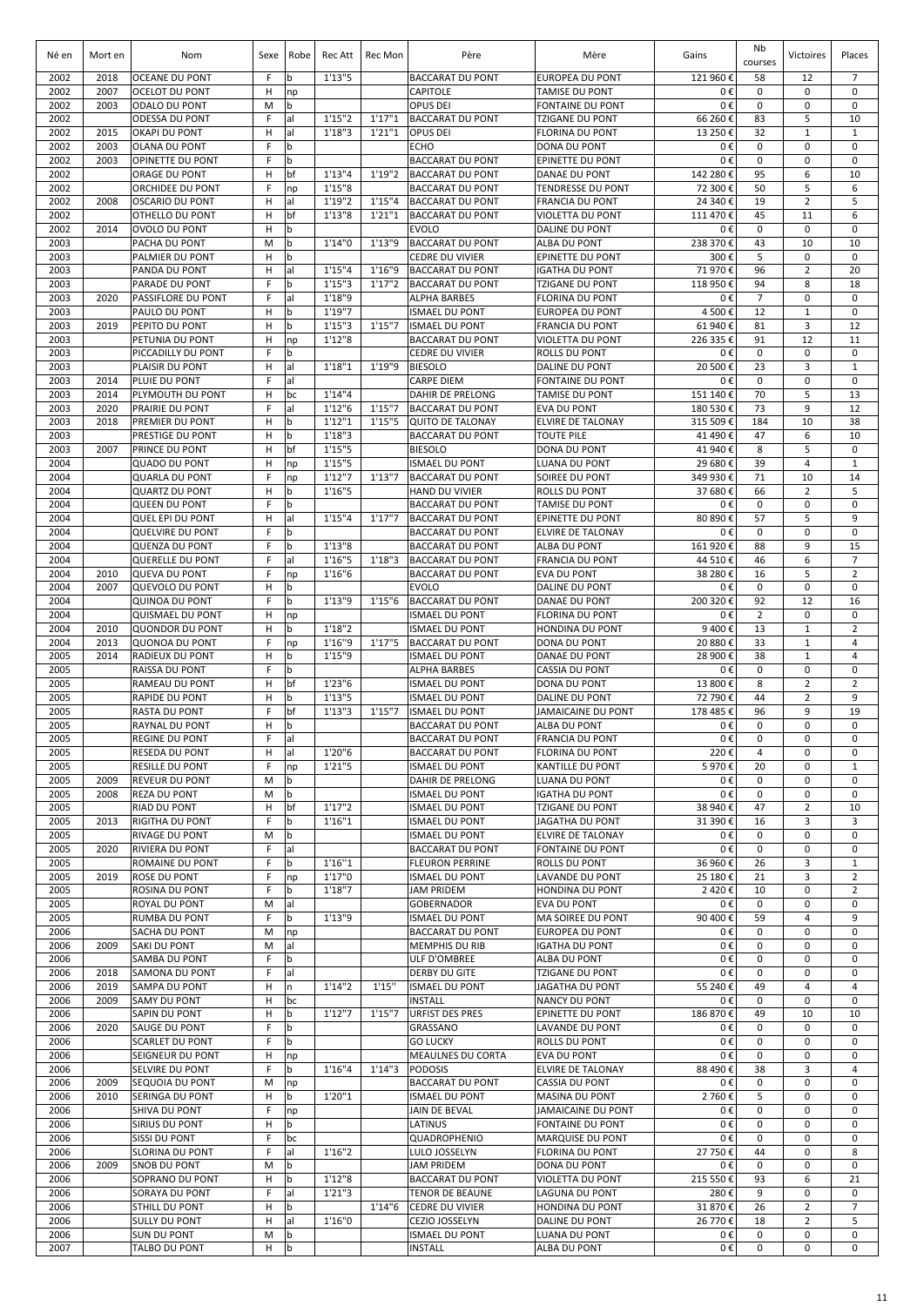| Né en        | Mort en      | Nom                                             | Sexe   | Robe                       | Rec Att            | Rec Mon | Père                                               | Mère                                              | Gains               | Nb<br>courses        | Victoires                    | Places                           |
|--------------|--------------|-------------------------------------------------|--------|----------------------------|--------------------|---------|----------------------------------------------------|---------------------------------------------------|---------------------|----------------------|------------------------------|----------------------------------|
| 2002         | 2018         | <b>OCEANE DU PONT</b>                           | F      | b                          | 1'13''5            |         | <b>BACCARAT DU PONT</b>                            | <b>EUROPEA DU PONT</b>                            | 121 960 €           | 58                   | 12                           | $\overline{7}$                   |
| 2002<br>2002 | 2007<br>2003 | <b>OCELOT DU PONT</b>                           | H      | np<br>b                    |                    |         | CAPITOLE                                           | <b>TAMISE DU PONT</b>                             | 0€<br>0€            | 0<br>0               | 0<br>0                       | 0<br>0                           |
| 2002         |              | ODALO DU PONT<br><b>ODESSA DU PONT</b>          | M<br>F | al                         | 1'15''2            | 1'17''1 | OPUS DEI<br><b>BACCARAT DU PONT</b>                | <b>FONTAINE DU PONT</b><br><b>TZIGANE DU PONT</b> | 66 260 €            | 83                   | 5                            | 10                               |
| 2002         | 2015         | <b>OKAPI DU PONT</b>                            | H      | al                         | 1'18''3            | 1'21''1 | <b>OPUS DEI</b>                                    | <b>FLORINA DU PONT</b>                            | 13 250 €            | 32                   | $\mathbf 1$                  | $\mathbf{1}$                     |
| 2002         | 2003         | OLANA DU PONT                                   | F      | b                          |                    |         | <b>ECHO</b>                                        | <b>DONA DU PONT</b>                               | 0€                  | 0                    | $\mathbf 0$                  | 0                                |
| 2002<br>2002 | 2003         | OPINETTE DU PONT<br>ORAGE DU PONT               | F<br>H | b<br>bf                    | 1'13''4            | 1'19"2  | <b>BACCARAT DU PONT</b><br><b>BACCARAT DU PONT</b> | EPINETTE DU PONT<br>DANAE DU PONT                 | 0€<br>142 280 €     | $\mathbf 0$<br>95    | $\mathbf 0$<br>6             | $\mathbf 0$<br>10                |
| 2002         |              | ORCHIDEE DU PONT                                | F      | np                         | 1'15''8            |         | <b>BACCARAT DU PONT</b>                            | <b>TENDRESSE DU PONT</b>                          | 72 300 €            | 50                   | 5                            | 6                                |
| 2002         | 2008         | <b>OSCARIO DU PONT</b>                          | н      | al                         | 1'19"2             | 1'15''4 | <b>BACCARAT DU PONT</b>                            | <b>FRANCIA DU PONT</b>                            | 24 340 €            | 19                   | $\overline{2}$               | 5                                |
| 2002         |              | OTHELLO DU PONT                                 | H      | bf                         | 1'13''8            | 1'21''1 | <b>BACCARAT DU PONT</b>                            | VIOLETTA DU PONT                                  | 111 470 €           | 45                   | 11                           | 6                                |
| 2002<br>2003 | 2014         | <b>OVOLO DU PONT</b><br>PACHA DU PONT           | H<br>M | b<br>b                     | 1'14''0            | 1'13"9  | <b>EVOLO</b><br><b>BACCARAT DU PONT</b>            | DALINE DU PONT<br>ALBA DU PONT                    | 0€<br>238 370 €     | 0<br>43              | $\mathbf 0$<br>10            | 0<br>10                          |
| 2003         |              | PALMIER DU PONT                                 | н      | b                          |                    |         | <b>CEDRE DU VIVIER</b>                             | EPINETTE DU PONT                                  | 300€                | 5                    | 0                            | $\mathbf 0$                      |
| 2003         |              | PANDA DU PONT                                   | н      | al                         | 1'15''4            | 1'16"9  | <b>BACCARAT DU PONT</b>                            | IGATHA DU PONT                                    | 71 970 €            | 96                   | 2                            | 20                               |
| 2003         |              | PARADE DU PONT                                  | F      | b                          | 1'15''3            | 1'17''2 | <b>BACCARAT DU PONT</b>                            | TZIGANE DU PONT                                   | 118 950€            | 94                   | 8<br>$\mathbf 0$             | 18<br>$\mathbf 0$                |
| 2003<br>2003 | 2020         | PASSIFLORE DU PONT<br>PAULO DU PONT             | F<br>H | al<br>b                    | 1'18"9<br>1'19''7  |         | ALPHA BARBES<br><b>ISMAEL DU PONT</b>              | <b>FLORINA DU PONT</b><br><b>EUROPEA DU PONT</b>  | 0€<br>4 500€        | $\overline{7}$<br>12 | $\mathbf{1}$                 | $\mathbf 0$                      |
| 2003         | 2019         | PEPITO DU PONT                                  | н      | $\mathbf b$                | 1'15''3            | 1'15''7 | <b>ISMAEL DU PONT</b>                              | <b>FRANCIA DU PONT</b>                            | 61 940 €            | 81                   | 3                            | 12                               |
| 2003         |              | PETUNIA DU PONT                                 | н      | np                         | 1'12''8            |         | <b>BACCARAT DU PONT</b>                            | VIOLETTA DU PONT                                  | 226 335 €           | 91                   | 12                           | 11                               |
| 2003<br>2003 |              | PICCADILLY DU PONT<br>PLAISIR DU PONT           | F<br>н | $\mathbf b$<br>al          | 1'18''1            | 1'19"9  | <b>CEDRE DU VIVIER</b><br><b>BIESOLO</b>           | ROLLS DU PONT<br>DALINE DU PONT                   | 0€<br>20 500€       | 0<br>23              | $\mathbf 0$<br>3             | $\mathbf 0$<br>$\mathbf{1}$      |
| 2003         | 2014         | PLUIE DU PONT                                   | F      | al                         |                    |         | <b>CARPE DIEM</b>                                  | <b>FONTAINE DU PONT</b>                           | 0€                  | 0                    | 0                            | 0                                |
| 2003         | 2014         | PLYMOUTH DU PONT                                | н      | bc                         | 1'14''4            |         | <b>DAHIR DE PRELONG</b>                            | <b>TAMISE DU PONT</b>                             | 151 140 €           | 70                   | 5                            | 13                               |
| 2003         | 2020         | PRAIRIE DU PONT                                 | F      | al                         | 1'12''6            | 1'15"7  | <b>BACCARAT DU PONT</b>                            | <b>EVA DU PONT</b>                                | 180 530 €           | 73                   | 9                            | 12                               |
| 2003         | 2018         | PREMIER DU PONT                                 | н      | b                          | 1'12''1            | 1'15''5 | <b>QUITO DE TALONAY</b>                            | <b>ELVIRE DE TALONAY</b>                          | 315 509€            | 184                  | 10                           | 38                               |
| 2003<br>2003 | 2007         | PRESTIGE DU PONT<br>PRINCE DU PONT              | н<br>H | b<br>bf                    | 1'18''3<br>1'15''5 |         | <b>BACCARAT DU PONT</b><br><b>BIESOLO</b>          | <b>TOUTE PILE</b><br><b>DONA DU PONT</b>          | 41 490€<br>41 940 € | 47<br>8              | 6<br>5                       | 10<br>0                          |
| 2004         |              | <b>QUADO DU PONT</b>                            | H      | np                         | 1'15''5            |         | <b>ISMAEL DU PONT</b>                              | LUANA DU PONT                                     | 29 680 €            | 39                   | $\overline{4}$               | $\mathbf{1}$                     |
| 2004         |              | <b>QUARLA DU PONT</b>                           | F      | np                         | 1'12''7            | 1'13''7 | <b>BACCARAT DU PONT</b>                            | SOIREE DU PONT                                    | 349 930 €           | 71                   | 10                           | 14                               |
| 2004         |              | <b>QUARTZ DU PONT</b>                           | H      | b                          | 1'16''5            |         | <b>HAND DU VIVIER</b>                              | ROLLS DU PONT                                     | 37 680 €            | 66                   | $\overline{2}$               | 5                                |
| 2004<br>2004 |              | <b>QUEEN DU PONT</b><br><b>QUEL EPI DU PONT</b> | F<br>H | b<br>al                    | 1'15''4            | 1'17''7 | <b>BACCARAT DU PONT</b><br><b>BACCARAT DU PONT</b> | TAMISE DU PONT<br><b>EPINETTE DU PONT</b>         | 0€<br>80 890 €      | $\mathbf 0$<br>57    | $\mathbf 0$<br>5             | $\mathbf 0$<br>9                 |
| 2004         |              | <b>QUELVIRE DU PONT</b>                         | F      | b                          |                    |         | <b>BACCARAT DU PONT</b>                            | <b>ELVIRE DE TALONAY</b>                          | 0€                  | $\mathbf 0$          | 0                            | $\mathbf 0$                      |
| 2004         |              | <b>QUENZA DU PONT</b>                           | F      | b                          | 1'13''8            |         | <b>BACCARAT DU PONT</b>                            | <b>ALBA DU PONT</b>                               | 161 920€            | 88                   | 9                            | 15                               |
| 2004         |              | <b>QUERELLE DU PONT</b>                         | F      | al                         | 1'16''5            | 1'18''3 | <b>BACCARAT DU PONT</b>                            | <b>FRANCIA DU PONT</b>                            | 44 510€             | 46                   | 6                            | $\overline{7}$                   |
| 2004<br>2004 | 2010<br>2007 | <b>QUEVA DU PONT</b><br><b>QUEVOLO DU PONT</b>  | F<br>н | np<br>b                    | 1'16''6            |         | <b>BACCARAT DU PONT</b><br><b>EVOLO</b>            | <b>EVA DU PONT</b><br>DALINE DU PONT              | 38 280 €<br>0€      | 16<br>0              | 5<br>$\mathbf 0$             | $\overline{2}$<br>$\mathbf 0$    |
| 2004         |              | <b>QUINOA DU PONT</b>                           | F      | b                          | 1'13''9            | 1'15''6 | <b>BACCARAT DU PONT</b>                            | DANAE DU PONT                                     | 200 320€            | 92                   | 12                           | 16                               |
| 2004         |              | <b>QUISMAEL DU PONT</b>                         | н      | np                         |                    |         | <b>ISMAEL DU PONT</b>                              | <b>FLORINA DU PONT</b>                            | 0€                  | $\overline{2}$       | $\mathbf 0$                  | $\mathbf 0$                      |
| 2004         | 2010         | <b>QUONDOR DU PONT</b>                          | н<br>F | b                          | 1'18''2            | 1'17''5 | <b>ISMAEL DU PONT</b>                              | HONDINA DU PONT                                   | 9 400€              | 13                   | $\mathbf{1}$                 | $\overline{2}$                   |
| 2004<br>2005 | 2013<br>2014 | QUONOA DU PONT<br><b>RADIEUX DU PONT</b>        | н      | np<br>b                    | 1'16"9<br>1'15''9  |         | <b>BACCARAT DU PONT</b><br><b>ISMAEL DU PONT</b>   | DONA DU PONT<br>DANAE DU PONT                     | 20 880 €<br>28 900€ | 33<br>38             | $\mathbf{1}$<br>$\mathbf{1}$ | $\overline{4}$<br>$\overline{4}$ |
| 2005         |              | <b>RAISSA DU PONT</b>                           | F      | b                          |                    |         | <b>ALPHA BARBES</b>                                | <b>CASSIA DU PONT</b>                             | 0€                  | 0                    | $\mathbf 0$                  | $\mathbf 0$                      |
| 2005         |              | <b>RAMEAU DU PONT</b>                           | н      | bf                         | 1'23''6            |         | <b>ISMAEL DU PONT</b>                              | DONA DU PONT                                      | 13 800€             | 8                    | $\overline{2}$               | $\overline{2}$                   |
| 2005<br>2005 |              | <b>RAPIDE DU PONT</b>                           | н<br>F | b<br>bf                    | 1'13''5<br>1'13''3 | 1'15''7 | <b>ISMAEL DU PONT</b><br><b>ISMAEL DU PONT</b>     | DALINE DU PONT                                    | 72 790€             | 44                   | $\overline{2}$<br>9          | 9<br>19                          |
| 2005         |              | <b>RASTA DU PONT</b><br>RAYNAL DU PONT          | н      | b                          |                    |         | <b>BACCARAT DU PONT</b>                            | JAMAICAINE DU PONT<br>ALBA DU PONT                | 178 485€<br>0€      | 96<br>0              | 0                            | $\mathbf 0$                      |
| 2005         |              | <b>REGINE DU PONT</b>                           | F      | al                         |                    |         | <b>BACCARAT DU PONT</b>                            | FRANCIA DU PONT                                   | 0€                  | 0                    | 0                            | 0                                |
| 2005         |              | RESEDA DU PONT                                  | н      | al                         | 1'20"6             |         | <b>BACCARAT DU PONT</b>                            | <b>FLORINA DU PONT</b>                            | 220€                | 4                    | $\mathbf 0$                  | 0                                |
| 2005<br>2005 | 2009         | <b>RESILLE DU PONT</b><br><b>REVEUR DU PONT</b> | F<br>M | np<br>b                    | 1'21''5            |         | <b>ISMAEL DU PONT</b><br>DAHIR DE PRELONG          | KANTILLE DU PONT<br>LUANA DU PONT                 | 5970€<br>0€         | 20<br>0              | 0<br>0                       | $\mathbf{1}$<br>$\mathbf 0$      |
| 2005         | 2008         | <b>REZA DU PONT</b>                             | M      | b                          |                    |         | <b>ISMAEL DU PONT</b>                              | <b>IGATHA DU PONT</b>                             | 0€                  | 0                    | $\mathbf 0$                  | $\mathbf 0$                      |
| 2005         |              | RIAD DU PONT                                    | н      | bf                         | 1'17''2            |         | <b>ISMAEL DU PONT</b>                              | <b>TZIGANE DU PONT</b>                            | 38 940 €            | 47                   | $\overline{2}$               | 10                               |
| 2005         | 2013         | <b>RIGITHA DU PONT</b>                          | F      | b                          | 1'16''1            |         | <b>ISMAEL DU PONT</b>                              | JAGATHA DU PONT                                   | 31 390 €            | 16                   | 3                            | 3                                |
| 2005<br>2005 | 2020         | <b>RIVAGE DU PONT</b><br>RIVIERA DU PONT        | M<br>F | b<br>al                    |                    |         | <b>ISMAEL DU PONT</b><br><b>BACCARAT DU PONT</b>   | <b>ELVIRE DE TALONAY</b><br>FONTAINE DU PONT      | 0€<br>0€            | 0<br>0               | 0<br>0                       | 0<br>0                           |
| 2005         |              | ROMAINE DU PONT                                 | F      | $\mathsf b$                | 1'16''1            |         | <b>FLEURON PERRINE</b>                             | ROLLS DU PONT                                     | 36 960€             | 26                   | 3                            | $\mathbf{1}$                     |
| 2005         | 2019         | <b>ROSE DU PONT</b>                             | F      | np                         | 1'17''0            |         | <b>ISMAEL DU PONT</b>                              | <b>LAVANDE DU PONT</b>                            | 25 180€             | 21                   | 3                            | $\overline{2}$                   |
| 2005         |              | ROSINA DU PONT                                  | F      | b                          | 1'18''7            |         | <b>JAM PRIDEM</b>                                  | HONDINA DU PONT                                   | 2420€               | 10                   | 0                            | $\overline{2}$                   |
| 2005<br>2005 |              | ROYAL DU PONT<br>RUMBA DU PONT                  | M<br>F | al<br>b                    | 1'13"9             |         | GOBERNADOR<br><b>ISMAEL DU PONT</b>                | EVA DU PONT<br>MA SOIREE DU PONT                  | 0€<br>90 400€       | 0<br>59              | 0<br>4                       | 0<br>9                           |
| 2006         |              | SACHA DU PONT                                   | M      | np                         |                    |         | <b>BACCARAT DU PONT</b>                            | <b>EUROPEA DU PONT</b>                            | 0€                  | 0                    | $\mathbf 0$                  | $\mathbf 0$                      |
| 2006         | 2009         | SAKI DU PONT                                    | M      | al                         |                    |         | <b>MEMPHIS DU RIB</b>                              | <b>IGATHA DU PONT</b>                             | 0€                  | 0                    | 0                            | $\mathbf 0$                      |
| 2006         |              | SAMBA DU PONT                                   | F      | b                          |                    |         | ULF D'OMBREE                                       | ALBA DU PONT                                      | 0€                  | 0                    | 0                            | $\mathbf 0$                      |
| 2006<br>2006 | 2018<br>2019 | SAMONA DU PONT<br>SAMPA DU PONT                 | F<br>н | al<br>n                    | 1'14''2            | 1'15''  | DERBY DU GITE<br><b>ISMAEL DU PONT</b>             | TZIGANE DU PONT<br>JAGATHA DU PONT                | 0€<br>55 240€       | 0<br>49              | 0<br>$\overline{4}$          | $\mathbf 0$<br>$\overline{4}$    |
| 2006         | 2009         | <b>SAMY DU PONT</b>                             | н      | bc                         |                    |         | <b>INSTALL</b>                                     | <b>NANCY DU PONT</b>                              | 0€                  | 0                    | $\mathbf 0$                  | $\mathbf 0$                      |
| 2006         |              | SAPIN DU PONT                                   | н      | b                          | 1'12''7            | 1'15''7 | <b>URFIST DES PRES</b>                             | EPINETTE DU PONT                                  | 186 870€            | 49                   | 10                           | 10                               |
| 2006<br>2006 | 2020         | SAUGE DU PONT                                   | F<br>F | $\mathsf b$<br>$\mathbf b$ |                    |         | GRASSANO                                           | LAVANDE DU PONT                                   | 0€                  | 0                    | $\mathbf 0$<br>0             | $\mathbf 0$                      |
| 2006         |              | <b>SCARLET DU PONT</b><br>SEIGNEUR DU PONT      | H      | np                         |                    |         | <b>GO LUCKY</b><br>MEAULNES DU CORTA               | ROLLS DU PONT<br>EVA DU PONT                      | 0€<br>0€            | 0<br>0               | 0                            | 0<br>$\mathbf 0$                 |
| 2006         |              | SELVIRE DU PONT                                 | F      | b                          | 1'16''4            | 1'14''3 | <b>PODOSIS</b>                                     | ELVIRE DE TALONAY                                 | 88 490€             | 38                   | 3                            | 4                                |
| 2006         | 2009         | SEQUOIA DU PONT                                 | M      | np                         |                    |         | <b>BACCARAT DU PONT</b>                            | CASSIA DU PONT                                    | 0€                  | 0                    | 0                            | $\mathbf 0$                      |
| 2006<br>2006 | 2010         | SERINGA DU PONT<br>SHIVA DU PONT                | н<br>F | b                          | 1'20''1            |         | <b>ISMAEL DU PONT</b><br>JAIN DE BEVAL             | MASINA DU PONT<br>JAMAICAINE DU PONT              | 2 760€<br>0€        | 5<br>0               | 0<br>$\mathbf 0$             | $\mathbf 0$<br>0                 |
| 2006         |              | SIRIUS DU PONT                                  | н      | np<br>b                    |                    |         | LATINUS                                            | FONTAINE DU PONT                                  | 0€                  | 0                    | 0                            | 0                                |
| 2006         |              | SISSI DU PONT                                   | F      | bc                         |                    |         | QUADROPHENIO                                       | <b>MARQUISE DU PONT</b>                           | 0€                  | 0                    | 0                            | 0                                |
| 2006         |              | SLORINA DU PONT                                 | F      | al                         | 1'16''2            |         | LULO JOSSELYN                                      | <b>FLORINA DU PONT</b>                            | 27 750€             | 44                   | $\mathbf 0$                  | 8                                |
| 2006<br>2006 | 2009         | SNOB DU PONT<br>SOPRANO DU PONT                 | M<br>H | b<br>b                     | 1'12''8            |         | <b>JAM PRIDEM</b><br><b>BACCARAT DU PONT</b>       | DONA DU PONT<br>VIOLETTA DU PONT                  | 0€<br>215 550€      | 0<br>93              | 0<br>6                       | 0<br>21                          |
| 2006         |              | SORAYA DU PONT                                  | F      | al                         | 1'21''3            |         | <b>TENOR DE BEAUNE</b>                             | LAGUNA DU PONT                                    | 280€                | 9                    | 0                            | 0                                |
| 2006         |              | STHILL DU PONT                                  | н      | b                          |                    | 1'14''6 | <b>CEDRE DU VIVIER</b>                             | HONDINA DU PONT                                   | 31 870€             | 26                   | $\overline{2}$               | $\overline{7}$                   |
| 2006         |              | <b>SULLY DU PONT</b>                            | н      | al                         | 1'16''0            |         | CEZIO JOSSELYN                                     | DALINE DU PONT                                    | 26 770€             | 18                   | $\overline{2}$               | 5                                |
| 2006<br>2007 |              | SUN DU PONT<br>TALBO DU PONT                    | M<br>H | b<br>b                     |                    |         | <b>ISMAEL DU PONT</b><br><b>INSTALL</b>            | LUANA DU PONT<br>ALBA DU PONT                     | 0€<br>0€            | 0<br>0               | 0<br>0                       | $\mathbf 0$<br>$\mathbf 0$       |
|              |              |                                                 |        |                            |                    |         |                                                    |                                                   |                     |                      |                              |                                  |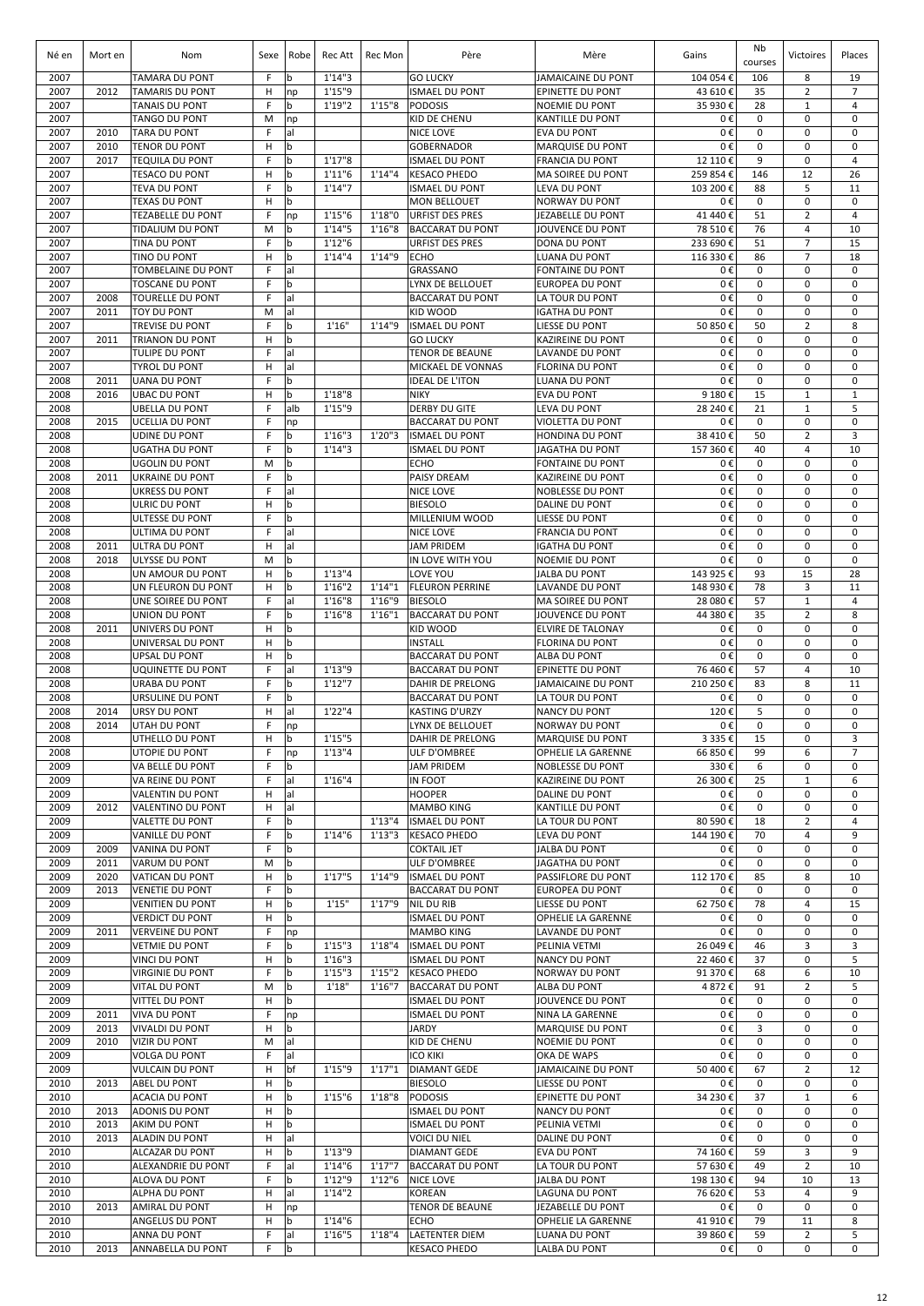| Né en        | Mort en      | Nom                                              | Sexe   | Robe               | Rec Att            | Rec Mon | Père                                             | Mère                                              | Gains                | Nb<br>courses    | Victoires                      | Places                     |
|--------------|--------------|--------------------------------------------------|--------|--------------------|--------------------|---------|--------------------------------------------------|---------------------------------------------------|----------------------|------------------|--------------------------------|----------------------------|
| 2007         |              | <b>TAMARA DU PONT</b>                            | F      | b                  | 1'14''3            |         | <b>GO LUCKY</b>                                  | <b>JAMAICAINE DU PONT</b>                         | 104 054€             | 106              | 8                              | 19                         |
| 2007         | 2012         | <b>TAMARIS DU PONT</b>                           | н<br>F | np<br>$\mathsf b$  | 1'15"9             | 1'15''8 | <b>ISMAEL DU PONT</b>                            | <b>EPINETTE DU PONT</b>                           | 43 610€              | 35               | $\overline{2}$<br>$\mathbf{1}$ | $\overline{7}$<br>4        |
| 2007<br>2007 |              | TANAIS DU PONT<br><b>TANGO DU PONT</b>           | M      | np                 | 1'19"2             |         | <b>PODOSIS</b><br>KID DE CHENU                   | <b>NOEMIE DU PONT</b><br><b>KANTILLE DU PONT</b>  | 35 930€<br>0€        | 28<br>0          | $\mathbf 0$                    | 0                          |
| 2007         | 2010         | <b>TARA DU PONT</b>                              | F      | al                 |                    |         | NICE LOVE                                        | <b>EVA DU PONT</b>                                | 0€                   | 0                | 0                              | 0                          |
| 2007         | 2010         | <b>TENOR DU PONT</b>                             | H      | b                  |                    |         | <b>GOBERNADOR</b>                                | <b>MARQUISE DU PONT</b>                           | 0€                   | 0                | $\mathbf 0$                    | $\mathbf 0$                |
| 2007         | 2017         | <b>TEQUILA DU PONT</b>                           | F      | $\mathbf b$        | 1'17''8            |         | <b>ISMAEL DU PONT</b>                            | <b>FRANCIA DU PONT</b>                            | 12 110€              | 9                | $\mathbf 0$                    | $\overline{4}$             |
| 2007<br>2007 |              | <b>TESACO DU PONT</b><br><b>TEVA DU PONT</b>     | Н<br>F | b<br>b             | 1'11''6<br>1'14''7 | 1'14''4 | <b>KESACO PHEDO</b><br><b>ISMAEL DU PONT</b>     | <b>MA SOIREE DU PONT</b><br><b>LEVA DU PONT</b>   | 259 854€<br>103 200€ | 146<br>88        | 12<br>5                        | 26<br>11                   |
| 2007         |              | <b>TEXAS DU PONT</b>                             | н      | b                  |                    |         | <b>MON BELLOUET</b>                              | <b>NORWAY DU PONT</b>                             | 0€                   | 0                | 0                              | $\mathbf 0$                |
| 2007         |              | <b>TEZABELLE DU PONT</b>                         | F      | np                 | 1'15''6            | 1'18"0  | <b>URFIST DES PRES</b>                           | <b>JEZABELLE DU PONT</b>                          | 41 440 €             | 51               | $\overline{2}$                 | $\overline{4}$             |
| 2007         |              | TIDALIUM DU PONT                                 | M      | b                  | 1'14''5            | 1'16''8 | <b>BACCARAT DU PONT</b>                          | JOUVENCE DU PONT                                  | 78 510€              | 76               | 4                              | 10                         |
| 2007         |              | <b>TINA DU PONT</b>                              | F      | b                  | 1'12''6            |         | <b>URFIST DES PRES</b>                           | DONA DU PONT                                      | 233 690€             | 51               | $\overline{7}$                 | 15                         |
| 2007         |              | TINO DU PONT                                     | H<br>E | b                  | 1'14''4            | 1'14"9  | <b>ECHO</b>                                      | <b>LUANA DU PONT</b>                              | 116 330€             | 86<br>0          | $\overline{7}$<br>$\mathbf 0$  | 18<br>$\mathbf 0$          |
| 2007<br>2007 |              | TOMBELAINE DU PONT<br><b>TOSCANE DU PONT</b>     | F      | lal<br>$\mathbf b$ |                    |         | GRASSANO<br>LYNX DE BELLOUET                     | <b>FONTAINE DU PONT</b><br><b>EUROPEA DU PONT</b> | 0€<br>0€             | 0                | $\mathbf 0$                    | $\mathbf 0$                |
| 2007         | 2008         | <b>TOURELLE DU PONT</b>                          | F      | lal                |                    |         | <b>BACCARAT DU PONT</b>                          | LA TOUR DU PONT                                   | 0€                   | $\mathbf 0$      | $\mathbf 0$                    | $\mathbf 0$                |
| 2007         | 2011         | <b>TOY DU PONT</b>                               | M      | lal                |                    |         | KID WOOD                                         | <b>IGATHA DU PONT</b>                             | 0€                   | $\mathbf 0$      | $\mathbf 0$                    | $\mathbf 0$                |
| 2007         |              | TREVISE DU PONT                                  | F      | l b                | 1'16"              | 1'14"9  | <b>ISMAEL DU PONT</b>                            | LIESSE DU PONT                                    | 50 850 €             | 50               | $\overline{2}$                 | 8                          |
| 2007<br>2007 | 2011         | <b>TRIANON DU PONT</b>                           | н<br>F | $\mathbf b$<br>lal |                    |         | <b>GO LUCKY</b>                                  | <b>KAZIREINE DU PONT</b>                          | 0€<br>0€             | $\mathbf 0$<br>0 | $\mathbf 0$<br>$\mathbf 0$     | $\mathbf 0$<br>$\mathbf 0$ |
| 2007         |              | TULIPE DU PONT<br><b>TYROL DU PONT</b>           | н      | al                 |                    |         | <b>TENOR DE BEAUNE</b><br>MICKAEL DE VONNAS      | LAVANDE DU PONT<br><b>FLORINA DU PONT</b>         | 0€                   | 0                | 0                              | 0                          |
| 2008         | 2011         | <b>UANA DU PONT</b>                              | F      | b                  |                    |         | <b>IDEAL DE L'ITON</b>                           | <b>LUANA DU PONT</b>                              | 0€                   | 0                | $\mathbf 0$                    | 0                          |
| 2008         | 2016         | <b>UBAC DU PONT</b>                              | н      | $\mathbf b$        | 1'18''8            |         | <b>NIKY</b>                                      | <b>EVA DU PONT</b>                                | 9 180€               | 15               | $1\,$                          | $\mathbf{1}$               |
| 2008         |              | <b>UBELLA DU PONT</b>                            | F      | alb                | 1'15"9             |         | <b>DERBY DU GITE</b>                             | <b>LEVA DU PONT</b>                               | 28 240 €             | 21               | $\mathbf{1}$                   | 5                          |
| 2008         | 2015         | <b>UCELLIA DU PONT</b>                           | F      | np                 |                    |         | <b>BACCARAT DU PONT</b>                          | <b>VIOLETTA DU PONT</b>                           | 0€                   | $\pmb{0}$        | $\mathbf 0$                    | 0                          |
| 2008<br>2008 |              | <b>UDINE DU PONT</b><br><b>UGATHA DU PONT</b>    | F<br>F | b<br>b             | 1'16''3<br>1'14''3 | 1'20''3 | <b>ISMAEL DU PONT</b><br><b>ISMAEL DU PONT</b>   | <b>HONDINA DU PONT</b><br>JAGATHA DU PONT         | 38 410€<br>157 360€  | 50<br>40         | $\overline{2}$<br>4            | 3<br>10                    |
| 2008         |              | <b>UGOLIN DU PONT</b>                            | M      | b                  |                    |         | <b>ECHO</b>                                      | <b>FONTAINE DU PONT</b>                           | 0€                   | 0                | 0                              | $\mathbf 0$                |
| 2008         | 2011         | <b>UKRAINE DU PONT</b>                           | F      | $\mathbf b$        |                    |         | <b>PAISY DREAM</b>                               | <b>KAZIREINE DU PONT</b>                          | 0€                   | 0                | 0                              | $\mathbf 0$                |
| 2008         |              | <b>UKRESS DU PONT</b>                            | F      | al                 |                    |         | <b>NICE LOVE</b>                                 | <b>NOBLESSE DU PONT</b>                           | 0€                   | 0                | 0                              | $\mathbf 0$                |
| 2008         |              | ULRIC DU PONT                                    | H      | <b>b</b>           |                    |         | <b>BIESOLO</b>                                   | DALINE DU PONT                                    | 0€                   | 0                | $\mathbf 0$                    | $\mathbf 0$                |
| 2008<br>2008 |              | ULTESSE DU PONT<br>ULTIMA DU PONT                | F<br>F | $\mathbf b$<br>al  |                    |         | MILLENIUM WOOD<br><b>NICE LOVE</b>               | LIESSE DU PONT<br><b>FRANCIA DU PONT</b>          | 0€<br>0€             | $\mathbf 0$<br>0 | $\mathbf 0$<br>$\mathbf 0$     | $\mathbf 0$<br>$\mathbf 0$ |
| 2008         | 2011         | <b>ULTRA DU PONT</b>                             | н      | al                 |                    |         | <b>JAM PRIDEM</b>                                | <b>IGATHA DU PONT</b>                             | 0€                   | 0                | 0                              | $\mathbf 0$                |
| 2008         | 2018         | ULYSSE DU PONT                                   | M      | b                  |                    |         | IN LOVE WITH YOU                                 | <b>NOEMIE DU PONT</b>                             | 0€                   | 0                | 0                              | 0                          |
| 2008         |              | UN AMOUR DU PONT                                 | H      | b                  | 1'13''4            |         | LOVE YOU                                         | <b>JALBA DU PONT</b>                              | 143 925 €            | 93               | 15                             | 28                         |
| 2008         |              | UN FLEURON DU PONT                               | н      | b                  | 1'16''2            | 1'14''1 | <b>FLEURON PERRINE</b>                           | <b>LAVANDE DU PONT</b>                            | 148 930€             | 78               | 3                              | 11                         |
| 2008         |              | UNE SOIREE DU PONT                               | F<br>F | lal<br>b           | 1'16"8             | 1'16"9  | <b>BIESOLO</b>                                   | <b>MA SOIREE DU PONT</b>                          | 28 080€              | 57<br>35         | $\mathbf{1}$<br>$\overline{2}$ | $\overline{4}$<br>8        |
| 2008<br>2008 | 2011         | UNION DU PONT<br>UNIVERS DU PONT                 | н      | b                  | 1'16''8            | 1'16''1 | <b>BACCARAT DU PONT</b><br>KID WOOD              | JOUVENCE DU PONT<br><b>ELVIRE DE TALONAY</b>      | 44 380€<br>0€        | $\pmb{0}$        | $\mathbf 0$                    | $\mathbf 0$                |
| 2008         |              | UNIVERSAL DU PONT                                | Н      | l b                |                    |         | <b>INSTALL</b>                                   | <b>FLORINA DU PONT</b>                            | 0€                   | $\mathbf 0$      | 0                              | $\mathbf 0$                |
| 2008         |              | <b>UPSAL DU PONT</b>                             | H      | $\mathbf b$        |                    |         | <b>BACCARAT DU PONT</b>                          | ALBA DU PONT                                      | 0€                   | 0                | $\mathbf 0$                    | $\mathbf 0$                |
| 2008         |              | UQUINETTE DU PONT                                | F      | lal                | 1'13"9             |         | <b>BACCARAT DU PONT</b>                          | <b>EPINETTE DU PONT</b>                           | 76 460€              | 57               | $\overline{4}$                 | 10                         |
| 2008         |              | <b>URABA DU PONT</b>                             | F<br>F | b                  | 1'12"7             |         | DAHIR DE PRELONG                                 | <b>JAMAICAINE DU PONT</b>                         | 210 250€             | 83               | 8<br>$\mathbf 0$               | 11<br>$\mathbf 0$          |
| 2008<br>2008 | 2014         | URSULINE DU PONT<br><b>URSY DU PONT</b>          | н      | l b<br>al          | 1'22''4            |         | <b>BACCARAT DU PONT</b><br><b>KASTING D'URZY</b> | LA TOUR DU PONT<br><b>NANCY DU PONT</b>           | 0€<br>120€           | 0<br>5           | 0                              | $\mathbf 0$                |
| 2008         | 2014         | <b>UTAH DU PONT</b>                              | F      | np                 |                    |         | LYNX DE BELLOUET                                 | <b>NORWAY DU PONT</b>                             | 0€                   | 0                | 0                              | 0                          |
| 2008         |              | UTHELLO DU PONT                                  | н      | b                  | 1'15"5             |         | DAHIR DE PRELONG                                 | <b>MARQUISE DU PONT</b>                           | 3 335 €              | 15               | 0                              | 3                          |
| 2008         |              | UTOPIE DU PONT                                   | F      | np                 | 1'13''4            |         | <b>ULF D'OMBREE</b>                              | OPHELIE LA GARENNE                                | 66 850€              | 99               | 6                              | $\overline{7}$             |
| 2009<br>2009 |              | VA BELLE DU PONT<br>VA REINE DU PONT             | F<br>F | b<br> al           | 1'16''4            |         | <b>JAM PRIDEM</b><br>IN FOOT                     | <b>NOBLESSE DU PONT</b><br>KAZIREINE DU PONT      | 330€<br>26 300€      | 6<br>25          | 0<br>$\mathbf{1}$              | 0<br>6                     |
| 2009         |              | VALENTIN DU PONT                                 | н      | al                 |                    |         | <b>HOOPER</b>                                    | <b>DALINE DU PONT</b>                             | 0€                   | 0                | $\mathbf 0$                    | 0                          |
| 2009         | 2012         | VALENTINO DU PONT                                | н      | al                 |                    |         | <b>MAMBO KING</b>                                | <b>KANTILLE DU PONT</b>                           | 0€                   | 0                | $\mathbf 0$                    | 0                          |
| 2009         |              | <b>VALETTE DU PONT</b>                           | F      | $\mathbf b$        |                    | 1'13''4 | <b>ISMAEL DU PONT</b>                            | LA TOUR DU PONT                                   | 80 590€              | 18               | $\overline{2}$                 | $\overline{4}$             |
| 2009         |              | <b>VANILLE DU PONT</b>                           | F      | b                  | 1'14''6            | 1'13''3 | <b>KESACO PHEDO</b>                              | <b>LEVA DU PONT</b>                               | 144 190€             | 70               | $\overline{4}$                 | 9                          |
| 2009<br>2009 | 2009<br>2011 | VANINA DU PONT<br>VARUM DU PONT                  | F<br>M | b<br>b             |                    |         | <b>COKTAIL JET</b><br>ULF D'OMBREE               | <b>JALBA DU PONT</b><br><b>JAGATHA DU PONT</b>    | 0€<br>0€             | 0<br>$\pmb{0}$   | 0<br>$\mathbf 0$               | 0<br>$\mathbf 0$           |
| 2009         | 2020         | VATICAN DU PONT                                  | н      | b                  | 1'17''5            | 1'14"9  | <b>ISMAEL DU PONT</b>                            | PASSIFLORE DU PONT                                | 112 170€             | 85               | 8                              | 10                         |
| 2009         | 2013         | <b>VENETIE DU PONT</b>                           | F      | b                  |                    |         | <b>BACCARAT DU PONT</b>                          | <b>EUROPEA DU PONT</b>                            | 0€                   | $\mathbf 0$      | 0                              | 0                          |
| 2009         |              | <b>VENITIEN DU PONT</b>                          | н      | b                  | 1'15"              | 1'17"9  | <b>NIL DU RIB</b>                                | LIESSE DU PONT                                    | 62 750€              | 78               | 4                              | 15                         |
| 2009         |              | <b>VERDICT DU PONT</b>                           | н      | b                  |                    |         | <b>ISMAEL DU PONT</b>                            | <b>OPHELIE LA GARENNE</b>                         | 0€                   | 0                | 0                              | $\mathbf 0$                |
| 2009<br>2009 | 2011         | <b>VERVEINE DU PONT</b><br><b>VETMIE DU PONT</b> | F<br>F | np<br>b            | 1'15''3            | 1'18''4 | <b>MAMBO KING</b><br><b>ISMAEL DU PONT</b>       | <b>LAVANDE DU PONT</b><br>PELINIA VETMI           | 0€<br>26 049€        | 0<br>46          | 0<br>3                         | 0<br>3                     |
| 2009         |              | VINCI DU PONT                                    | н      | b                  | 1'16''3            |         | <b>ISMAEL DU PONT</b>                            | <b>NANCY DU PONT</b>                              | 22 460€              | 37               | 0                              | 5                          |
| 2009         |              | VIRGINIE DU PONT                                 | F      | b                  | 1'15''3            | 1'15''2 | <b>KESACO PHEDO</b>                              | <b>NORWAY DU PONT</b>                             | 91 370€              | 68               | 6                              | 10                         |
| 2009         |              | VITAL DU PONT                                    | M      | b                  | 1'18"              | 1'16''7 | <b>BACCARAT DU PONT</b>                          | ALBA DU PONT                                      | 4872€                | 91               | $\overline{2}$                 | 5                          |
| 2009<br>2009 | 2011         | VITTEL DU PONT<br><b>VIVA DU PONT</b>            | н<br>F | l b                |                    |         | <b>ISMAEL DU PONT</b><br><b>ISMAEL DU PONT</b>   | JOUVENCE DU PONT                                  | 0€<br>0€             | 0<br>0           | $\mathbf 0$<br>$\mathbf 0$     | $\mathbf 0$<br>$\mathbf 0$ |
| 2009         | 2013         | <b>VIVALDI DU PONT</b>                           | н      | np<br>b            |                    |         | <b>JARDY</b>                                     | NINA LA GARENNE<br>MARQUISE DU PONT               | 0€                   | 3                | $\mathbf 0$                    | $\mathbf 0$                |
| 2009         | 2010         | <b>VIZIR DU PONT</b>                             | M      | lal                |                    |         | KID DE CHENU                                     | <b>NOEMIE DU PONT</b>                             | 0€                   | 0                | $\mathbf 0$                    | $\mathbf 0$                |
| 2009         |              | <b>VOLGA DU PONT</b>                             | F.     | al                 |                    |         | <b>ICO KIKI</b>                                  | OKA DE WAPS                                       | 0€                   | 0                | 0                              | $\mathbf 0$                |
| 2009         |              | <b>VULCAIN DU PONT</b>                           | н      | bf                 | 1'15"9             | 1'17''1 | <b>DIAMANT GEDE</b>                              | <b>JAMAICAINE DU PONT</b>                         | 50 400€              | 67               | $\overline{2}$                 | 12                         |
| 2010<br>2010 | 2013         | <b>ABEL DU PONT</b>                              | н      | b                  | 1'15''6            | 1'18''8 | <b>BIESOLO</b><br><b>PODOSIS</b>                 | LIESSE DU PONT                                    | 0€                   | 0<br>37          | 0<br>$\mathbf{1}$              | $\mathbf 0$<br>6           |
| 2010         | 2013         | ACACIA DU PONT<br><b>ADONIS DU PONT</b>          | н<br>н | b<br>b             |                    |         | <b>ISMAEL DU PONT</b>                            | <b>EPINETTE DU PONT</b><br><b>NANCY DU PONT</b>   | 34 230 €<br>0€       | 0                | 0                              | $\mathbf 0$                |
| 2010         | 2013         | AKIM DU PONT                                     | н      | b                  |                    |         | <b>ISMAEL DU PONT</b>                            | PELINIA VETMI                                     | 0€                   | 0                | 0                              | 0                          |
| 2010         | 2013         | <b>ALADIN DU PONT</b>                            | н      | al                 |                    |         | <b>VOICI DU NIEL</b>                             | <b>DALINE DU PONT</b>                             | 0€                   | 0                | $\mathbf 0$                    | $\mathbf 0$                |
| 2010         |              | ALCAZAR DU PONT                                  | н      | b                  | 1'13"9             |         | <b>DIAMANT GEDE</b>                              | <b>EVA DU PONT</b>                                | 74 160€              | 59               | 3                              | 9                          |
| 2010         |              | ALEXANDRIE DU PONT                               | F      | al                 | 1'14''6<br>1'12"9  | 1'17''7 | <b>BACCARAT DU PONT</b>                          | LA TOUR DU PONT                                   | 57 630€              | 49<br>94         | $\overline{2}$<br>10           | 10<br>13                   |
| 2010<br>2010 |              | ALOVA DU PONT<br>ALPHA DU PONT                   | F<br>н | b<br>al            | 1'14''2            | 1'12''6 | <b>NICE LOVE</b><br><b>KOREAN</b>                | <b>JALBA DU PONT</b><br><b>LAGUNA DU PONT</b>     | 198 130€<br>76 620€  | 53               | $\overline{4}$                 | 9                          |
| 2010         | 2013         | AMIRAL DU PONT                                   | н      | np                 |                    |         | <b>TENOR DE BEAUNE</b>                           | JEZABELLE DU PONT                                 | 0€                   | $\pmb{0}$        | $\mathbf 0$                    | $\mathbf 0$                |
| 2010         |              | ANGELUS DU PONT                                  | н      | b                  | 1'14''6            |         | <b>ECHO</b>                                      | OPHELIE LA GARENNE                                | 41 910€              | 79               | 11                             | 8                          |
| 2010         |              | ANNA DU PONT                                     | F      | al                 | 1'16''5            | 1'18''4 | <b>LAETENTER DIEM</b>                            | LUANA DU PONT                                     | 39 860€              | 59               | $\overline{2}$                 | 5                          |
| 2010         | 2013         | <b>ANNABELLA DU PONT</b>                         | F.     | b                  |                    |         | <b>KESACO PHEDO</b>                              | LALBA DU PONT                                     | 0€                   | 0                | 0                              | $\mathbf 0$                |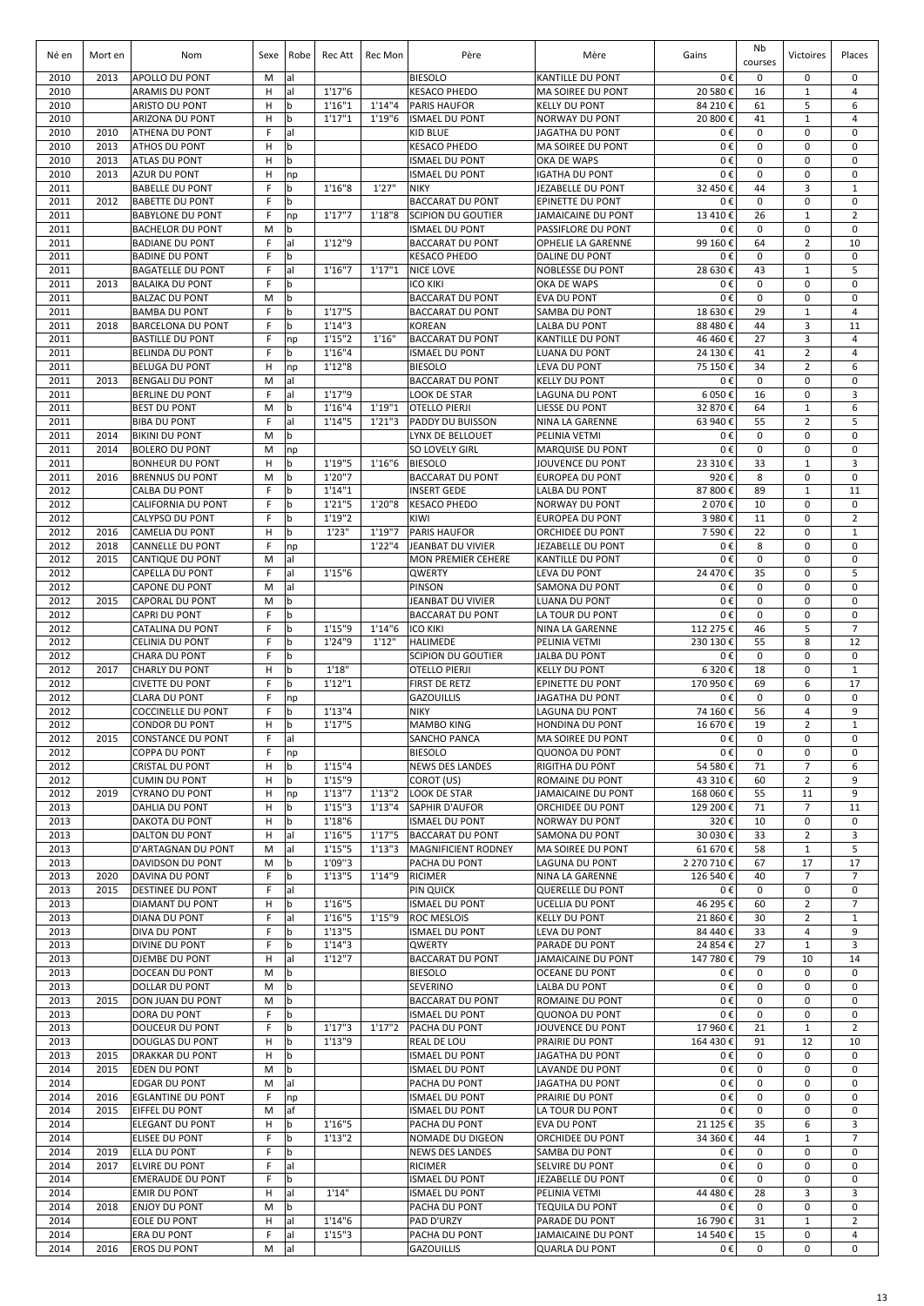| Né en        | Mort en      | Nom                                                | Sexe   | Robe             | Rec Att            | Rec Mon            | Père                                           | Mère                                               | Gains                  | Nb<br>courses     | Victoires                        | Places                        |
|--------------|--------------|----------------------------------------------------|--------|------------------|--------------------|--------------------|------------------------------------------------|----------------------------------------------------|------------------------|-------------------|----------------------------------|-------------------------------|
| 2010         | 2013         | APOLLO DU PONT                                     | M      | al               |                    |                    | <b>BIESOLO</b>                                 | <b>KANTILLE DU PONT</b>                            | 0€                     | 0                 | $\mathbf 0$                      | $\mathbf 0$                   |
| 2010         |              | <b>ARAMIS DU PONT</b>                              | Н      | al               | 1'17''6            |                    | <b>KESACO PHEDO</b>                            | <b>MA SOIREE DU PONT</b>                           | 20 580 €               | 16                | $\mathbf 1$                      | $\overline{4}$                |
| 2010<br>2010 |              | ARISTO DU PONT<br><b>ARIZONA DU PONT</b>           | H<br>Н | b<br>b           | 1'16''1<br>1'17''1 | 1'14''4<br>1'19"6  | <b>PARIS HAUFOR</b><br><b>ISMAEL DU PONT</b>   | <b>KELLY DU PONT</b><br><b>NORWAY DU PONT</b>      | 84 210€<br>20 800 €    | 61<br>41          | 5<br>$\mathbf{1}$                | 6<br>$\overline{4}$           |
| 2010         | 2010         | ATHENA DU PONT                                     | F      | al               |                    |                    | <b>KID BLUE</b>                                | <b>JAGATHA DU PONT</b>                             | 0€                     | 0                 | 0                                | $\mathbf 0$                   |
| 2010         | 2013         | <b>ATHOS DU PONT</b>                               | H      | $\mathbf b$      |                    |                    | <b>KESACO PHEDO</b>                            | MA SOIREE DU PONT                                  | 0€                     | $\mathbf 0$       | 0                                | $\Omega$                      |
| 2010         | 2013         | <b>ATLAS DU PONT</b>                               | H      | b                |                    |                    | <b>ISMAEL DU PONT</b>                          | OKA DE WAPS                                        | 0€                     | 0                 | 0                                | $\mathbf 0$                   |
| 2010         | 2013         | <b>AZUR DU PONT</b>                                | H<br>F | np               | 1'16''8            | 1'27"              | <b>ISMAEL DU PONT</b>                          | <b>IGATHA DU PONT</b>                              | 0€                     | $\pmb{0}$<br>44   | 0<br>3                           | $\mathbf 0$<br>$\mathbf{1}$   |
| 2011<br>2011 | 2012         | <b>BABELLE DU PONT</b><br><b>BABETTE DU PONT</b>   | F      | b<br>$\mathbf b$ |                    |                    | <b>NIKY</b><br><b>BACCARAT DU PONT</b>         | JEZABELLE DU PONT<br><b>EPINETTE DU PONT</b>       | 32 450 €<br>0€         | $\mathbf 0$       | 0                                | $\mathbf 0$                   |
| 2011         |              | <b>BABYLONE DU PONT</b>                            | F      | np               | 1'17''7            | 1'18''8            | <b>SCIPION DU GOUTIER</b>                      | <b>JAMAICAINE DU PONT</b>                          | 13 410€                | 26                | $\mathbf 1$                      | $\overline{2}$                |
| 2011         |              | <b>BACHELOR DU PONT</b>                            | M      | $\mathbf b$      |                    |                    | <b>ISMAEL DU PONT</b>                          | <b>PASSIFLORE DU PONT</b>                          | 0€                     | $\pmb{0}$         | 0                                | $\mathbf 0$                   |
| 2011         |              | <b>BADIANE DU PONT</b>                             | F      | lal              | 1'12"9             |                    | <b>BACCARAT DU PONT</b>                        | <b>OPHELIE LA GARENNE</b>                          | 99 160€                | 64                | $\overline{2}$                   | 10                            |
| 2011         |              | <b>BADINE DU PONT</b>                              | F      | b                |                    |                    | <b>KESACO PHEDO</b>                            | <b>DALINE DU PONT</b>                              | 0€                     | 0                 | 0                                | $\mathbf 0$                   |
| 2011<br>2011 | 2013         | <b>BAGATELLE DU PONT</b><br><b>BALAIKA DU PONT</b> | F<br>F | lal<br>b         | 1'16''7            | 1'17''1            | <b>NICE LOVE</b><br><b>ICO KIKI</b>            | <b>NOBLESSE DU PONT</b><br><b>OKA DE WAPS</b>      | 28 630€<br>0€          | 43<br>0           | $\mathbf 1$<br>0                 | 5<br>0                        |
| 2011         |              | <b>BALZAC DU PONT</b>                              | M      | b                |                    |                    | <b>BACCARAT DU PONT</b>                        | <b>EVA DU PONT</b>                                 | 0€                     | 0                 | $\pmb{0}$                        | $\mathbf 0$                   |
| 2011         |              | <b>BAMBA DU PONT</b>                               | F      | $\mathbf b$      | 1'17''5            |                    | <b>BACCARAT DU PONT</b>                        | <b>SAMBA DU PONT</b>                               | 18 630€                | 29                | $\mathbf 1$                      | 4                             |
| 2011         | 2018         | <b>BARCELONA DU PONT</b>                           | F      | b                | 1'14''3            |                    | <b>KOREAN</b>                                  | <b>LALBA DU PONT</b>                               | 88 480 €               | 44                | 3                                | 11                            |
| 2011         |              | <b>BASTILLE DU PONT</b>                            | F      | np               | 1'15''2            | 1'16''             | <b>BACCARAT DU PONT</b>                        | <b>KANTILLE DU PONT</b>                            | 46 460€                | 27                | 3                                | $\overline{4}$                |
| 2011<br>2011 |              | <b>BELINDA DU PONT</b><br><b>BELUGA DU PONT</b>    | F<br>H | b                | 1'16''4            |                    | <b>ISMAEL DU PONT</b><br><b>BIESOLO</b>        | LUANA DU PONT                                      | 24 130 €               | 41                | $\overline{2}$<br>$\overline{2}$ | $\overline{4}$<br>6           |
| 2011         | 2013         | <b>BENGALI DU PONT</b>                             | M      | np<br>al         | 1'12''8            |                    | <b>BACCARAT DU PONT</b>                        | LEVA DU PONT<br><b>KELLY DU PONT</b>               | 75 150€<br>0€          | 34<br>$\mathbf 0$ | 0                                | 0                             |
| 2011         |              | <b>BERLINE DU PONT</b>                             | F      | al               | 1'17"9             |                    | <b>LOOK DE STAR</b>                            | LAGUNA DU PONT                                     | 6 050€                 | 16                | 0                                | 3                             |
| 2011         |              | <b>BEST DU PONT</b>                                | M      | $\mathbf b$      | 1'16''4            | 1'19''1            | <b>OTELLO PIERJI</b>                           | LIESSE DU PONT                                     | 32 870 €               | 64                | $\mathbf 1$                      | 6                             |
| 2011         |              | <b>BIBA DU PONT</b>                                | F      | al               | 1'14''5            | 1'21''3            | PADDY DU BUISSON                               | <b>NINA LA GARENNE</b>                             | 63 940 €               | 55                | $\overline{2}$                   | 5                             |
| 2011         | 2014         | <b>BIKINI DU PONT</b>                              | M      | b                |                    |                    | LYNX DE BELLOUET                               | PELINIA VETMI                                      | 0€                     | $\mathbf 0$       | 0                                | $\mathbf 0$                   |
| 2011<br>2011 | 2014         | <b>BOLERO DU PONT</b><br><b>BONHEUR DU PONT</b>    | M<br>H | np<br>b          | 1'19"5             | 1'16''6            | <b>SO LOVELY GIRL</b><br><b>BIESOLO</b>        | <b>MARQUISE DU PONT</b><br><b>JOUVENCE DU PONT</b> | 0€<br>23 310 €         | 0<br>33           | 0<br>$\mathbf 1$                 | $\mathbf 0$<br>3              |
| 2011         | 2016         | <b>BRENNUS DU PONT</b>                             | M      | b                | 1'20"7             |                    | <b>BACCARAT DU PONT</b>                        | <b>EUROPEA DU PONT</b>                             | 920€                   | 8                 | 0                                | $\mathbf 0$                   |
| 2012         |              | <b>CALBA DU PONT</b>                               | F      | $\mathbf b$      | 1'14''1            |                    | <b>INSERT GEDE</b>                             | <b>LALBA DU PONT</b>                               | 87 800 €               | 89                | $\mathbf{1}$                     | 11                            |
| 2012         |              | CALIFORNIA DU PONT                                 | F      | <b>b</b>         | 1'21''5            | 1'20"8             | <b>KESACO PHEDO</b>                            | <b>NORWAY DU PONT</b>                              | 2 070€                 | 10                | 0                                | $\mathbf 0$                   |
| 2012         |              | CALYPSO DU PONT                                    | E      | $\mathbf b$      | 1'19"2             |                    | KIWI                                           | <b>EUROPEA DU PONT</b>                             | 3 980 €                | 11                | 0                                | $\overline{2}$                |
| 2012<br>2012 | 2016<br>2018 | <b>CAMELIA DU PONT</b>                             | н<br>F | l b              | 1'23"              | 1'19"7<br>1'22''4  | <b>PARIS HAUFOR</b><br>JEANBAT DU VIVIER       | ORCHIDEE DU PONT                                   | 7 590€<br>0€           | 22<br>8           | 0<br>0                           | $\mathbf{1}$<br>$\mathbf 0$   |
| 2012         | 2015         | <b>CANNELLE DU PONT</b><br>CANTIQUE DU PONT        | M      | np<br>lal        |                    |                    | <b>MON PREMIER CEHERE</b>                      | JEZABELLE DU PONT<br><b>KANTILLE DU PONT</b>       | 0€                     | $\mathbf 0$       | $\mathbf 0$                      | $\mathbf 0$                   |
| 2012         |              | CAPELLA DU PONT                                    | F      | al               | 1'15''6            |                    | QWERTY                                         | <b>LEVA DU PONT</b>                                | 24 470€                | 35                | 0                                | 5                             |
| 2012         |              | <b>CAPONE DU PONT</b>                              | M      | lal              |                    |                    | PINSON                                         | <b>SAMONA DU PONT</b>                              | 0€                     | 0                 | $\mathbf 0$                      | $\mathbf 0$                   |
| 2012         | 2015         | <b>CAPORAL DU PONT</b>                             | M      | $\mathbf b$      |                    |                    | JEANBAT DU VIVIER                              | LUANA DU PONT                                      | 0€                     | $\pmb{0}$         | 0                                | $\mathbf 0$                   |
| 2012         |              | <b>CAPRI DU PONT</b>                               | F      | b                |                    |                    | <b>BACCARAT DU PONT</b>                        | LA TOUR DU PONT                                    | 0€                     | 0                 | 0                                | $\mathbf 0$                   |
| 2012<br>2012 |              | CATALINA DU PONT<br><b>CELINIA DU PONT</b>         | F<br>F | b<br>b           | 1'15"9<br>1'24"9   | 1'14''6<br>1'12"   | <b>ICO KIKI</b><br><b>HALIMEDE</b>             | NINA LA GARENNE<br>PELINIA VETMI                   | 112 275 €<br>230 130 € | 46<br>55          | 5<br>8                           | $\overline{7}$<br>12          |
| 2012         |              | CHARA DU PONT                                      | F      | b                |                    |                    | <b>SCIPION DU GOUTIER</b>                      | <b>JALBA DU PONT</b>                               | 0€                     | 0                 | 0                                | $\mathbf 0$                   |
| 2012         | 2017         | <b>CHARLY DU PONT</b>                              | H      | b                | 1'18"              |                    | <b>OTELLO PIERJI</b>                           | <b>KELLY DU PONT</b>                               | 6 3 2 0€               | 18                | 0                                | $\mathbf{1}$                  |
| 2012         |              | <b>CIVETTE DU PONT</b>                             | F      | $\mathbf b$      | 1'12''1            |                    | FIRST DE RETZ                                  | <b>EPINETTE DU PONT</b>                            | 170 950€               | 69                | 6                                | 17                            |
| 2012         |              | <b>CLARA DU PONT</b>                               | F      | np               |                    |                    | <b>GAZOUILLIS</b>                              | <b>JAGATHA DU PONT</b>                             | 0€                     | 0                 | 0                                | 0                             |
| 2012<br>2012 |              | <b>COCCINELLE DU PONT</b><br>CONDOR DU PONT        | F<br>H | b<br>b           | 1'13''4<br>1'17''5 |                    | <b>NIKY</b><br><b>MAMBO KING</b>               | <b>LAGUNA DU PONT</b><br><b>HONDINA DU PONT</b>    | 74 160€<br>16 670€     | 56<br>19          | 4<br>$\overline{2}$              | 9<br>$\mathbf{1}$             |
| 2012         | 2015         | <b>CONSTANCE DU PONT</b>                           | F.     | lal              |                    |                    | SANCHO PANCA                                   | <b>MA SOIREE DU PONT</b>                           | 0€                     | 0                 | 0                                | 0                             |
| 2012         |              | <b>COPPA DU PONT</b>                               | F      | np               |                    |                    | <b>BIESOLO</b>                                 | <b>QUONOA DU PONT</b>                              | 0€                     | $\mathbf 0$       | 0                                | 0                             |
| 2012         |              | <b>CRISTAL DU PONT</b>                             | н      | b                | 1'15''4            |                    | <b>NEWS DES LANDES</b>                         | <b>RIGITHA DU PONT</b>                             | 54 580€                | 71                | $\overline{7}$                   | 6                             |
| 2012         |              | <b>CUMIN DU PONT</b>                               | H      | b                | 1'15"9             |                    | COROT (US)                                     | ROMAINE DU PONT                                    | 43 310€                | 60                | $\overline{2}$                   | 9                             |
| 2012<br>2013 | 2019         | <b>CYRANO DU PONT</b><br>DAHLIA DU PONT            | Н<br>H | np<br>b          | 1'13''7<br>1'15''3 | 1'13''2<br>1'13''4 | <b>LOOK DE STAR</b>                            | JAMAICAINE DU PONT                                 | 168 060€<br>129 200€   | 55<br>71          | 11<br>$\overline{7}$             | 9<br>11                       |
| 2013         |              | DAKOTA DU PONT                                     | H      | b                | 1'18''6            |                    | <b>SAPHIR D'AUFOR</b><br><b>ISMAEL DU PONT</b> | ORCHIDEE DU PONT<br><b>NORWAY DU PONT</b>          | 320€                   | 10                | 0                                | $\mathbf 0$                   |
| 2013         |              | DALTON DU PONT                                     | H      | lal              | 1'16''5            | 1'17''5            | <b>BACCARAT DU PONT</b>                        | <b>SAMONA DU PONT</b>                              | 30 030€                | 33                | $\overline{2}$                   | 3                             |
| 2013         |              | D'ARTAGNAN DU PONT                                 | M      | lal              | 1'15"5             | 1'13''3            | <b>MAGNIFICIENT RODNEY</b>                     | MA SOIREE DU PONT                                  | 61 670€                | 58                | $\mathbf{1}$                     | 5                             |
| 2013         |              | DAVIDSON DU PONT                                   | M      | l b              | 1'09"3             |                    | PACHA DU PONT                                  | <b>LAGUNA DU PONT</b>                              | 2 270 710€             | 67                | 17                               | 17                            |
| 2013<br>2013 | 2020<br>2015 | DAVINA DU PONT<br>DESTINEE DU PONT                 | F<br>F | b<br>lal         | 1'13''5            | 1'14"9             | RICIMER<br><b>PIN QUICK</b>                    | NINA LA GARENNE<br><b>QUERELLE DU PONT</b>         | 126 540€<br>0€         | 40<br>0           | $\overline{7}$<br>0              | $\overline{7}$<br>$\mathbf 0$ |
| 2013         |              | <b>DIAMANT DU PONT</b>                             | н      | b                | 1'16"5             |                    | <b>ISMAEL DU PONT</b>                          | <b>UCELLIA DU PONT</b>                             | 46 295€                | 60                | $\overline{2}$                   | $\overline{7}$                |
| 2013         |              | DIANA DU PONT                                      | F      | lal              | 1'16''5            | 1'15"9             | <b>ROC MESLOIS</b>                             | <b>KELLY DU PONT</b>                               | 21 860 €               | 30                | $\overline{2}$                   | $\mathbf{1}$                  |
| 2013         |              | DIVA DU PONT                                       | F      | l b              | 1'13''5            |                    | <b>ISMAEL DU PONT</b>                          | LEVA DU PONT                                       | 84 440 €               | 33                | 4                                | 9                             |
| 2013         |              | DIVINE DU PONT                                     | F      | l b              | 1'14''3            |                    | QWERTY                                         | <b>PARADE DU PONT</b>                              | 24 854 €               | 27                | $1\,$                            | 3                             |
| 2013<br>2013 |              | DJEMBE DU PONT<br>DOCEAN DU PONT                   | H<br>M | lal<br>b         | 1'12"7             |                    | <b>BACCARAT DU PONT</b><br><b>BIESOLO</b>      | JAMAICAINE DU PONT<br><b>OCEANE DU PONT</b>        | 147 780€<br>0€         | 79<br>0           | 10<br>$\mathbf 0$                | 14<br>$\mathbf 0$             |
| 2013         |              | DOLLAR DU PONT                                     | M      | b                |                    |                    | SEVERINO                                       | <b>LALBA DU PONT</b>                               | 0€                     | 0                 | 0                                | 0                             |
| 2013         | 2015         | DON JUAN DU PONT                                   | M      | b                |                    |                    | <b>BACCARAT DU PONT</b>                        | ROMAINE DU PONT                                    | 0€                     | 0                 | 0                                | 0                             |
| 2013         |              | DORA DU PONT                                       | F      | l b              |                    |                    | <b>ISMAEL DU PONT</b>                          | <b>QUONOA DU PONT</b>                              | 0€                     | 0                 | 0                                | 0                             |
| 2013         |              | DOUCEUR DU PONT                                    | F      | b                | 1'17''3            | 1'17''2            | PACHA DU PONT                                  | JOUVENCE DU PONT                                   | 17 960€                | 21                | $\mathbf 1$                      | $\overline{2}$                |
| 2013         |              | DOUGLAS DU PONT                                    | H      | b                | 1'13"9             |                    | REAL DE LOU                                    | <b>PRAIRIE DU PONT</b>                             | 164 430€               | 91                | 12                               | 10                            |
| 2013<br>2014 | 2015<br>2015 | <b>DRAKKAR DU PONT</b><br>EDEN DU PONT             | Н<br>M | b<br>b           |                    |                    | <b>ISMAEL DU PONT</b><br><b>ISMAEL DU PONT</b> | <b>JAGATHA DU PONT</b><br><b>LAVANDE DU PONT</b>   | 0€<br>0€               | 0<br>0            | 0<br>$\Omega$                    | 0<br>0                        |
| 2014         |              | <b>EDGAR DU PONT</b>                               | M      | al               |                    |                    | PACHA DU PONT                                  | <b>JAGATHA DU PONT</b>                             | 0€                     | 0                 | $\Omega$                         | 0                             |
| 2014         | 2016         | <b>EGLANTINE DU PONT</b>                           | F      | np               |                    |                    | <b>ISMAEL DU PONT</b>                          | <b>PRAIRIE DU PONT</b>                             | 0€                     | 0                 | 0                                | 0                             |
| 2014         | 2015         | EIFFEL DU PONT                                     | M      | af               |                    |                    | <b>ISMAEL DU PONT</b>                          | LA TOUR DU PONT                                    | 0€                     | $\mathbf 0$       | 0                                | 0                             |
| 2014         |              | <b>ELEGANT DU PONT</b>                             | н      | b                | 1'16"5             |                    | PACHA DU PONT                                  | <b>EVA DU PONT</b>                                 | 21 125 €               | 35                | 6                                | 3                             |
| 2014<br>2014 | 2019         | ELISEE DU PONT<br>ELLA DU PONT                     | F<br>F | $\mathbf b$<br>b | 1'13''2            |                    | NOMADE DU DIGEON<br><b>NEWS DES LANDES</b>     | ORCHIDEE DU PONT<br><b>SAMBA DU PONT</b>           | 34 360 €<br>0€         | 44<br>0           | $\mathbf 1$<br>0                 | $\overline{7}$<br>$\mathbf 0$ |
| 2014         | 2017         | <b>ELVIRE DU PONT</b>                              | F      | lal              |                    |                    | RICIMER                                        | <b>SELVIRE DU PONT</b>                             | 0€                     | 0                 | 0                                | $\mathbf 0$                   |
| 2014         |              | <b>EMERAUDE DU PONT</b>                            | F      | b                |                    |                    | <b>ISMAEL DU PONT</b>                          | JEZABELLE DU PONT                                  | 0€                     | 0                 | 0                                | $\mathbf 0$                   |
| 2014         |              | <b>EMIR DU PONT</b>                                | H      | lal              | 1'14"              |                    | <b>ISMAEL DU PONT</b>                          | PELINIA VETMI                                      | 44 480 €               | 28                | 3                                | 3                             |
| 2014         | 2018         | <b>ENJOY DU PONT</b>                               | M      | $\mathbf b$      |                    |                    | PACHA DU PONT                                  | <b>TEQUILA DU PONT</b>                             | 0€                     | 0                 | 0                                | 0                             |
| 2014<br>2014 |              | EOLE DU PONT<br>ERA DU PONT                        | н<br>F | lal<br>al        | 1'14''6<br>1'15''3 |                    | PAD D'URZY<br>PACHA DU PONT                    | PARADE DU PONT<br><b>JAMAICAINE DU PONT</b>        | 16 790€<br>14 540€     | 31<br>15          | $\mathbf 1$<br>0                 | $\overline{2}$<br>4           |
| 2014         | 2016         | <b>EROS DU PONT</b>                                | M      | lal              |                    |                    | <b>GAZOUILLIS</b>                              | <b>QUARLA DU PONT</b>                              | 0€                     | 0                 | 0                                | 0                             |
|              |              |                                                    |        |                  |                    |                    |                                                |                                                    |                        |                   |                                  |                               |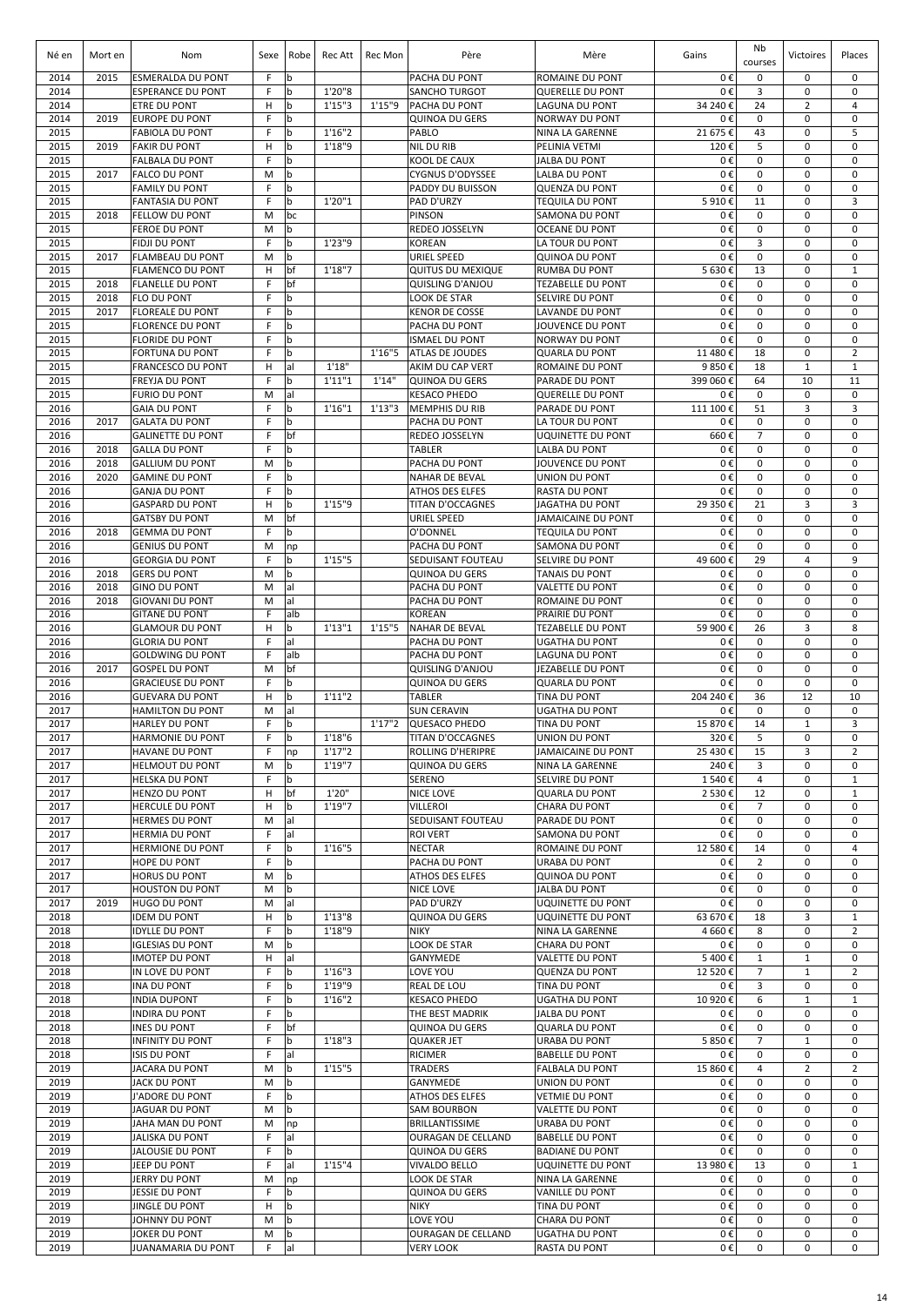| Né en        | Mort en      | Nom                                                  | Sexe   | Robe              | Rec Att | Rec Mon | Père                                       | Mère                                                 | Gains         | Nb<br>courses     | Victoires                  | Places                      |
|--------------|--------------|------------------------------------------------------|--------|-------------------|---------|---------|--------------------------------------------|------------------------------------------------------|---------------|-------------------|----------------------------|-----------------------------|
| 2014<br>2014 | 2015         | <b>ESMERALDA DU PONT</b><br><b>ESPERANCE DU PONT</b> | F<br>F | b<br>b            | 1'20"8  |         | PACHA DU PONT<br><b>SANCHO TURGOT</b>      | <b>ROMAINE DU PONT</b><br><b>QUERELLE DU PONT</b>    | 0€<br>0€      | 0<br>3            | 0<br>0                     | 0<br>$\mathbf 0$            |
| 2014         |              | <b>ETRE DU PONT</b>                                  | н      | b                 | 1'15''3 | 1'15"9  | PACHA DU PONT                              | LAGUNA DU PONT                                       | 34 240 €      | 24                | $\overline{2}$             | $\overline{4}$              |
| 2014         | 2019         | <b>EUROPE DU PONT</b>                                | F      | b                 |         |         | <b>QUINOA DU GERS</b>                      | <b>NORWAY DU PONT</b>                                | 0€            | $\mathbf 0$       | $\mathbf 0$                | $\mathbf 0$                 |
| 2015         |              | <b>FABIOLA DU PONT</b>                               | F      | b                 | 1'16''2 |         | PABLO                                      | NINA LA GARENNE                                      | 21 675€       | 43                | $\mathbf 0$                | 5                           |
| 2015         | 2019         | <b>FAKIR DU PONT</b>                                 | H      | b                 | 1'18"9  |         | <b>NIL DU RIB</b>                          | PELINIA VETMI                                        | 120€          | 5                 | 0                          | $\mathbf 0$                 |
| 2015         |              | <b>FALBALA DU PONT</b>                               | F      | b                 |         |         | KOOL DE CAUX                               | JALBA DU PONT                                        | 0€            | 0                 | 0                          | $\mathbf 0$                 |
| 2015         | 2017         | <b>FALCO DU PONT</b>                                 | M      | b                 |         |         | <b>CYGNUS D'ODYSSEE</b>                    | <b>LALBA DU PONT</b>                                 | 0€            | 0                 | 0                          | $\mathbf 0$                 |
| 2015         |              | <b>FAMILY DU PONT</b>                                | F      | l b               |         |         | PADDY DU BUISSON                           | <b>QUENZA DU PONT</b>                                | 0€            | 0                 | $\mathbf 0$                | $\mathbf 0$                 |
| 2015         |              | <b>FANTASIA DU PONT</b>                              | F      | b                 | 1'20"1  |         | PAD D'URZY                                 | <b>TEQUILA DU PONT</b>                               | 5910€         | 11                | $\mathbf 0$                | 3                           |
| 2015         | 2018         | <b>FELLOW DU PONT</b>                                | M      | bc                |         |         | <b>PINSON</b>                              | <b>SAMONA DU PONT</b>                                | 0€            | 0                 | $\mathbf 0$                | $\mathbf 0$                 |
| 2015         |              | <b>FEROE DU PONT</b>                                 | M      | b                 |         |         | REDEO JOSSELYN                             | <b>OCEANE DU PONT</b>                                | 0€            | $\mathbf 0$       | $\mathbf 0$                | $\mathbf 0$                 |
| 2015         |              | <b>FIDJI DU PONT</b>                                 | F      | l b               | 1'23"9  |         | <b>KOREAN</b>                              | LA TOUR DU PONT                                      | 0€            | 3                 | $\mathbf 0$                | $\mathbf 0$                 |
| 2015         | 2017         | <b>FLAMBEAU DU PONT</b>                              | M      | b                 |         |         | URIEL SPEED                                | <b>QUINOA DU PONT</b>                                | 0€            | $\mathbf 0$       | $\mathbf 0$                | $\mathbf 0$                 |
| 2015<br>2015 |              | <b>FLAMENCO DU PONT</b>                              | H<br>F | bf<br>bf          | 1'18"7  |         | <b>QUITUS DU MEXIQUE</b>                   | <b>RUMBA DU PONT</b>                                 | 5630€         | 13<br>0           | $\mathbf 0$<br>$\mathbf 0$ | $\mathbf{1}$<br>0           |
| 2015         | 2018<br>2018 | <b>FLANELLE DU PONT</b><br><b>FLO DU PONT</b>        | F      | b                 |         |         | <b>QUISLING D'ANJOU</b><br>LOOK DE STAR    | <b>TEZABELLE DU PONT</b><br>SELVIRE DU PONT          | 0€<br>0€      | $\mathbf 0$       | $\mathbf 0$                | $\mathbf 0$                 |
| 2015         | 2017         | <b>FLOREALE DU PONT</b>                              | F      | b                 |         |         | <b>KENOR DE COSSE</b>                      | LAVANDE DU PONT                                      | 0€            | 0                 | $\mathbf 0$                | 0                           |
| 2015         |              | <b>FLORENCE DU PONT</b>                              | F      | b                 |         |         | PACHA DU PONT                              | JOUVENCE DU PONT                                     | 0€            | 0                 | 0                          | 0                           |
| 2015         |              | <b>FLORIDE DU PONT</b>                               | F      | b                 |         |         | <b>ISMAEL DU PONT</b>                      | <b>NORWAY DU PONT</b>                                | 0€            | 0                 | $\mathbf 0$                | 0                           |
| 2015         |              | <b>FORTUNA DU PONT</b>                               | F      | l b               |         | 1'16''5 | <b>ATLAS DE JOUDES</b>                     | <b>QUARLA DU PONT</b>                                | 11 480€       | 18                | $\mathbf 0$                | $\overline{2}$              |
| 2015         |              | <b>FRANCESCO DU PONT</b>                             | H      | al                | 1'18"   |         | AKIM DU CAP VERT                           | ROMAINE DU PONT                                      | 9850€         | 18                | $\mathbf{1}$               | $\mathbf{1}$                |
| 2015         |              | <b>FREYJA DU PONT</b>                                | F      | b                 | 1'11''1 | 1'14"   | <b>QUINOA DU GERS</b>                      | PARADE DU PONT                                       | 399 060€      | 64                | 10                         | 11                          |
| 2015         |              | <b>FURIO DU PONT</b>                                 | M      | al                |         |         | <b>KESACO PHEDO</b>                        | <b>QUERELLE DU PONT</b>                              | 0€            | 0                 | $\mathbf 0$                | $\mathbf 0$                 |
| 2016         |              | <b>GAIA DU PONT</b>                                  | F      | b                 | 1'16''1 | 1'13''3 | <b>MEMPHIS DU RIB</b>                      | <b>PARADE DU PONT</b>                                | 111 100 €     | 51                | 3                          | 3                           |
| 2016         | 2017         | <b>GALATA DU PONT</b>                                | F      | b                 |         |         | PACHA DU PONT                              | LA TOUR DU PONT                                      | 0€            | 0                 | 0                          | 0                           |
| 2016         |              | <b>GALINETTE DU PONT</b>                             | F      | bf                |         |         | REDEO JOSSELYN                             | <b>UQUINETTE DU PONT</b>                             | 660€          | $\overline{7}$    | 0                          | 0                           |
| 2016         | 2018         | <b>GALLA DU PONT</b>                                 | F      | b                 |         |         | <b>TABLER</b>                              | <b>LALBA DU PONT</b>                                 | 0€            | 0                 | $\mathbf 0$                | $\mathbf 0$                 |
| 2016         | 2018         | <b>GALLIUM DU PONT</b>                               | M      | b                 |         |         | PACHA DU PONT                              | JOUVENCE DU PONT                                     | 0€            | $\mathbf 0$       | $\mathbf 0$                | $\mathbf 0$                 |
| 2016         | 2020         | <b>GAMINE DU PONT</b>                                | F      | b                 |         |         | <b>NAHAR DE BEVAL</b>                      | <b>UNION DU PONT</b>                                 | 0€            | $\pmb{0}$         | $\mathbf 0$                | $\mathbf 0$                 |
| 2016<br>2016 |              | <b>GANJA DU PONT</b><br><b>GASPARD DU PONT</b>       | F<br>H | b<br>b            | 1'15"9  |         | <b>ATHOS DES ELFES</b><br>TITAN D'OCCAGNES | <b>RASTA DU PONT</b><br><b>JAGATHA DU PONT</b>       | 0€<br>29 350€ | $\mathbf 0$<br>21 | 0<br>3                     | $\mathbf 0$<br>3            |
| 2016         |              | <b>GATSBY DU PONT</b>                                | M      | bf                |         |         | URIEL SPEED                                | <b>JAMAICAINE DU PONT</b>                            | 0€            | $\mathbf 0$       | 0                          | $\mathbf 0$                 |
| 2016         | 2018         | <b>GEMMA DU PONT</b>                                 | F      | b                 |         |         | O'DONNEL                                   | <b>TEQUILA DU PONT</b>                               | 0€            | 0                 | 0                          | $\mathbf 0$                 |
| 2016         |              | <b>GENIUS DU PONT</b>                                | M      | np                |         |         | PACHA DU PONT                              | SAMONA DU PONT                                       | 0€            | 0                 | 0                          | $\mathbf 0$                 |
| 2016         |              | <b>GEORGIA DU PONT</b>                               | F      | l b               | 1'15"5  |         | SEDUISANT FOUTEAU                          | SELVIRE DU PONT                                      | 49 600€       | 29                | 4                          | 9                           |
| 2016         | 2018         | <b>GERS DU PONT</b>                                  | M      | b                 |         |         | <b>QUINOA DU GERS</b>                      | <b>TANAIS DU PONT</b>                                | 0€            | $\mathbf 0$       | $\mathbf 0$                | $\mathbf 0$                 |
| 2016         | 2018         | <b>GINO DU PONT</b>                                  | M      | al                |         |         | PACHA DU PONT                              | <b>VALETTE DU PONT</b>                               | 0€            | 0                 | 0                          | $\mathbf 0$                 |
| 2016         | 2018         | <b>GIOVANI DU PONT</b>                               | M      | al                |         |         | PACHA DU PONT                              | ROMAINE DU PONT                                      | 0€            | $\mathbf 0$       | $\mathbf 0$                | $\mathbf 0$                 |
| 2016         |              | <b>GITANE DU PONT</b>                                | F      | alb               |         |         | <b>KOREAN</b>                              | <b>PRAIRIE DU PONT</b>                               | 0€            | 0                 | 0                          | 0                           |
| 2016         |              | <b>GLAMOUR DU PONT</b>                               | H      | b                 | 1'13''1 | 1'15''5 | <b>NAHAR DE BEVAL</b>                      | <b>TEZABELLE DU PONT</b>                             | 59 900€       | 26                | 3                          | 8                           |
| 2016         |              | <b>GLORIA DU PONT</b>                                | F      | al                |         |         | PACHA DU PONT                              | <b>UGATHA DU PONT</b>                                | 0€            | 0                 | 0                          | 0                           |
| 2016         |              | <b>GOLDWING DU PONT</b>                              | F      | alb               |         |         | PACHA DU PONT                              | <b>LAGUNA DU PONT</b>                                | 0€            | 0                 | 0                          | 0                           |
| 2016         | 2017         | <b>GOSPEL DU PONT</b>                                | M      | bf                |         |         | QUISLING D'ANJOU                           | JEZABELLE DU PONT                                    | 0€            | 0                 | $\mathbf 0$                | $\mathbf 0$                 |
| 2016         |              | <b>GRACIEUSE DU PONT</b>                             | F      | b                 |         |         | QUINOA DU GERS                             | <b>QUARLA DU PONT</b>                                | 0€            | 0                 | 0                          | 0                           |
| 2016<br>2017 |              | <b>GUEVARA DU PONT</b>                               | H      | b                 | 1'11''2 |         | <b>TABLER</b>                              | TINA DU PONT                                         | 204 240€      | 36<br>0           | 12<br>$\mathbf 0$          | 10                          |
| 2017         |              | <b>HAMILTON DU PONT</b><br><b>HARLEY DU PONT</b>     | M<br>F | al<br>$\mathsf b$ |         | 1'17''2 | <b>SUN CERAVIN</b><br><b>QUESACO PHEDO</b> | <b>UGATHA DU PONT</b><br>TINA DU PONT                | 0€<br>15 870€ | 14                | $\mathbf{1}$               | 0<br>3                      |
| 2017         |              | <b>HARMONIE DU PONT</b>                              | F      | lb                | 1'18"6  |         | TITAN D'OCCAGNES                           | UNION DU PONT                                        | 320€          | 5                 | 0                          | $\mathsf 0$                 |
| 2017         |              | <b>HAVANE DU PONT</b>                                | F      | np                | 1'17''2 |         | ROLLING D'HERIPRE                          | <b>JAMAICAINE DU PONT</b>                            | 25 430€       | 15                | 3                          | $\overline{2}$              |
| 2017         |              | <b>HELMOUT DU PONT</b>                               | M      | b                 | 1'19"7  |         | <b>QUINOA DU GERS</b>                      | NINA LA GARENNE                                      | 240€          | 3                 | $\mathbf 0$                | 0                           |
| 2017         |              | <b>HELSKA DU PONT</b>                                | F      | b                 |         |         | SERENO                                     | SELVIRE DU PONT                                      | 1540€         | 4                 | 0                          | $\mathbf{1}$                |
| 2017         |              | HENZO DU PONT                                        | H      | bf                | 1'20"   |         | NICE LOVE                                  | <b>QUARLA DU PONT</b>                                | 2 530€        | 12                | 0                          | $\mathbf{1}$                |
| 2017         |              | <b>HERCULE DU PONT</b>                               | H      | b                 | 1'19"7  |         | <b>VILLEROI</b>                            | CHARA DU PONT                                        | 0€            | $\overline{7}$    | 0                          | $\mathbf 0$                 |
| 2017         |              | <b>HERMES DU PONT</b>                                | M      | al                |         |         | SEDUISANT FOUTEAU                          | PARADE DU PONT                                       | 0€            | 0                 | 0                          | $\mathbf 0$                 |
| 2017         |              | <b>HERMIA DU PONT</b>                                | F      | al                |         |         | <b>ROI VERT</b>                            | SAMONA DU PONT                                       | 0€            | 0                 | 0                          | 0                           |
| 2017         |              | <b>HERMIONE DU PONT</b>                              | F      | l b               | 1'16"5  |         | <b>NECTAR</b>                              | ROMAINE DU PONT                                      | 12 580€       | 14                | $\mathbf 0$                | $\overline{4}$              |
| 2017         |              | HOPE DU PONT                                         | F      | b                 |         |         | PACHA DU PONT                              | URABA DU PONT                                        | 0€            | $\overline{2}$    | 0                          | $\mathbf 0$                 |
| 2017         |              | <b>HORUS DU PONT</b>                                 | M      | l b               |         |         | <b>ATHOS DES ELFES</b>                     | <b>QUINOA DU PONT</b>                                | 0€            | 0                 | $\mathbf 0$                | $\mathbf 0$                 |
| 2017         |              | <b>HOUSTON DU PONT</b>                               | M      | b                 |         |         | NICE LOVE                                  | <b>JALBA DU PONT</b>                                 | 0€            | 0                 | $\mathbf 0$                | 0                           |
| 2017<br>2018 | 2019         | HUGO DU PONT<br><b>IDEM DU PONT</b>                  | M<br>H | lal<br>b          | 1'13''8 |         | PAD D'URZY<br>QUINOA DU GERS               | <b>UQUINETTE DU PONT</b><br><b>UQUINETTE DU PONT</b> | 0€<br>63 670€ | 0<br>18           | $\mathbf 0$<br>3           | $\mathbf 0$<br>$\mathbf{1}$ |
| 2018         |              | <b>IDYLLE DU PONT</b>                                | F      | b                 | 1'18"9  |         | <b>NIKY</b>                                | NINA LA GARENNE                                      | 4 660€        | 8                 | $\mathbf 0$                | $\overline{2}$              |
| 2018         |              | <b>IGLESIAS DU PONT</b>                              | M      | lb                |         |         | LOOK DE STAR                               | CHARA DU PONT                                        | 0€            | 0                 | $\mathbf 0$                | $\mathbf 0$                 |
| 2018         |              | <b>IMOTEP DU PONT</b>                                | H      | al                |         |         | GANYMEDE                                   | VALETTE DU PONT                                      | 5400€         | $\mathbf{1}$      | $\mathbf{1}$               | 0                           |
| 2018         |              | IN LOVE DU PONT                                      | F      | b                 | 1'16''3 |         | LOVE YOU                                   | <b>QUENZA DU PONT</b>                                | 12 520€       | $\overline{7}$    | $\mathbf{1}$               | $\overline{2}$              |
| 2018         |              | <b>INA DU PONT</b>                                   | F      | b                 | 1'19"9  |         | REAL DE LOU                                | TINA DU PONT                                         | 0€            | 3                 | 0                          | 0                           |
| 2018         |              | <b>INDIA DUPONT</b>                                  | F      | b                 | 1'16''2 |         | <b>KESACO PHEDO</b>                        | <b>UGATHA DU PONT</b>                                | 10 920€       | 6                 | $\mathbf{1}$               | $\mathbf{1}$                |
| 2018         |              | <b>INDIRA DU PONT</b>                                | F      | b                 |         |         | THE BEST MADRIK                            | <b>JALBA DU PONT</b>                                 | 0€            | 0                 | $\mathbf 0$                | $\mathbf 0$                 |
| 2018         |              | <b>INES DU PONT</b>                                  | F      | bf                |         |         | QUINOA DU GERS                             | <b>QUARLA DU PONT</b>                                | 0€            | 0                 | $\mathbf 0$                | 0                           |
| 2018         |              | <b>INFINITY DU PONT</b>                              | F      | b                 | 1'18''3 |         | <b>QUAKER JET</b>                          | URABA DU PONT                                        | 5850€         | 7                 | 1                          | 0                           |
| 2018         |              | <b>ISIS DU PONT</b>                                  | F      | al                |         |         | RICIMER                                    | <b>BABELLE DU PONT</b>                               | 0€            | 0                 | $\mathbf 0$                | 0                           |
| 2019         |              | JACARA DU PONT                                       | M      | b                 | 1'15"5  |         | <b>TRADERS</b>                             | <b>FALBALA DU PONT</b>                               | 15 860€       | 4                 | $\overline{2}$             | $\overline{2}$              |
| 2019         |              | <b>JACK DU PONT</b>                                  | M      | b                 |         |         | GANYMEDE                                   | UNION DU PONT                                        | 0€            | 0                 | $\mathbf 0$                | 0                           |
| 2019<br>2019 |              | J'ADORE DU PONT                                      | F      | b<br>l b          |         |         | <b>ATHOS DES ELFES</b>                     | <b>VETMIE DU PONT</b>                                | 0€            | 0<br>0            | $\mathbf 0$<br>$\mathbf 0$ | $\mathbf 0$<br>0            |
| 2019         |              | <b>JAGUAR DU PONT</b><br>JAHA MAN DU PONT            | M<br>M |                   |         |         | <b>SAM BOURBON</b><br>BRILLANTISSIME       | VALETTE DU PONT<br>URABA DU PONT                     | 0€<br>0€      | $\mathbf 0$       | 0                          | $\mathbf 0$                 |
| 2019         |              | <b>JALISKA DU PONT</b>                               | F      | np<br>al          |         |         | OURAGAN DE CELLAND                         | <b>BABELLE DU PONT</b>                               | 0€            | 0                 | 0                          | $\mathbf 0$                 |
| 2019         |              | <b>JALOUSIE DU PONT</b>                              | F      | b                 |         |         | <b>QUINOA DU GERS</b>                      | <b>BADIANE DU PONT</b>                               | 0€            | 0                 | 0                          | $\mathbf 0$                 |
| 2019         |              | JEEP DU PONT                                         | F      | al                | 1'15''4 |         | <b>VIVALDO BELLO</b>                       | <b>UQUINETTE DU PONT</b>                             | 13 980€       | 13                | $\mathbf 0$                | $\mathbf{1}$                |
| 2019         |              | <b>JERRY DU PONT</b>                                 | M      | np                |         |         | LOOK DE STAR                               | NINA LA GARENNE                                      | 0€            | $\mathbf 0$       | 0                          | $\mathbf 0$                 |
| 2019         |              | JESSIE DU PONT                                       | F      | l b               |         |         | QUINOA DU GERS                             | VANILLE DU PONT                                      | 0€            | 0                 | $\mathbf 0$                | $\mathbf 0$                 |
| 2019         |              | JINGLE DU PONT                                       | H      | l b               |         |         | <b>NIKY</b>                                | TINA DU PONT                                         | 0€            | 0                 | 0                          | 0                           |
| 2019         |              | JOHNNY DU PONT                                       | M      | b                 |         |         | LOVE YOU                                   | CHARA DU PONT                                        | 0€            | 0                 | 0                          | $\mathbf 0$                 |
| 2019         |              | <b>JOKER DU PONT</b>                                 | M      | l b               |         |         | OURAGAN DE CELLAND                         | <b>UGATHA DU PONT</b>                                | 0€            | 0                 | 0                          | $\mathbf 0$                 |
| 2019         |              | <b>JUANAMARIA DU PONT</b>                            | F      | al                |         |         | <b>VERY LOOK</b>                           | RASTA DU PONT                                        | 0€            | $\pmb{0}$         | $\mathbf 0$                | $\mathbf 0$                 |